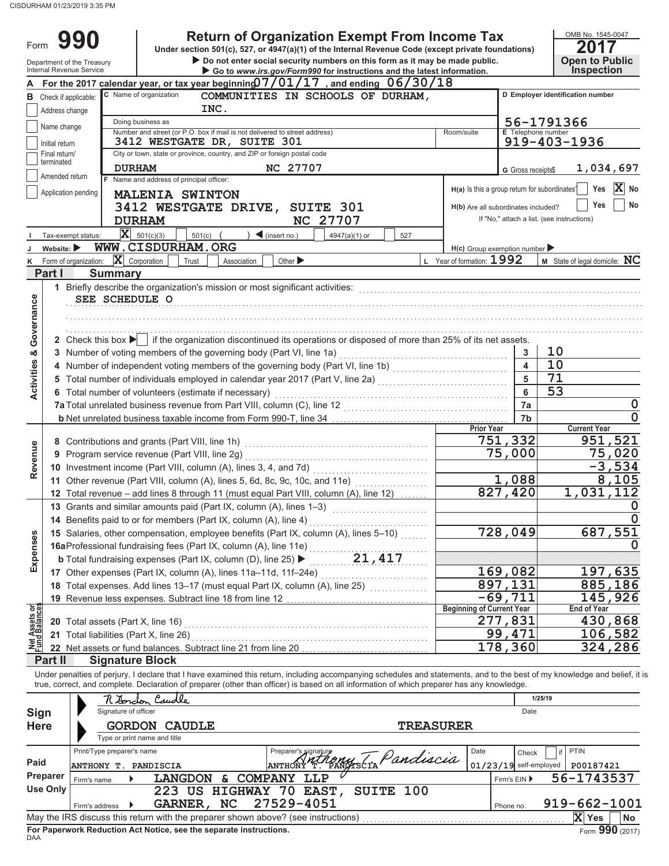CISDURHAM 01/23/2019 3:35 PM

| Form                                         |                                                                                                                                  |                                                                  | <b>Return of Organization Exempt From Income Tax</b><br>Under section 501(c), 527, or 4947(a)(1) of the Internal Revenue Code (except private foundations)                                                                                                                                                               |                                                                     |                                               |                          | OMB No. 1545-0047<br>20<br>17              |  |  |  |
|----------------------------------------------|----------------------------------------------------------------------------------------------------------------------------------|------------------------------------------------------------------|--------------------------------------------------------------------------------------------------------------------------------------------------------------------------------------------------------------------------------------------------------------------------------------------------------------------------|---------------------------------------------------------------------|-----------------------------------------------|--------------------------|--------------------------------------------|--|--|--|
|                                              |                                                                                                                                  | Department of the Treasury<br>Internal Revenue Service           | Do not enter social security numbers on this form as it may be made public.<br>Go to www.irs.gov/Form990 for instructions and the latest information.                                                                                                                                                                    |                                                                     |                                               |                          | <b>Open to Public</b><br><b>Inspection</b> |  |  |  |
|                                              |                                                                                                                                  |                                                                  | For the 2017 calendar year, or tax year beginning $07/01/17$ , and ending $06/30/18$                                                                                                                                                                                                                                     |                                                                     |                                               |                          |                                            |  |  |  |
|                                              | C Name of organization<br>COMMUNITIES IN SCHOOLS OF DURHAM,<br>D Employer identification number<br><b>B</b> Check if applicable: |                                                                  |                                                                                                                                                                                                                                                                                                                          |                                                                     |                                               |                          |                                            |  |  |  |
|                                              | INC.<br>Address change                                                                                                           |                                                                  |                                                                                                                                                                                                                                                                                                                          |                                                                     |                                               |                          |                                            |  |  |  |
|                                              | 56-1791366<br>Doing business as<br>Name change                                                                                   |                                                                  |                                                                                                                                                                                                                                                                                                                          |                                                                     |                                               |                          |                                            |  |  |  |
|                                              | Initial return                                                                                                                   |                                                                  | Number and street (or P.O. box if mail is not delivered to street address)<br>3412 WESTGATE DR, SUITE 301                                                                                                                                                                                                                |                                                                     | Room/suite                                    | E Telephone number       | 919-403-1936                               |  |  |  |
|                                              | Final return/                                                                                                                    |                                                                  | City or town, state or province, country, and ZIP or foreign postal code                                                                                                                                                                                                                                                 |                                                                     |                                               |                          |                                            |  |  |  |
|                                              | terminated                                                                                                                       | <b>DURHAM</b>                                                    | NC 27707                                                                                                                                                                                                                                                                                                                 |                                                                     |                                               | G Gross receipts\$       | 1,034,697                                  |  |  |  |
|                                              | Amended return                                                                                                                   | F Name and address of principal officer:                         |                                                                                                                                                                                                                                                                                                                          |                                                                     |                                               |                          |                                            |  |  |  |
|                                              |                                                                                                                                  | Application pending<br><b>MALENIA SWINTON</b>                    |                                                                                                                                                                                                                                                                                                                          |                                                                     | H(a) Is this a group return for subordinates? |                          | $ {\bf X} $<br>Yes<br>No                   |  |  |  |
|                                              |                                                                                                                                  |                                                                  | 3412 WESTGATE DRIVE, SUITE 301                                                                                                                                                                                                                                                                                           |                                                                     | H(b) Are all subordinates included?           |                          | No<br>Yes                                  |  |  |  |
|                                              |                                                                                                                                  | <b>DURHAM</b>                                                    | <b>NC 27707</b>                                                                                                                                                                                                                                                                                                          |                                                                     |                                               |                          | If "No," attach a list. (see instructions) |  |  |  |
|                                              |                                                                                                                                  | $\overline{\mathbf{X}}$ 501(c)(3)<br>Tax-exempt status:          | $\triangleleft$ (insert no.)<br>501(c)                                                                                                                                                                                                                                                                                   | 4947(a)(1) or<br>527                                                |                                               |                          |                                            |  |  |  |
|                                              | Website: $\blacktriangleright$                                                                                                   | WWW.CISDURHAM.ORG                                                |                                                                                                                                                                                                                                                                                                                          |                                                                     | $H(c)$ Group exemption number                 |                          |                                            |  |  |  |
| κ                                            |                                                                                                                                  | Form of organization: $\ \mathbf{X}\ $ Corporation<br>Trust      | Association<br>Other $\blacktriangleright$                                                                                                                                                                                                                                                                               |                                                                     | Year of formation: 1992                       |                          | M State of legal domicile: NC              |  |  |  |
|                                              | Part I                                                                                                                           | <b>Summary</b>                                                   |                                                                                                                                                                                                                                                                                                                          |                                                                     |                                               |                          |                                            |  |  |  |
|                                              |                                                                                                                                  | SEE SCHEDULE O                                                   | 1 Briefly describe the organization's mission or most significant activities:                                                                                                                                                                                                                                            |                                                                     |                                               |                          |                                            |  |  |  |
| Governance                                   |                                                                                                                                  |                                                                  |                                                                                                                                                                                                                                                                                                                          |                                                                     |                                               |                          |                                            |  |  |  |
|                                              |                                                                                                                                  |                                                                  |                                                                                                                                                                                                                                                                                                                          |                                                                     |                                               |                          |                                            |  |  |  |
|                                              |                                                                                                                                  |                                                                  | 2 Check this box $\blacktriangleright$ if the organization discontinued its operations or disposed of more than 25% of its net assets.                                                                                                                                                                                   |                                                                     |                                               |                          |                                            |  |  |  |
|                                              |                                                                                                                                  |                                                                  | 3 Number of voting members of the governing body (Part VI, line 1a)                                                                                                                                                                                                                                                      |                                                                     |                                               | 3                        | 10                                         |  |  |  |
|                                              |                                                                                                                                  |                                                                  | 4 Number of independent voting members of the governing body (Part VI, line 1b) [11] [11] Number of independent voting members of the governing body (Part VI, line 1b)                                                                                                                                                  |                                                                     |                                               | $\overline{\mathbf{A}}$  | 10                                         |  |  |  |
| <b>Activities &amp;</b>                      |                                                                                                                                  |                                                                  | 5 Total number of individuals employed in calendar year 2017 (Part V, line 2a) [100] (100] [100] [100] [100] [100] [100] [100] [100] [100] [100] [100] [100] [100] [100] [100] [100] [100] [100] [100] [100] [100] [100] [100]                                                                                           |                                                                     |                                               | 5                        | $\overline{71}$                            |  |  |  |
|                                              |                                                                                                                                  | 6 Total number of volunteers (estimate if necessary)             |                                                                                                                                                                                                                                                                                                                          |                                                                     |                                               | 6                        | $\overline{53}$                            |  |  |  |
|                                              |                                                                                                                                  |                                                                  | 7a Total unrelated business revenue from Part VIII, column (C), line 12<br>[[[COLDSEAD ] [[COLDSEAD ] [[COLDSEAD ] [[COLDSEAD ] [[COLDSEAD ] [[COLDSEAD ] [[COLDSEAD ] [[COLDSEAD ] [[COLDSEAD ] [[COLDSEAD ] [[COLDSEAD ] [[COL                                                                                         |                                                                     |                                               | 7a                       | 0                                          |  |  |  |
|                                              |                                                                                                                                  |                                                                  |                                                                                                                                                                                                                                                                                                                          |                                                                     |                                               | 7b                       |                                            |  |  |  |
|                                              |                                                                                                                                  |                                                                  |                                                                                                                                                                                                                                                                                                                          |                                                                     | <b>Prior Year</b>                             | 751,332                  | <b>Current Year</b><br>951,521             |  |  |  |
| Revenue                                      |                                                                                                                                  |                                                                  |                                                                                                                                                                                                                                                                                                                          | 75,000                                                              | 75,020                                        |                          |                                            |  |  |  |
|                                              |                                                                                                                                  |                                                                  | 10 Investment income (Part VIII, column (A), lines 3, 4, and 7d)                                                                                                                                                                                                                                                         |                                                                     |                                               |                          | $-3,534$                                   |  |  |  |
|                                              |                                                                                                                                  |                                                                  | 11 Other revenue (Part VIII, column (A), lines 5, 6d, 8c, 9c, 10c, and 11e)                                                                                                                                                                                                                                              |                                                                     |                                               | 1,088                    | 8,105                                      |  |  |  |
|                                              |                                                                                                                                  |                                                                  | 12 Total revenue - add lines 8 through 11 (must equal Part VIII, column (A), line 12)                                                                                                                                                                                                                                    |                                                                     |                                               | 827,420                  | 1,031,112                                  |  |  |  |
|                                              |                                                                                                                                  |                                                                  | 13 Grants and similar amounts paid (Part IX, column (A), lines 1–3)                                                                                                                                                                                                                                                      |                                                                     |                                               |                          |                                            |  |  |  |
|                                              |                                                                                                                                  | 14 Benefits paid to or for members (Part IX, column (A), line 4) |                                                                                                                                                                                                                                                                                                                          |                                                                     |                                               |                          | 0                                          |  |  |  |
|                                              |                                                                                                                                  |                                                                  | 15 Salaries, other compensation, employee benefits (Part IX, column (A), lines 5-10)                                                                                                                                                                                                                                     |                                                                     |                                               | 728,049                  | 687,551                                    |  |  |  |
| Expenses                                     |                                                                                                                                  |                                                                  | 16aProfessional fundraising fees (Part IX, column (A), line 11e)                                                                                                                                                                                                                                                         |                                                                     |                                               |                          |                                            |  |  |  |
|                                              |                                                                                                                                  |                                                                  | <b>b</b> Total fundraising expenses (Part IX, column (D), line 25) $\blacktriangleright$ 21, 417                                                                                                                                                                                                                         |                                                                     |                                               |                          |                                            |  |  |  |
|                                              |                                                                                                                                  |                                                                  | 17 Other expenses (Part IX, column (A), lines 11a-11d, 11f-24e)                                                                                                                                                                                                                                                          |                                                                     |                                               | 169,082<br>897,131       | 197,635<br>885,186                         |  |  |  |
|                                              |                                                                                                                                  |                                                                  |                                                                                                                                                                                                                                                                                                                          |                                                                     |                                               | $-69,711$                | 145,926                                    |  |  |  |
|                                              |                                                                                                                                  |                                                                  |                                                                                                                                                                                                                                                                                                                          |                                                                     | <b>Beginning of Current Year</b>              |                          | <b>End of Year</b>                         |  |  |  |
| <b>Vet Assets or</b><br>und Balance <b>s</b> |                                                                                                                                  | 20 Total assets (Part X, line 16)                                |                                                                                                                                                                                                                                                                                                                          |                                                                     |                                               | 277,831                  | 430,868                                    |  |  |  |
|                                              |                                                                                                                                  | 21 Total liabilities (Part X, line 26)                           |                                                                                                                                                                                                                                                                                                                          |                                                                     |                                               | 99,471                   | 106,582                                    |  |  |  |
| 츠리                                           |                                                                                                                                  |                                                                  |                                                                                                                                                                                                                                                                                                                          |                                                                     |                                               | 178,360                  | 324,286                                    |  |  |  |
|                                              | Part II                                                                                                                          | <b>Signature Block</b>                                           |                                                                                                                                                                                                                                                                                                                          |                                                                     |                                               |                          |                                            |  |  |  |
|                                              |                                                                                                                                  |                                                                  | Under penalties of perjury, I declare that I have examined this return, including accompanying schedules and statements, and to the best of my knowledge and belief, it is<br>true, correct, and complete. Declaration of preparer (other than officer) is based on all information of which preparer has any knowledge. |                                                                     |                                               |                          |                                            |  |  |  |
|                                              |                                                                                                                                  | Caudle<br>7 terdon                                               |                                                                                                                                                                                                                                                                                                                          |                                                                     |                                               |                          | 1/25/19                                    |  |  |  |
| Sign<br><b>Here</b>                          |                                                                                                                                  | Signature of officer                                             |                                                                                                                                                                                                                                                                                                                          |                                                                     |                                               | Date                     |                                            |  |  |  |
|                                              |                                                                                                                                  | <b>GORDON CAUDLE</b>                                             |                                                                                                                                                                                                                                                                                                                          |                                                                     | <b>TREASURER</b>                              |                          |                                            |  |  |  |
|                                              |                                                                                                                                  | Type or print name and title                                     |                                                                                                                                                                                                                                                                                                                          |                                                                     |                                               |                          |                                            |  |  |  |
| Paid                                         |                                                                                                                                  | Print/Type preparer's name                                       |                                                                                                                                                                                                                                                                                                                          | Preparer's signature<br>ANTHONY <sup>N</sup> T. PANYESCTA Pandiscia | Date                                          | Check                    | <b>PTIN</b><br>if                          |  |  |  |
|                                              | Preparer                                                                                                                         | ANTHONY T. PANDISCIA                                             | <b>ANTHONY</b>                                                                                                                                                                                                                                                                                                           |                                                                     |                                               | $01/23/19$ self-employed | P00187421                                  |  |  |  |
|                                              | <b>Use Only</b>                                                                                                                  | Firm's name                                                      | LANGDON & COMPANY LLP<br>223 US HIGHWAY 70 EAST,                                                                                                                                                                                                                                                                         | SUITE 100                                                           |                                               | Firm's EIN ▶             | 56-1743537                                 |  |  |  |
|                                              |                                                                                                                                  | GARNER, NC<br>Firm's address ▶                                   | 27529-4051                                                                                                                                                                                                                                                                                                               |                                                                     |                                               | Phone no.                | $919 - 662 - 1001$                         |  |  |  |
|                                              |                                                                                                                                  |                                                                  | May the IRS discuss this return with the preparer shown above? (see instructions)                                                                                                                                                                                                                                        |                                                                     |                                               |                          | X Yes<br><b>No</b>                         |  |  |  |

|            | Firm's address |                                                                    | GARNER, NC 27529-4051                                                             | Phone no. | 919-662-1001 |                 |    |
|------------|----------------|--------------------------------------------------------------------|-----------------------------------------------------------------------------------|-----------|--------------|-----------------|----|
|            |                |                                                                    | May the IRS discuss this return with the preparer shown above? (see instructions) |           |              | X Yes           | No |
| <b>DAA</b> |                | For Paperwork Reduction Act Notice, see the separate instructions. |                                                                                   |           |              | Form 990 (2017) |    |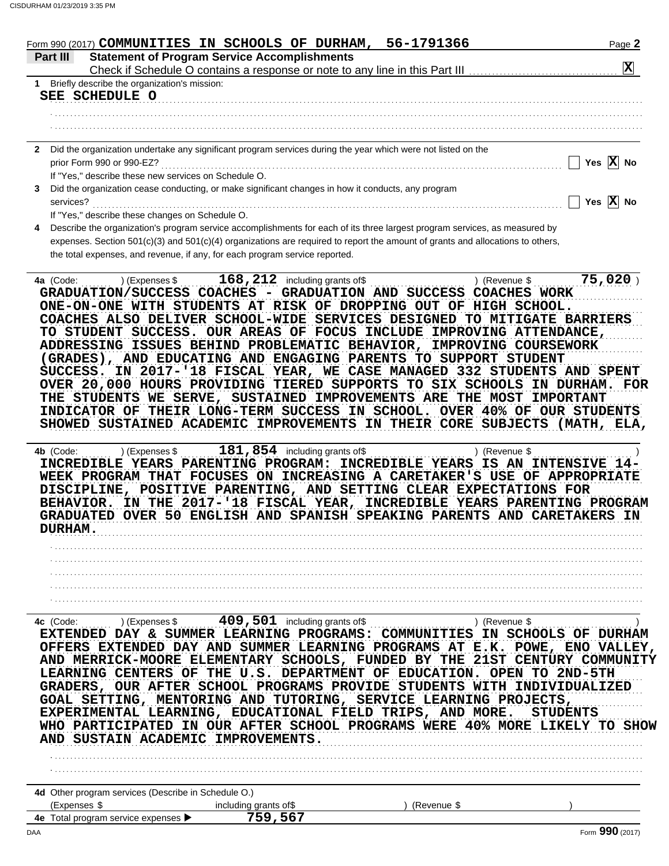| $ \mathbf{X} $<br>1 Briefly describe the organization's mission:<br>SEE SCHEDULE O<br>2 Did the organization undertake any significant program services during the year which were not listed on the<br>Yes $\overline{X}$ No<br>prior Form 990 or 990-EZ?<br>If "Yes," describe these new services on Schedule O.<br>Did the organization cease conducting, or make significant changes in how it conducts, any program<br>Yes $\overline{X}$ No<br>services?<br>If "Yes," describe these changes on Schedule O.<br>Describe the organization's program service accomplishments for each of its three largest program services, as measured by<br>expenses. Section 501(c)(3) and 501(c)(4) organizations are required to report the amount of grants and allocations to others,<br>the total expenses, and revenue, if any, for each program service reported.<br>$75,020$ )<br>) (Expenses \$ $168,212$ including grants of \$<br>4a (Code:<br>) (Revenue \$<br>GRADUATION/SUCCESS COACHES - GRADUATION AND SUCCESS COACHES WORK<br>ONE-ON-ONE WITH STUDENTS AT RISK OF DROPPING OUT OF HIGH SCHOOL.<br>COACHES ALSO DELIVER SCHOOL-WIDE SERVICES DESIGNED TO MITIGATE BARRIERS<br>TO STUDENT SUCCESS. OUR AREAS OF FOCUS INCLUDE IMPROVING ATTENDANCE,<br>ADDRESSING ISSUES BEHIND PROBLEMATIC BEHAVIOR, IMPROVING COURSEWORK<br>(GRADES), AND EDUCATING AND ENGAGING PARENTS TO SUPPORT STUDENT<br>SUCCESS. IN 2017-'18 FISCAL YEAR, WE CASE MANAGED 332 STUDENTS AND SPENT<br>OVER 20,000 HOURS PROVIDING TIERED SUPPORTS TO SIX SCHOOLS IN DURHAM. FOR<br>THE STUDENTS WE SERVE, SUSTAINED IMPROVEMENTS ARE THE MOST IMPORTANT<br>INDICATOR OF THEIR LONG-TERM SUCCESS IN SCHOOL. OVER 40% OF OUR STUDENTS<br>SHOWED SUSTAINED ACADEMIC IMPROVEMENTS IN THEIR CORE SUBJECTS (MATH, ELA,<br>) (Expenses \$<br>4b (Code:<br>) (Revenue \$<br>INCREDIBLE YEARS PARENTING PROGRAM: INCREDIBLE YEARS IS AN INTENSIVE 14-<br>WEEK PROGRAM THAT FOCUSES ON INCREASING A CARETAKER'S USE OF APPROPRIATE<br>DISCIPLINE, POSITIVE PARENTING, AND SETTING CLEAR EXPECTATIONS FOR<br>BEHAVIOR. IN THE 2017-'18 FISCAL YEAR, INCREDIBLE YEARS PARENTING PROGRAM<br><b>GRADUATED OVER 50 ENGLISH AND SPANISH SPEAKING PARENTS AND CARETAKERS</b><br><b>DURHAM.</b><br>EXTENDED DAY & SUMMER LEARNING PROGRAMS: COMMUNITIES IN SCHOOLS OF DURHAM<br>OFFERS EXTENDED DAY AND SUMMER LEARNING PROGRAMS AT E.K. POWE, ENO VALLEY,<br>AND MERRICK-MOORE ELEMENTARY SCHOOLS, FUNDED BY THE 21ST CENTURY COMMUNITY<br>LEARNING CENTERS OF THE U.S. DEPARTMENT OF EDUCATION. OPEN TO 2ND-5TH<br>GRADERS, OUR AFTER SCHOOL PROGRAMS PROVIDE STUDENTS WITH INDIVIDUALIZED<br>GOAL SETTING, MENTORING AND TUTORING, SERVICE LEARNING PROJECTS,<br>EXPERIMENTAL LEARNING, EDUCATIONAL FIELD TRIPS, AND MORE.<br><b>STUDENTS</b><br>WHO PARTICIPATED IN OUR AFTER SCHOOL PROGRAMS WERE 40% MORE LIKELY TO SHOW<br>AND SUSTAIN ACADEMIC IMPROVEMENTS. | Part III | <b>Statement of Program Service Accomplishments</b>               |  |
|----------------------------------------------------------------------------------------------------------------------------------------------------------------------------------------------------------------------------------------------------------------------------------------------------------------------------------------------------------------------------------------------------------------------------------------------------------------------------------------------------------------------------------------------------------------------------------------------------------------------------------------------------------------------------------------------------------------------------------------------------------------------------------------------------------------------------------------------------------------------------------------------------------------------------------------------------------------------------------------------------------------------------------------------------------------------------------------------------------------------------------------------------------------------------------------------------------------------------------------------------------------------------------------------------------------------------------------------------------------------------------------------------------------------------------------------------------------------------------------------------------------------------------------------------------------------------------------------------------------------------------------------------------------------------------------------------------------------------------------------------------------------------------------------------------------------------------------------------------------------------------------------------------------------------------------------------------------------------------------------------------------------------------------------------------------------------------------------------------------------------------------------------------------------------------------------------------------------------------------------------------------------------------------------------------------------------------------------------------------------------------------------------------------------------------------------------------------------------------------------------------------------------------------------------------------------------------------------------------------------------------------------------------------------------------------------------------------------------------------------------------------------------------------------------------------------------------------------------------------------------------------------------------------------------------|----------|-------------------------------------------------------------------|--|
|                                                                                                                                                                                                                                                                                                                                                                                                                                                                                                                                                                                                                                                                                                                                                                                                                                                                                                                                                                                                                                                                                                                                                                                                                                                                                                                                                                                                                                                                                                                                                                                                                                                                                                                                                                                                                                                                                                                                                                                                                                                                                                                                                                                                                                                                                                                                                                                                                                                                                                                                                                                                                                                                                                                                                                                                                                                                                                                                  |          |                                                                   |  |
|                                                                                                                                                                                                                                                                                                                                                                                                                                                                                                                                                                                                                                                                                                                                                                                                                                                                                                                                                                                                                                                                                                                                                                                                                                                                                                                                                                                                                                                                                                                                                                                                                                                                                                                                                                                                                                                                                                                                                                                                                                                                                                                                                                                                                                                                                                                                                                                                                                                                                                                                                                                                                                                                                                                                                                                                                                                                                                                                  |          |                                                                   |  |
|                                                                                                                                                                                                                                                                                                                                                                                                                                                                                                                                                                                                                                                                                                                                                                                                                                                                                                                                                                                                                                                                                                                                                                                                                                                                                                                                                                                                                                                                                                                                                                                                                                                                                                                                                                                                                                                                                                                                                                                                                                                                                                                                                                                                                                                                                                                                                                                                                                                                                                                                                                                                                                                                                                                                                                                                                                                                                                                                  |          |                                                                   |  |
|                                                                                                                                                                                                                                                                                                                                                                                                                                                                                                                                                                                                                                                                                                                                                                                                                                                                                                                                                                                                                                                                                                                                                                                                                                                                                                                                                                                                                                                                                                                                                                                                                                                                                                                                                                                                                                                                                                                                                                                                                                                                                                                                                                                                                                                                                                                                                                                                                                                                                                                                                                                                                                                                                                                                                                                                                                                                                                                                  |          |                                                                   |  |
|                                                                                                                                                                                                                                                                                                                                                                                                                                                                                                                                                                                                                                                                                                                                                                                                                                                                                                                                                                                                                                                                                                                                                                                                                                                                                                                                                                                                                                                                                                                                                                                                                                                                                                                                                                                                                                                                                                                                                                                                                                                                                                                                                                                                                                                                                                                                                                                                                                                                                                                                                                                                                                                                                                                                                                                                                                                                                                                                  |          |                                                                   |  |
|                                                                                                                                                                                                                                                                                                                                                                                                                                                                                                                                                                                                                                                                                                                                                                                                                                                                                                                                                                                                                                                                                                                                                                                                                                                                                                                                                                                                                                                                                                                                                                                                                                                                                                                                                                                                                                                                                                                                                                                                                                                                                                                                                                                                                                                                                                                                                                                                                                                                                                                                                                                                                                                                                                                                                                                                                                                                                                                                  |          |                                                                   |  |
|                                                                                                                                                                                                                                                                                                                                                                                                                                                                                                                                                                                                                                                                                                                                                                                                                                                                                                                                                                                                                                                                                                                                                                                                                                                                                                                                                                                                                                                                                                                                                                                                                                                                                                                                                                                                                                                                                                                                                                                                                                                                                                                                                                                                                                                                                                                                                                                                                                                                                                                                                                                                                                                                                                                                                                                                                                                                                                                                  |          |                                                                   |  |
|                                                                                                                                                                                                                                                                                                                                                                                                                                                                                                                                                                                                                                                                                                                                                                                                                                                                                                                                                                                                                                                                                                                                                                                                                                                                                                                                                                                                                                                                                                                                                                                                                                                                                                                                                                                                                                                                                                                                                                                                                                                                                                                                                                                                                                                                                                                                                                                                                                                                                                                                                                                                                                                                                                                                                                                                                                                                                                                                  |          |                                                                   |  |
|                                                                                                                                                                                                                                                                                                                                                                                                                                                                                                                                                                                                                                                                                                                                                                                                                                                                                                                                                                                                                                                                                                                                                                                                                                                                                                                                                                                                                                                                                                                                                                                                                                                                                                                                                                                                                                                                                                                                                                                                                                                                                                                                                                                                                                                                                                                                                                                                                                                                                                                                                                                                                                                                                                                                                                                                                                                                                                                                  |          |                                                                   |  |
|                                                                                                                                                                                                                                                                                                                                                                                                                                                                                                                                                                                                                                                                                                                                                                                                                                                                                                                                                                                                                                                                                                                                                                                                                                                                                                                                                                                                                                                                                                                                                                                                                                                                                                                                                                                                                                                                                                                                                                                                                                                                                                                                                                                                                                                                                                                                                                                                                                                                                                                                                                                                                                                                                                                                                                                                                                                                                                                                  |          |                                                                   |  |
|                                                                                                                                                                                                                                                                                                                                                                                                                                                                                                                                                                                                                                                                                                                                                                                                                                                                                                                                                                                                                                                                                                                                                                                                                                                                                                                                                                                                                                                                                                                                                                                                                                                                                                                                                                                                                                                                                                                                                                                                                                                                                                                                                                                                                                                                                                                                                                                                                                                                                                                                                                                                                                                                                                                                                                                                                                                                                                                                  | 3.       |                                                                   |  |
|                                                                                                                                                                                                                                                                                                                                                                                                                                                                                                                                                                                                                                                                                                                                                                                                                                                                                                                                                                                                                                                                                                                                                                                                                                                                                                                                                                                                                                                                                                                                                                                                                                                                                                                                                                                                                                                                                                                                                                                                                                                                                                                                                                                                                                                                                                                                                                                                                                                                                                                                                                                                                                                                                                                                                                                                                                                                                                                                  |          |                                                                   |  |
|                                                                                                                                                                                                                                                                                                                                                                                                                                                                                                                                                                                                                                                                                                                                                                                                                                                                                                                                                                                                                                                                                                                                                                                                                                                                                                                                                                                                                                                                                                                                                                                                                                                                                                                                                                                                                                                                                                                                                                                                                                                                                                                                                                                                                                                                                                                                                                                                                                                                                                                                                                                                                                                                                                                                                                                                                                                                                                                                  |          |                                                                   |  |
|                                                                                                                                                                                                                                                                                                                                                                                                                                                                                                                                                                                                                                                                                                                                                                                                                                                                                                                                                                                                                                                                                                                                                                                                                                                                                                                                                                                                                                                                                                                                                                                                                                                                                                                                                                                                                                                                                                                                                                                                                                                                                                                                                                                                                                                                                                                                                                                                                                                                                                                                                                                                                                                                                                                                                                                                                                                                                                                                  | 4        |                                                                   |  |
|                                                                                                                                                                                                                                                                                                                                                                                                                                                                                                                                                                                                                                                                                                                                                                                                                                                                                                                                                                                                                                                                                                                                                                                                                                                                                                                                                                                                                                                                                                                                                                                                                                                                                                                                                                                                                                                                                                                                                                                                                                                                                                                                                                                                                                                                                                                                                                                                                                                                                                                                                                                                                                                                                                                                                                                                                                                                                                                                  |          |                                                                   |  |
|                                                                                                                                                                                                                                                                                                                                                                                                                                                                                                                                                                                                                                                                                                                                                                                                                                                                                                                                                                                                                                                                                                                                                                                                                                                                                                                                                                                                                                                                                                                                                                                                                                                                                                                                                                                                                                                                                                                                                                                                                                                                                                                                                                                                                                                                                                                                                                                                                                                                                                                                                                                                                                                                                                                                                                                                                                                                                                                                  |          |                                                                   |  |
|                                                                                                                                                                                                                                                                                                                                                                                                                                                                                                                                                                                                                                                                                                                                                                                                                                                                                                                                                                                                                                                                                                                                                                                                                                                                                                                                                                                                                                                                                                                                                                                                                                                                                                                                                                                                                                                                                                                                                                                                                                                                                                                                                                                                                                                                                                                                                                                                                                                                                                                                                                                                                                                                                                                                                                                                                                                                                                                                  |          |                                                                   |  |
|                                                                                                                                                                                                                                                                                                                                                                                                                                                                                                                                                                                                                                                                                                                                                                                                                                                                                                                                                                                                                                                                                                                                                                                                                                                                                                                                                                                                                                                                                                                                                                                                                                                                                                                                                                                                                                                                                                                                                                                                                                                                                                                                                                                                                                                                                                                                                                                                                                                                                                                                                                                                                                                                                                                                                                                                                                                                                                                                  |          |                                                                   |  |
|                                                                                                                                                                                                                                                                                                                                                                                                                                                                                                                                                                                                                                                                                                                                                                                                                                                                                                                                                                                                                                                                                                                                                                                                                                                                                                                                                                                                                                                                                                                                                                                                                                                                                                                                                                                                                                                                                                                                                                                                                                                                                                                                                                                                                                                                                                                                                                                                                                                                                                                                                                                                                                                                                                                                                                                                                                                                                                                                  |          |                                                                   |  |
|                                                                                                                                                                                                                                                                                                                                                                                                                                                                                                                                                                                                                                                                                                                                                                                                                                                                                                                                                                                                                                                                                                                                                                                                                                                                                                                                                                                                                                                                                                                                                                                                                                                                                                                                                                                                                                                                                                                                                                                                                                                                                                                                                                                                                                                                                                                                                                                                                                                                                                                                                                                                                                                                                                                                                                                                                                                                                                                                  |          |                                                                   |  |
|                                                                                                                                                                                                                                                                                                                                                                                                                                                                                                                                                                                                                                                                                                                                                                                                                                                                                                                                                                                                                                                                                                                                                                                                                                                                                                                                                                                                                                                                                                                                                                                                                                                                                                                                                                                                                                                                                                                                                                                                                                                                                                                                                                                                                                                                                                                                                                                                                                                                                                                                                                                                                                                                                                                                                                                                                                                                                                                                  |          |                                                                   |  |
|                                                                                                                                                                                                                                                                                                                                                                                                                                                                                                                                                                                                                                                                                                                                                                                                                                                                                                                                                                                                                                                                                                                                                                                                                                                                                                                                                                                                                                                                                                                                                                                                                                                                                                                                                                                                                                                                                                                                                                                                                                                                                                                                                                                                                                                                                                                                                                                                                                                                                                                                                                                                                                                                                                                                                                                                                                                                                                                                  |          |                                                                   |  |
|                                                                                                                                                                                                                                                                                                                                                                                                                                                                                                                                                                                                                                                                                                                                                                                                                                                                                                                                                                                                                                                                                                                                                                                                                                                                                                                                                                                                                                                                                                                                                                                                                                                                                                                                                                                                                                                                                                                                                                                                                                                                                                                                                                                                                                                                                                                                                                                                                                                                                                                                                                                                                                                                                                                                                                                                                                                                                                                                  |          |                                                                   |  |
|                                                                                                                                                                                                                                                                                                                                                                                                                                                                                                                                                                                                                                                                                                                                                                                                                                                                                                                                                                                                                                                                                                                                                                                                                                                                                                                                                                                                                                                                                                                                                                                                                                                                                                                                                                                                                                                                                                                                                                                                                                                                                                                                                                                                                                                                                                                                                                                                                                                                                                                                                                                                                                                                                                                                                                                                                                                                                                                                  |          |                                                                   |  |
|                                                                                                                                                                                                                                                                                                                                                                                                                                                                                                                                                                                                                                                                                                                                                                                                                                                                                                                                                                                                                                                                                                                                                                                                                                                                                                                                                                                                                                                                                                                                                                                                                                                                                                                                                                                                                                                                                                                                                                                                                                                                                                                                                                                                                                                                                                                                                                                                                                                                                                                                                                                                                                                                                                                                                                                                                                                                                                                                  |          |                                                                   |  |
|                                                                                                                                                                                                                                                                                                                                                                                                                                                                                                                                                                                                                                                                                                                                                                                                                                                                                                                                                                                                                                                                                                                                                                                                                                                                                                                                                                                                                                                                                                                                                                                                                                                                                                                                                                                                                                                                                                                                                                                                                                                                                                                                                                                                                                                                                                                                                                                                                                                                                                                                                                                                                                                                                                                                                                                                                                                                                                                                  |          |                                                                   |  |
|                                                                                                                                                                                                                                                                                                                                                                                                                                                                                                                                                                                                                                                                                                                                                                                                                                                                                                                                                                                                                                                                                                                                                                                                                                                                                                                                                                                                                                                                                                                                                                                                                                                                                                                                                                                                                                                                                                                                                                                                                                                                                                                                                                                                                                                                                                                                                                                                                                                                                                                                                                                                                                                                                                                                                                                                                                                                                                                                  |          |                                                                   |  |
|                                                                                                                                                                                                                                                                                                                                                                                                                                                                                                                                                                                                                                                                                                                                                                                                                                                                                                                                                                                                                                                                                                                                                                                                                                                                                                                                                                                                                                                                                                                                                                                                                                                                                                                                                                                                                                                                                                                                                                                                                                                                                                                                                                                                                                                                                                                                                                                                                                                                                                                                                                                                                                                                                                                                                                                                                                                                                                                                  |          |                                                                   |  |
|                                                                                                                                                                                                                                                                                                                                                                                                                                                                                                                                                                                                                                                                                                                                                                                                                                                                                                                                                                                                                                                                                                                                                                                                                                                                                                                                                                                                                                                                                                                                                                                                                                                                                                                                                                                                                                                                                                                                                                                                                                                                                                                                                                                                                                                                                                                                                                                                                                                                                                                                                                                                                                                                                                                                                                                                                                                                                                                                  |          |                                                                   |  |
|                                                                                                                                                                                                                                                                                                                                                                                                                                                                                                                                                                                                                                                                                                                                                                                                                                                                                                                                                                                                                                                                                                                                                                                                                                                                                                                                                                                                                                                                                                                                                                                                                                                                                                                                                                                                                                                                                                                                                                                                                                                                                                                                                                                                                                                                                                                                                                                                                                                                                                                                                                                                                                                                                                                                                                                                                                                                                                                                  |          |                                                                   |  |
|                                                                                                                                                                                                                                                                                                                                                                                                                                                                                                                                                                                                                                                                                                                                                                                                                                                                                                                                                                                                                                                                                                                                                                                                                                                                                                                                                                                                                                                                                                                                                                                                                                                                                                                                                                                                                                                                                                                                                                                                                                                                                                                                                                                                                                                                                                                                                                                                                                                                                                                                                                                                                                                                                                                                                                                                                                                                                                                                  |          |                                                                   |  |
|                                                                                                                                                                                                                                                                                                                                                                                                                                                                                                                                                                                                                                                                                                                                                                                                                                                                                                                                                                                                                                                                                                                                                                                                                                                                                                                                                                                                                                                                                                                                                                                                                                                                                                                                                                                                                                                                                                                                                                                                                                                                                                                                                                                                                                                                                                                                                                                                                                                                                                                                                                                                                                                                                                                                                                                                                                                                                                                                  |          |                                                                   |  |
|                                                                                                                                                                                                                                                                                                                                                                                                                                                                                                                                                                                                                                                                                                                                                                                                                                                                                                                                                                                                                                                                                                                                                                                                                                                                                                                                                                                                                                                                                                                                                                                                                                                                                                                                                                                                                                                                                                                                                                                                                                                                                                                                                                                                                                                                                                                                                                                                                                                                                                                                                                                                                                                                                                                                                                                                                                                                                                                                  |          |                                                                   |  |
|                                                                                                                                                                                                                                                                                                                                                                                                                                                                                                                                                                                                                                                                                                                                                                                                                                                                                                                                                                                                                                                                                                                                                                                                                                                                                                                                                                                                                                                                                                                                                                                                                                                                                                                                                                                                                                                                                                                                                                                                                                                                                                                                                                                                                                                                                                                                                                                                                                                                                                                                                                                                                                                                                                                                                                                                                                                                                                                                  |          |                                                                   |  |
|                                                                                                                                                                                                                                                                                                                                                                                                                                                                                                                                                                                                                                                                                                                                                                                                                                                                                                                                                                                                                                                                                                                                                                                                                                                                                                                                                                                                                                                                                                                                                                                                                                                                                                                                                                                                                                                                                                                                                                                                                                                                                                                                                                                                                                                                                                                                                                                                                                                                                                                                                                                                                                                                                                                                                                                                                                                                                                                                  |          |                                                                   |  |
|                                                                                                                                                                                                                                                                                                                                                                                                                                                                                                                                                                                                                                                                                                                                                                                                                                                                                                                                                                                                                                                                                                                                                                                                                                                                                                                                                                                                                                                                                                                                                                                                                                                                                                                                                                                                                                                                                                                                                                                                                                                                                                                                                                                                                                                                                                                                                                                                                                                                                                                                                                                                                                                                                                                                                                                                                                                                                                                                  |          |                                                                   |  |
|                                                                                                                                                                                                                                                                                                                                                                                                                                                                                                                                                                                                                                                                                                                                                                                                                                                                                                                                                                                                                                                                                                                                                                                                                                                                                                                                                                                                                                                                                                                                                                                                                                                                                                                                                                                                                                                                                                                                                                                                                                                                                                                                                                                                                                                                                                                                                                                                                                                                                                                                                                                                                                                                                                                                                                                                                                                                                                                                  |          |                                                                   |  |
|                                                                                                                                                                                                                                                                                                                                                                                                                                                                                                                                                                                                                                                                                                                                                                                                                                                                                                                                                                                                                                                                                                                                                                                                                                                                                                                                                                                                                                                                                                                                                                                                                                                                                                                                                                                                                                                                                                                                                                                                                                                                                                                                                                                                                                                                                                                                                                                                                                                                                                                                                                                                                                                                                                                                                                                                                                                                                                                                  |          |                                                                   |  |
|                                                                                                                                                                                                                                                                                                                                                                                                                                                                                                                                                                                                                                                                                                                                                                                                                                                                                                                                                                                                                                                                                                                                                                                                                                                                                                                                                                                                                                                                                                                                                                                                                                                                                                                                                                                                                                                                                                                                                                                                                                                                                                                                                                                                                                                                                                                                                                                                                                                                                                                                                                                                                                                                                                                                                                                                                                                                                                                                  |          |                                                                   |  |
|                                                                                                                                                                                                                                                                                                                                                                                                                                                                                                                                                                                                                                                                                                                                                                                                                                                                                                                                                                                                                                                                                                                                                                                                                                                                                                                                                                                                                                                                                                                                                                                                                                                                                                                                                                                                                                                                                                                                                                                                                                                                                                                                                                                                                                                                                                                                                                                                                                                                                                                                                                                                                                                                                                                                                                                                                                                                                                                                  |          |                                                                   |  |
|                                                                                                                                                                                                                                                                                                                                                                                                                                                                                                                                                                                                                                                                                                                                                                                                                                                                                                                                                                                                                                                                                                                                                                                                                                                                                                                                                                                                                                                                                                                                                                                                                                                                                                                                                                                                                                                                                                                                                                                                                                                                                                                                                                                                                                                                                                                                                                                                                                                                                                                                                                                                                                                                                                                                                                                                                                                                                                                                  |          |                                                                   |  |
|                                                                                                                                                                                                                                                                                                                                                                                                                                                                                                                                                                                                                                                                                                                                                                                                                                                                                                                                                                                                                                                                                                                                                                                                                                                                                                                                                                                                                                                                                                                                                                                                                                                                                                                                                                                                                                                                                                                                                                                                                                                                                                                                                                                                                                                                                                                                                                                                                                                                                                                                                                                                                                                                                                                                                                                                                                                                                                                                  |          |                                                                   |  |
|                                                                                                                                                                                                                                                                                                                                                                                                                                                                                                                                                                                                                                                                                                                                                                                                                                                                                                                                                                                                                                                                                                                                                                                                                                                                                                                                                                                                                                                                                                                                                                                                                                                                                                                                                                                                                                                                                                                                                                                                                                                                                                                                                                                                                                                                                                                                                                                                                                                                                                                                                                                                                                                                                                                                                                                                                                                                                                                                  |          |                                                                   |  |
|                                                                                                                                                                                                                                                                                                                                                                                                                                                                                                                                                                                                                                                                                                                                                                                                                                                                                                                                                                                                                                                                                                                                                                                                                                                                                                                                                                                                                                                                                                                                                                                                                                                                                                                                                                                                                                                                                                                                                                                                                                                                                                                                                                                                                                                                                                                                                                                                                                                                                                                                                                                                                                                                                                                                                                                                                                                                                                                                  |          |                                                                   |  |
|                                                                                                                                                                                                                                                                                                                                                                                                                                                                                                                                                                                                                                                                                                                                                                                                                                                                                                                                                                                                                                                                                                                                                                                                                                                                                                                                                                                                                                                                                                                                                                                                                                                                                                                                                                                                                                                                                                                                                                                                                                                                                                                                                                                                                                                                                                                                                                                                                                                                                                                                                                                                                                                                                                                                                                                                                                                                                                                                  |          |                                                                   |  |
|                                                                                                                                                                                                                                                                                                                                                                                                                                                                                                                                                                                                                                                                                                                                                                                                                                                                                                                                                                                                                                                                                                                                                                                                                                                                                                                                                                                                                                                                                                                                                                                                                                                                                                                                                                                                                                                                                                                                                                                                                                                                                                                                                                                                                                                                                                                                                                                                                                                                                                                                                                                                                                                                                                                                                                                                                                                                                                                                  |          |                                                                   |  |
|                                                                                                                                                                                                                                                                                                                                                                                                                                                                                                                                                                                                                                                                                                                                                                                                                                                                                                                                                                                                                                                                                                                                                                                                                                                                                                                                                                                                                                                                                                                                                                                                                                                                                                                                                                                                                                                                                                                                                                                                                                                                                                                                                                                                                                                                                                                                                                                                                                                                                                                                                                                                                                                                                                                                                                                                                                                                                                                                  |          |                                                                   |  |
|                                                                                                                                                                                                                                                                                                                                                                                                                                                                                                                                                                                                                                                                                                                                                                                                                                                                                                                                                                                                                                                                                                                                                                                                                                                                                                                                                                                                                                                                                                                                                                                                                                                                                                                                                                                                                                                                                                                                                                                                                                                                                                                                                                                                                                                                                                                                                                                                                                                                                                                                                                                                                                                                                                                                                                                                                                                                                                                                  |          |                                                                   |  |
|                                                                                                                                                                                                                                                                                                                                                                                                                                                                                                                                                                                                                                                                                                                                                                                                                                                                                                                                                                                                                                                                                                                                                                                                                                                                                                                                                                                                                                                                                                                                                                                                                                                                                                                                                                                                                                                                                                                                                                                                                                                                                                                                                                                                                                                                                                                                                                                                                                                                                                                                                                                                                                                                                                                                                                                                                                                                                                                                  |          |                                                                   |  |
|                                                                                                                                                                                                                                                                                                                                                                                                                                                                                                                                                                                                                                                                                                                                                                                                                                                                                                                                                                                                                                                                                                                                                                                                                                                                                                                                                                                                                                                                                                                                                                                                                                                                                                                                                                                                                                                                                                                                                                                                                                                                                                                                                                                                                                                                                                                                                                                                                                                                                                                                                                                                                                                                                                                                                                                                                                                                                                                                  |          |                                                                   |  |
|                                                                                                                                                                                                                                                                                                                                                                                                                                                                                                                                                                                                                                                                                                                                                                                                                                                                                                                                                                                                                                                                                                                                                                                                                                                                                                                                                                                                                                                                                                                                                                                                                                                                                                                                                                                                                                                                                                                                                                                                                                                                                                                                                                                                                                                                                                                                                                                                                                                                                                                                                                                                                                                                                                                                                                                                                                                                                                                                  |          |                                                                   |  |
|                                                                                                                                                                                                                                                                                                                                                                                                                                                                                                                                                                                                                                                                                                                                                                                                                                                                                                                                                                                                                                                                                                                                                                                                                                                                                                                                                                                                                                                                                                                                                                                                                                                                                                                                                                                                                                                                                                                                                                                                                                                                                                                                                                                                                                                                                                                                                                                                                                                                                                                                                                                                                                                                                                                                                                                                                                                                                                                                  |          |                                                                   |  |
|                                                                                                                                                                                                                                                                                                                                                                                                                                                                                                                                                                                                                                                                                                                                                                                                                                                                                                                                                                                                                                                                                                                                                                                                                                                                                                                                                                                                                                                                                                                                                                                                                                                                                                                                                                                                                                                                                                                                                                                                                                                                                                                                                                                                                                                                                                                                                                                                                                                                                                                                                                                                                                                                                                                                                                                                                                                                                                                                  |          |                                                                   |  |
|                                                                                                                                                                                                                                                                                                                                                                                                                                                                                                                                                                                                                                                                                                                                                                                                                                                                                                                                                                                                                                                                                                                                                                                                                                                                                                                                                                                                                                                                                                                                                                                                                                                                                                                                                                                                                                                                                                                                                                                                                                                                                                                                                                                                                                                                                                                                                                                                                                                                                                                                                                                                                                                                                                                                                                                                                                                                                                                                  |          |                                                                   |  |
|                                                                                                                                                                                                                                                                                                                                                                                                                                                                                                                                                                                                                                                                                                                                                                                                                                                                                                                                                                                                                                                                                                                                                                                                                                                                                                                                                                                                                                                                                                                                                                                                                                                                                                                                                                                                                                                                                                                                                                                                                                                                                                                                                                                                                                                                                                                                                                                                                                                                                                                                                                                                                                                                                                                                                                                                                                                                                                                                  |          |                                                                   |  |
|                                                                                                                                                                                                                                                                                                                                                                                                                                                                                                                                                                                                                                                                                                                                                                                                                                                                                                                                                                                                                                                                                                                                                                                                                                                                                                                                                                                                                                                                                                                                                                                                                                                                                                                                                                                                                                                                                                                                                                                                                                                                                                                                                                                                                                                                                                                                                                                                                                                                                                                                                                                                                                                                                                                                                                                                                                                                                                                                  |          |                                                                   |  |
|                                                                                                                                                                                                                                                                                                                                                                                                                                                                                                                                                                                                                                                                                                                                                                                                                                                                                                                                                                                                                                                                                                                                                                                                                                                                                                                                                                                                                                                                                                                                                                                                                                                                                                                                                                                                                                                                                                                                                                                                                                                                                                                                                                                                                                                                                                                                                                                                                                                                                                                                                                                                                                                                                                                                                                                                                                                                                                                                  |          |                                                                   |  |
|                                                                                                                                                                                                                                                                                                                                                                                                                                                                                                                                                                                                                                                                                                                                                                                                                                                                                                                                                                                                                                                                                                                                                                                                                                                                                                                                                                                                                                                                                                                                                                                                                                                                                                                                                                                                                                                                                                                                                                                                                                                                                                                                                                                                                                                                                                                                                                                                                                                                                                                                                                                                                                                                                                                                                                                                                                                                                                                                  |          |                                                                   |  |
|                                                                                                                                                                                                                                                                                                                                                                                                                                                                                                                                                                                                                                                                                                                                                                                                                                                                                                                                                                                                                                                                                                                                                                                                                                                                                                                                                                                                                                                                                                                                                                                                                                                                                                                                                                                                                                                                                                                                                                                                                                                                                                                                                                                                                                                                                                                                                                                                                                                                                                                                                                                                                                                                                                                                                                                                                                                                                                                                  |          |                                                                   |  |
|                                                                                                                                                                                                                                                                                                                                                                                                                                                                                                                                                                                                                                                                                                                                                                                                                                                                                                                                                                                                                                                                                                                                                                                                                                                                                                                                                                                                                                                                                                                                                                                                                                                                                                                                                                                                                                                                                                                                                                                                                                                                                                                                                                                                                                                                                                                                                                                                                                                                                                                                                                                                                                                                                                                                                                                                                                                                                                                                  |          | <b>4d</b> Other program services (Describe in Schedule $\Omega$ ) |  |

|     | <b>HO</b> Other program services (Describe in Scriedule O.)    |                        |             |               |  |  |  |  |  |
|-----|----------------------------------------------------------------|------------------------|-------------|---------------|--|--|--|--|--|
|     | 'Expenses \$                                                   | including grants of \$ | (Revenue \$ |               |  |  |  |  |  |
|     | <b>4e</b> Total program service expenses $\blacktriangleright$ | .567                   |             |               |  |  |  |  |  |
| DAA |                                                                |                        |             | Form 990 (201 |  |  |  |  |  |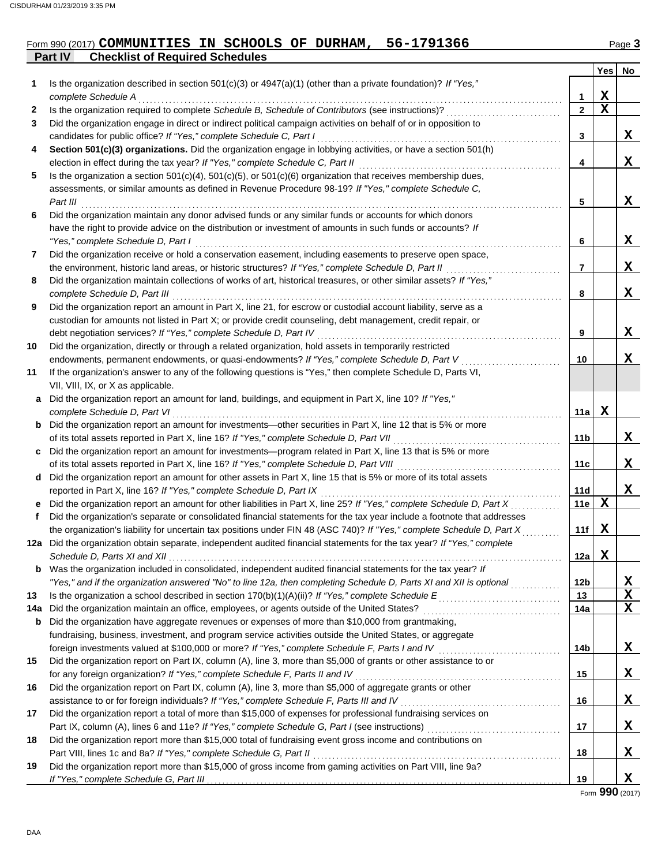#### **Part IV Checklist of Required Schedules** Form 990 (2017) **COMMUNITIES IN SCHOOLS OF DURHAM, 56-1791366** Page 3

|     |                                                                                                                                                 |                      | Yes | No. |
|-----|-------------------------------------------------------------------------------------------------------------------------------------------------|----------------------|-----|-----|
| 1   | Is the organization described in section $501(c)(3)$ or $4947(a)(1)$ (other than a private foundation)? If "Yes,"                               |                      |     |     |
|     | complete Schedule A                                                                                                                             | 1                    | X   |     |
| 2   | Is the organization required to complete Schedule B, Schedule of Contributors (see instructions)?                                               | $\overline{2}$       | X   |     |
| 3   | Did the organization engage in direct or indirect political campaign activities on behalf of or in opposition to                                |                      |     |     |
|     | candidates for public office? If "Yes," complete Schedule C, Part I                                                                             | 3                    |     | X.  |
| 4   | Section 501(c)(3) organizations. Did the organization engage in lobbying activities, or have a section 501(h)                                   |                      |     |     |
|     | election in effect during the tax year? If "Yes," complete Schedule C, Part II                                                                  | 4                    |     | X   |
| 5   | Is the organization a section $501(c)(4)$ , $501(c)(5)$ , or $501(c)(6)$ organization that receives membership dues,                            |                      |     |     |
|     | assessments, or similar amounts as defined in Revenue Procedure 98-19? If "Yes," complete Schedule C,                                           |                      |     |     |
|     | Part III                                                                                                                                        | 5                    |     | X.  |
| 6   | Did the organization maintain any donor advised funds or any similar funds or accounts for which donors                                         |                      |     |     |
|     | have the right to provide advice on the distribution or investment of amounts in such funds or accounts? If                                     | 6                    |     | x   |
| 7   | "Yes," complete Schedule D, Part I<br>Did the organization receive or hold a conservation easement, including easements to preserve open space, |                      |     |     |
|     | the environment, historic land areas, or historic structures? If "Yes," complete Schedule D, Part II                                            | $\overline{7}$       |     | X.  |
| 8   | Did the organization maintain collections of works of art, historical treasures, or other similar assets? If "Yes,"                             |                      |     |     |
|     | complete Schedule D, Part III                                                                                                                   | 8                    |     | X   |
| 9   | Did the organization report an amount in Part X, line 21, for escrow or custodial account liability, serve as a                                 |                      |     |     |
|     | custodian for amounts not listed in Part X; or provide credit counseling, debt management, credit repair, or                                    |                      |     |     |
|     | debt negotiation services? If "Yes," complete Schedule D, Part IV                                                                               | 9                    |     | x   |
| 10  | Did the organization, directly or through a related organization, hold assets in temporarily restricted                                         |                      |     |     |
|     | endowments, permanent endowments, or quasi-endowments? If "Yes," complete Schedule D, Part V                                                    | 10                   |     | x   |
| 11  | If the organization's answer to any of the following questions is "Yes," then complete Schedule D, Parts VI,                                    |                      |     |     |
|     | VII, VIII, IX, or X as applicable.                                                                                                              |                      |     |     |
| a   | Did the organization report an amount for land, buildings, and equipment in Part X, line 10? If "Yes,"                                          |                      |     |     |
|     | complete Schedule D, Part VI                                                                                                                    | 11a                  | X   |     |
|     | <b>b</b> Did the organization report an amount for investments—other securities in Part X, line 12 that is 5% or more                           |                      |     |     |
|     | of its total assets reported in Part X, line 16? If "Yes," complete Schedule D, Part VII                                                        | 11b                  |     | X.  |
| C   | Did the organization report an amount for investments—program related in Part X, line 13 that is 5% or more                                     |                      |     |     |
|     | of its total assets reported in Part X, line 16? If "Yes," complete Schedule D, Part VIII                                                       | 11c                  |     | x   |
|     | d Did the organization report an amount for other assets in Part X, line 15 that is 5% or more of its total assets                              |                      |     |     |
|     | reported in Part X, line 16? If "Yes," complete Schedule D, Part IX                                                                             | 11d                  |     | x   |
| e   | Did the organization report an amount for other liabilities in Part X, line 25? If "Yes," complete Schedule D, Part X                           | 11e                  | X   |     |
| f.  | Did the organization's separate or consolidated financial statements for the tax year include a footnote that addresses                         |                      |     |     |
|     | the organization's liability for uncertain tax positions under FIN 48 (ASC 740)? If "Yes," complete Schedule D, Part X                          | 11f                  | X   |     |
|     | 12a Did the organization obtain separate, independent audited financial statements for the tax year? If "Yes," complete                         |                      |     |     |
|     | Schedule D. Parts XI and XII                                                                                                                    | 12a   $\overline{X}$ |     |     |
|     | <b>b</b> Was the organization included in consolidated, independent audited financial statements for the tax year? If                           |                      |     |     |
|     | "Yes," and if the organization answered "No" to line 12a, then completing Schedule D, Parts XI and XII is optional                              | 12b                  |     | x   |
| 13  |                                                                                                                                                 | 13                   |     | x   |
| 14a | Did the organization maintain an office, employees, or agents outside of the United States?                                                     | 14a                  |     | x   |
| b   | Did the organization have aggregate revenues or expenses of more than \$10,000 from grantmaking,                                                |                      |     |     |
|     | fundraising, business, investment, and program service activities outside the United States, or aggregate                                       |                      |     |     |
|     | foreign investments valued at \$100,000 or more? If "Yes," complete Schedule F, Parts I and IV [[[[[[[[[[[[[[[[                                 | 14b                  |     | X   |
| 15  | Did the organization report on Part IX, column (A), line 3, more than \$5,000 of grants or other assistance to or                               |                      |     |     |
|     | for any foreign organization? If "Yes," complete Schedule F, Parts II and IV                                                                    | 15                   |     | X   |
| 16  | Did the organization report on Part IX, column (A), line 3, more than \$5,000 of aggregate grants or other                                      |                      |     |     |
|     | assistance to or for foreign individuals? If "Yes," complete Schedule F, Parts III and IV                                                       | 16                   |     | X   |
| 17  | Did the organization report a total of more than \$15,000 of expenses for professional fundraising services on                                  |                      |     |     |
|     |                                                                                                                                                 | 17                   |     | X   |
| 18  | Did the organization report more than \$15,000 total of fundraising event gross income and contributions on                                     |                      |     |     |
|     |                                                                                                                                                 | 18                   |     | X   |
| 19  | Did the organization report more than \$15,000 of gross income from gaming activities on Part VIII, line 9a?                                    |                      |     |     |
|     |                                                                                                                                                 | 19                   |     | X   |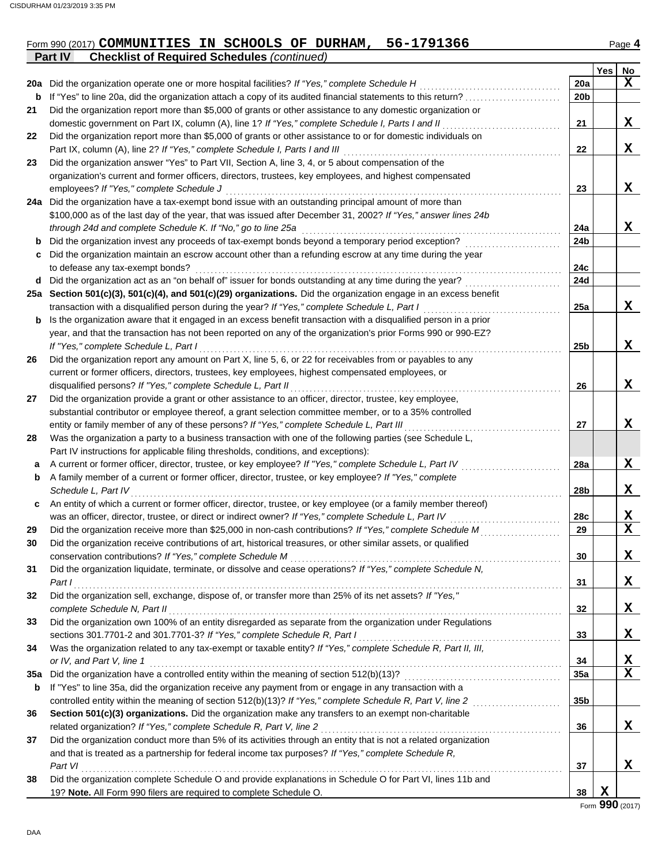| Form 990 (2017) COMMUNITIES IN SCHOOLS OF DURHAM, 56-1791366 |  |  | Page 4 |
|--------------------------------------------------------------|--|--|--------|
| <b>Part IV</b> Checklist of Required Schedules (continued)   |  |  |        |

|     |                                                                                                                                                                                                |                 | Yes | No          |
|-----|------------------------------------------------------------------------------------------------------------------------------------------------------------------------------------------------|-----------------|-----|-------------|
|     | 20a Did the organization operate one or more hospital facilities? If "Yes," complete Schedule H                                                                                                | 20a             |     | $\mathbf x$ |
| b   | If "Yes" to line 20a, did the organization attach a copy of its audited financial statements to this return?                                                                                   | 20 <sub>b</sub> |     |             |
| 21  | Did the organization report more than \$5,000 of grants or other assistance to any domestic organization or                                                                                    |                 |     |             |
|     | domestic government on Part IX, column (A), line 1? If "Yes," complete Schedule I, Parts I and II                                                                                              | 21              |     | X           |
| 22  | Did the organization report more than \$5,000 of grants or other assistance to or for domestic individuals on                                                                                  |                 |     |             |
|     | Part IX, column (A), line 2? If "Yes," complete Schedule I, Parts I and III                                                                                                                    | 22              |     | X           |
| 23  | Did the organization answer "Yes" to Part VII, Section A, line 3, 4, or 5 about compensation of the                                                                                            |                 |     |             |
|     | organization's current and former officers, directors, trustees, key employees, and highest compensated                                                                                        |                 |     |             |
|     | employees? If "Yes," complete Schedule J                                                                                                                                                       | 23              |     | X           |
|     | 24a Did the organization have a tax-exempt bond issue with an outstanding principal amount of more than                                                                                        |                 |     |             |
|     | \$100,000 as of the last day of the year, that was issued after December 31, 2002? If "Yes," answer lines 24b                                                                                  |                 |     |             |
|     | through 24d and complete Schedule K. If "No," go to line 25a                                                                                                                                   | 24a             |     | X           |
| b   | Did the organization invest any proceeds of tax-exempt bonds beyond a temporary period exception?                                                                                              | 24b             |     |             |
| c   | Did the organization maintain an escrow account other than a refunding escrow at any time during the year                                                                                      |                 |     |             |
|     | to defease any tax-exempt bonds?                                                                                                                                                               | 24c             |     |             |
| d   | Did the organization act as an "on behalf of" issuer for bonds outstanding at any time during the year?                                                                                        | 24d             |     |             |
|     | 25a Section 501(c)(3), 501(c)(4), and 501(c)(29) organizations. Did the organization engage in an excess benefit                                                                               |                 |     |             |
|     | transaction with a disqualified person during the year? If "Yes," complete Schedule L, Part I                                                                                                  | 25a             |     | X           |
| b   | Is the organization aware that it engaged in an excess benefit transaction with a disqualified person in a prior                                                                               |                 |     |             |
|     | year, and that the transaction has not been reported on any of the organization's prior Forms 990 or 990-EZ?                                                                                   |                 |     |             |
|     | If "Yes," complete Schedule L, Part I                                                                                                                                                          | 25 <sub>b</sub> |     | X           |
| 26  | Did the organization report any amount on Part X, line 5, 6, or 22 for receivables from or payables to any                                                                                     |                 |     |             |
|     | current or former officers, directors, trustees, key employees, highest compensated employees, or                                                                                              |                 |     |             |
|     | disqualified persons? If "Yes," complete Schedule L, Part II                                                                                                                                   | 26              |     | X           |
| 27  | Did the organization provide a grant or other assistance to an officer, director, trustee, key employee,                                                                                       |                 |     |             |
|     | substantial contributor or employee thereof, a grant selection committee member, or to a 35% controlled                                                                                        |                 |     |             |
|     | entity or family member of any of these persons? If "Yes," complete Schedule L, Part III                                                                                                       | 27              |     | X           |
| 28  | Was the organization a party to a business transaction with one of the following parties (see Schedule L,                                                                                      |                 |     |             |
|     |                                                                                                                                                                                                |                 |     |             |
|     | Part IV instructions for applicable filing thresholds, conditions, and exceptions):<br>A current or former officer, director, trustee, or key employee? If "Yes," complete Schedule L, Part IV | 28a             |     | X           |
| a   | A family member of a current or former officer, director, trustee, or key employee? If "Yes," complete                                                                                         |                 |     |             |
| b   | Schedule L, Part IV                                                                                                                                                                            | 28b             |     | X           |
| C   | An entity of which a current or former officer, director, trustee, or key employee (or a family member thereof)                                                                                |                 |     |             |
|     | was an officer, director, trustee, or direct or indirect owner? If "Yes," complete Schedule L, Part IV                                                                                         | 28c             |     | X           |
| 29  | Did the organization receive more than \$25,000 in non-cash contributions? If "Yes," complete Schedule M                                                                                       | 29              |     | X           |
| 30  | Did the organization receive contributions of art, historical treasures, or other similar assets, or qualified                                                                                 |                 |     |             |
|     | conservation contributions? If "Yes," complete Schedule M                                                                                                                                      | 30              |     | X           |
| 31  | Did the organization liquidate, terminate, or dissolve and cease operations? If "Yes," complete Schedule N,                                                                                    |                 |     |             |
|     | Part I                                                                                                                                                                                         | 31              |     | X           |
| 32  | Did the organization sell, exchange, dispose of, or transfer more than 25% of its net assets? If "Yes,"                                                                                        |                 |     |             |
|     | complete Schedule N, Part II                                                                                                                                                                   | 32              |     | X           |
| 33  | Did the organization own 100% of an entity disregarded as separate from the organization under Regulations                                                                                     |                 |     |             |
|     | sections 301.7701-2 and 301.7701-3? If "Yes," complete Schedule R, Part I                                                                                                                      | 33              |     | X           |
| 34  | Was the organization related to any tax-exempt or taxable entity? If "Yes," complete Schedule R, Part II, III,                                                                                 |                 |     |             |
|     | or IV, and Part V, line 1                                                                                                                                                                      | 34              |     | X           |
| 35a | Did the organization have a controlled entity within the meaning of section 512(b)(13)?                                                                                                        | 35a             |     | X           |
| b   | If "Yes" to line 35a, did the organization receive any payment from or engage in any transaction with a                                                                                        |                 |     |             |
|     | controlled entity within the meaning of section 512(b)(13)? If "Yes," complete Schedule R, Part V, line 2                                                                                      | 35b             |     |             |
| 36  | Section 501(c)(3) organizations. Did the organization make any transfers to an exempt non-charitable                                                                                           |                 |     |             |
|     | related organization? If "Yes," complete Schedule R, Part V, line 2                                                                                                                            | 36              |     | X           |
| 37  | Did the organization conduct more than 5% of its activities through an entity that is not a related organization                                                                               |                 |     |             |
|     | and that is treated as a partnership for federal income tax purposes? If "Yes," complete Schedule R,                                                                                           |                 |     |             |
|     | Part VI                                                                                                                                                                                        | 37              |     | X           |
| 38  | Did the organization complete Schedule O and provide explanations in Schedule O for Part VI, lines 11b and                                                                                     |                 |     |             |
|     | 19? Note. All Form 990 filers are required to complete Schedule O.                                                                                                                             | 38              | X   |             |
|     |                                                                                                                                                                                                |                 |     |             |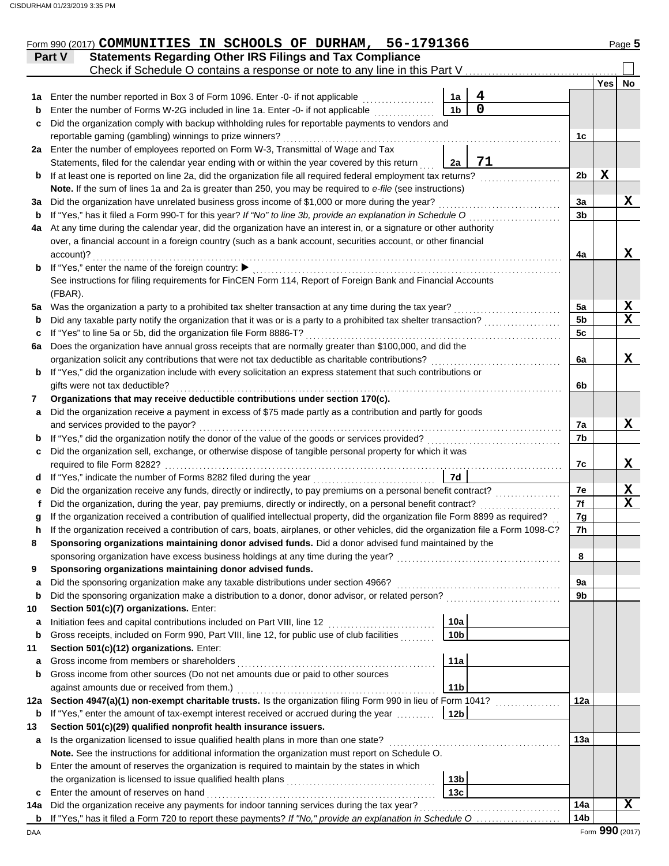|     | Form 990 (2017) COMMUNITIES IN SCHOOLS OF DURHAM, 56-1791366                                                                                                                                      |                 |            | Page 5          |
|-----|---------------------------------------------------------------------------------------------------------------------------------------------------------------------------------------------------|-----------------|------------|-----------------|
|     | <b>Statements Regarding Other IRS Filings and Tax Compliance</b><br>Part V                                                                                                                        |                 |            |                 |
|     | Check if Schedule O contains a response or note to any line in this Part V                                                                                                                        |                 |            |                 |
|     |                                                                                                                                                                                                   |                 | <b>Yes</b> | No              |
| 1a  | 4<br>Enter the number reported in Box 3 of Form 1096. Enter -0- if not applicable<br>1a<br>$\overline{0}$                                                                                         |                 |            |                 |
| b   | 1 <sub>b</sub><br>Enter the number of Forms W-2G included in line 1a. Enter -0- if not applicable                                                                                                 |                 |            |                 |
| c   | Did the organization comply with backup withholding rules for reportable payments to vendors and                                                                                                  |                 |            |                 |
|     | reportable gaming (gambling) winnings to prize winners?                                                                                                                                           | 1c              |            |                 |
|     | 2a Enter the number of employees reported on Form W-3, Transmittal of Wage and Tax<br>71<br>Statements, filed for the calendar year ending with or within the year covered by this return         |                 |            |                 |
|     | 2a<br>If at least one is reported on line 2a, did the organization file all required federal employment tax returns?                                                                              | 2 <sub>b</sub>  | X          |                 |
| b   | Note. If the sum of lines 1a and 2a is greater than 250, you may be required to e-file (see instructions)                                                                                         |                 |            |                 |
| За  | Did the organization have unrelated business gross income of \$1,000 or more during the year?                                                                                                     | 3a              |            | X               |
| b   | If "Yes," has it filed a Form 990-T for this year? If "No" to line 3b, provide an explanation in Schedule O                                                                                       | 3 <sub>b</sub>  |            |                 |
| 4a  | At any time during the calendar year, did the organization have an interest in, or a signature or other authority                                                                                 |                 |            |                 |
|     | over, a financial account in a foreign country (such as a bank account, securities account, or other financial                                                                                    |                 |            |                 |
|     | account)?                                                                                                                                                                                         | 4a              |            | X               |
| b   | If "Yes," enter the name of the foreign country: ▶                                                                                                                                                |                 |            |                 |
|     | See instructions for filing requirements for FinCEN Form 114, Report of Foreign Bank and Financial Accounts                                                                                       |                 |            |                 |
|     | (FBAR).                                                                                                                                                                                           |                 |            |                 |
| 5а  | Was the organization a party to a prohibited tax shelter transaction at any time during the tax year?                                                                                             | 5a              |            | X               |
| b   | Did any taxable party notify the organization that it was or is a party to a prohibited tax shelter transaction?                                                                                  | 5 <sub>b</sub>  |            | $\mathbf x$     |
| c   | If "Yes" to line 5a or 5b, did the organization file Form 8886-T?                                                                                                                                 | 5c              |            |                 |
| 6a  | Does the organization have annual gross receipts that are normally greater than \$100,000, and did the                                                                                            |                 |            |                 |
|     | organization solicit any contributions that were not tax deductible as charitable contributions?                                                                                                  | 6a              |            | X               |
| b   | If "Yes," did the organization include with every solicitation an express statement that such contributions or                                                                                    |                 |            |                 |
|     | gifts were not tax deductible?                                                                                                                                                                    | 6b              |            |                 |
| 7   | Organizations that may receive deductible contributions under section 170(c).                                                                                                                     |                 |            |                 |
| a   | Did the organization receive a payment in excess of \$75 made partly as a contribution and partly for goods                                                                                       |                 |            |                 |
|     | and services provided to the payor?                                                                                                                                                               | 7a              |            | X               |
| b   | If "Yes," did the organization notify the donor of the value of the goods or services provided?                                                                                                   | 7b              |            |                 |
| c   | Did the organization sell, exchange, or otherwise dispose of tangible personal property for which it was                                                                                          |                 |            |                 |
|     | required to file Form 8282?<br>7d                                                                                                                                                                 | 7c              |            | X               |
| d   | If "Yes," indicate the number of Forms 8282 filed during the year<br>Did the organization receive any funds, directly or indirectly, to pay premiums on a personal benefit contract?              | 7e              |            | X               |
| е   | Did the organization, during the year, pay premiums, directly or indirectly, on a personal benefit contract?                                                                                      | 7f              |            | $\mathbf{x}$    |
|     | If the organization received a contribution of qualified intellectual property, did the organization file Form 8899 as required?                                                                  | 7g              |            |                 |
|     | If the organization received a contribution of cars, boats, airplanes, or other vehicles, did the organization file a Form 1098-C?                                                                | 7 <sub>h</sub>  |            |                 |
| 8   | Sponsoring organizations maintaining donor advised funds. Did a donor advised fund maintained by the                                                                                              |                 |            |                 |
|     | sponsoring organization have excess business holdings at any time during the year?                                                                                                                | 8               |            |                 |
| 9   | Sponsoring organizations maintaining donor advised funds.                                                                                                                                         |                 |            |                 |
| a   | Did the sponsoring organization make any taxable distributions under section 4966?                                                                                                                | 9а              |            |                 |
| b   | Did the sponsoring organization make a distribution to a donor, donor advisor, or related person?                                                                                                 | 9b              |            |                 |
| 10  | Section 501(c)(7) organizations. Enter:                                                                                                                                                           |                 |            |                 |
| а   | 10a<br>Initiation fees and capital contributions included on Part VIII, line 12                                                                                                                   |                 |            |                 |
| b   | Gross receipts, included on Form 990, Part VIII, line 12, for public use of club facilities<br>10 <sub>b</sub>                                                                                    |                 |            |                 |
| 11  | Section 501(c)(12) organizations. Enter:                                                                                                                                                          |                 |            |                 |
| а   | Gross income from members or shareholders<br>11a                                                                                                                                                  |                 |            |                 |
| b   | Gross income from other sources (Do not net amounts due or paid to other sources                                                                                                                  |                 |            |                 |
|     | 11 <sub>b</sub><br>against amounts due or received from them.)                                                                                                                                    |                 |            |                 |
| 12a | Section 4947(a)(1) non-exempt charitable trusts. Is the organization filing Form 990 in lieu of Form 1041?                                                                                        | 12a             |            |                 |
| b   | If "Yes," enter the amount of tax-exempt interest received or accrued during the year<br>12 <sub>b</sub>                                                                                          |                 |            |                 |
| 13  | Section 501(c)(29) qualified nonprofit health insurance issuers.                                                                                                                                  |                 |            |                 |
| a   | Is the organization licensed to issue qualified health plans in more than one state?                                                                                                              | 13a             |            |                 |
| b   | Note. See the instructions for additional information the organization must report on Schedule O.<br>Enter the amount of reserves the organization is required to maintain by the states in which |                 |            |                 |
|     | 13 <sub>b</sub><br>the organization is licensed to issue qualified health plans                                                                                                                   |                 |            |                 |
| c   | 13c<br>Enter the amount of reserves on hand                                                                                                                                                       |                 |            |                 |
| 14a | Did the organization receive any payments for indoor tanning services during the tax year?                                                                                                        | 14a             |            | X               |
| b   | If "Yes," has it filed a Form 720 to report these payments? If "No," provide an explanation in Schedule O                                                                                         | 14 <sub>b</sub> |            |                 |
| DAA |                                                                                                                                                                                                   |                 |            | Form 990 (2017) |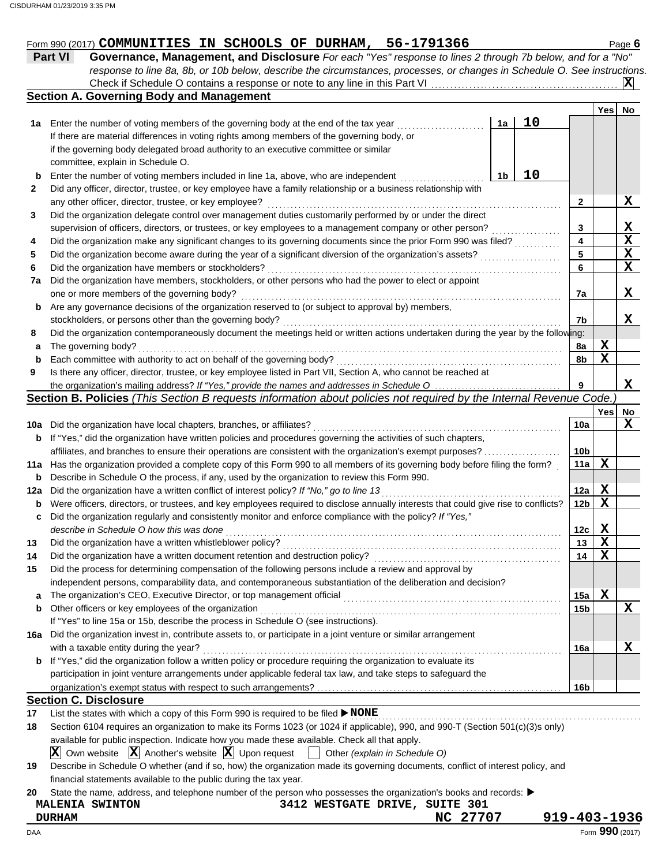|     | Form 990 (2017) COMMUNITIES IN SCHOOLS OF DURHAM, 56-1791366                                                                        |    |    |                         |             | Page 6                  |
|-----|-------------------------------------------------------------------------------------------------------------------------------------|----|----|-------------------------|-------------|-------------------------|
|     | Part VI<br>Governance, Management, and Disclosure For each "Yes" response to lines 2 through 7b below, and for a "No"               |    |    |                         |             |                         |
|     | response to line 8a, 8b, or 10b below, describe the circumstances, processes, or changes in Schedule O. See instructions.           |    |    |                         |             |                         |
|     | Check if Schedule O contains a response or note to any line in this Part VI.                                                        |    |    |                         |             | $ \mathbf{x} $          |
|     | <b>Section A. Governing Body and Management</b>                                                                                     |    |    |                         |             |                         |
|     |                                                                                                                                     |    |    |                         | <b>Yes</b>  | <b>No</b>               |
|     | 1a Enter the number of voting members of the governing body at the end of the tax year                                              | 1a | 10 |                         |             |                         |
|     | If there are material differences in voting rights among members of the governing body, or                                          |    |    |                         |             |                         |
|     | if the governing body delegated broad authority to an executive committee or similar                                                |    |    |                         |             |                         |
|     | committee, explain in Schedule O.                                                                                                   |    |    |                         |             |                         |
| b   | Enter the number of voting members included in line 1a, above, who are independent                                                  | 1b | 10 |                         |             |                         |
| 2   | Did any officer, director, trustee, or key employee have a family relationship or a business relationship with                      |    |    |                         |             |                         |
|     | any other officer, director, trustee, or key employee?                                                                              |    |    | 2                       |             | X                       |
| 3   | Did the organization delegate control over management duties customarily performed by or under the direct                           |    |    |                         |             |                         |
|     |                                                                                                                                     |    |    | 3                       |             | X                       |
| 4   | Did the organization make any significant changes to its governing documents since the prior Form 990 was filed?                    |    |    | $\overline{\mathbf{4}}$ |             | $\overline{\mathbf{x}}$ |
| 5   | Did the organization become aware during the year of a significant diversion of the organization's assets?                          |    |    | 5                       |             | $\overline{\mathbf{X}}$ |
| 6   | Did the organization have members or stockholders?                                                                                  |    |    | 6                       |             | $\mathbf x$             |
| 7a  | Did the organization have members, stockholders, or other persons who had the power to elect or appoint                             |    |    |                         |             |                         |
|     | one or more members of the governing body?                                                                                          |    |    | 7a                      |             | X.                      |
| b   | Are any governance decisions of the organization reserved to (or subject to approval by) members,                                   |    |    |                         |             |                         |
|     | stockholders, or persons other than the governing body?                                                                             |    |    | 7b                      |             | x                       |
| 8   | Did the organization contemporaneously document the meetings held or written actions undertaken during the year by the following:   |    |    |                         |             |                         |
| a   | The governing body?                                                                                                                 |    |    | 8a                      | X           |                         |
| b   | Each committee with authority to act on behalf of the governing body?                                                               |    |    | 8b                      | $\mathbf X$ |                         |
| 9   | Is there any officer, director, trustee, or key employee listed in Part VII, Section A, who cannot be reached at                    |    |    |                         |             |                         |
|     |                                                                                                                                     |    |    | 9                       |             | $\mathbf x$             |
|     | Section B. Policies (This Section B requests information about policies not required by the Internal Revenue Code.)                 |    |    |                         |             |                         |
|     |                                                                                                                                     |    |    |                         | Yes         | No                      |
|     | 10a Did the organization have local chapters, branches, or affiliates?                                                              |    |    | 10a                     |             | X                       |
| b   | If "Yes," did the organization have written policies and procedures governing the activities of such chapters,                      |    |    |                         |             |                         |
|     | affiliates, and branches to ensure their operations are consistent with the organization's exempt purposes?                         |    |    | 10 <sub>b</sub>         |             |                         |
|     | 11a Has the organization provided a complete copy of this Form 990 to all members of its governing body before filing the form?     |    |    | 11a                     | X           |                         |
| b   | Describe in Schedule O the process, if any, used by the organization to review this Form 990.                                       |    |    |                         |             |                         |
| 12a | Did the organization have a written conflict of interest policy? If "No," go to line 13                                             |    |    | 12a                     | X           |                         |
| b   | Were officers, directors, or trustees, and key employees required to disclose annually interests that could give rise to conflicts? |    |    | 12 <sub>b</sub>         | $\mathbf X$ |                         |

|    | describe in Schedule O how this was done                                                                           | 12c             |
|----|--------------------------------------------------------------------------------------------------------------------|-----------------|
| 13 |                                                                                                                    | 13              |
| 14 | Did the organization have a written document retention and destruction policy?                                     | 14              |
| 15 | Did the process for determining compensation of the following persons include a review and approval by             |                 |
|    | independent persons, comparability data, and contemporaneous substantiation of the deliberation and decision?      |                 |
| a  |                                                                                                                    | 15a             |
| b  | Other officers or key employees of the organization                                                                | 15 <sub>b</sub> |
|    | If "Yes" to line 15a or 15b, describe the process in Schedule O (see instructions).                                |                 |
|    | 16a Did the organization invest in, contribute assets to, or participate in a joint venture or similar arrangement |                 |
|    | with a taxable entity during the year?                                                                             | 16a             |
| b  | If "Yes," did the organization follow a written policy or procedure requiring the organization to evaluate its     |                 |
|    | participation in joint venture arrangements under applicable federal tax law, and take steps to safeguard the      |                 |
|    |                                                                                                                    | 16 <sub>b</sub> |
|    | <b>Section C. Disclosure</b>                                                                                       |                 |

**c** Did the organization regularly and consistently monitor and enforce compliance with the policy? *If "Yes,"*

**17** List the states with which a copy of this Form 990 is required to be filed ▶ NONE

| 18                                                                                            | Section 6104 requires an organization to make its Forms 1023 (or 1024 if applicable), 990, and 990-T (Section 501(c)(3)s only)                                         |  |  |  |  |  |  |  |  |  |
|-----------------------------------------------------------------------------------------------|------------------------------------------------------------------------------------------------------------------------------------------------------------------------|--|--|--|--|--|--|--|--|--|
| available for public inspection. Indicate how you made these available. Check all that apply. |                                                                                                                                                                        |  |  |  |  |  |  |  |  |  |
|                                                                                               | $\boxed{\mathbf{X}}$ Own website $\boxed{\mathbf{X}}$ Another's website $\boxed{\mathbf{X}}$ Upon request $\boxed{\phantom{\mathbf{X}}}$ Other (explain in Schedule O) |  |  |  |  |  |  |  |  |  |
| 19                                                                                            | Describe in Schedule O whether (and if so, how) the organization made its governing documents, conflict of interest policy, and                                        |  |  |  |  |  |  |  |  |  |
|                                                                                               | financial statements available to the public during the tax year.                                                                                                      |  |  |  |  |  |  |  |  |  |
| 20                                                                                            | State the name, address, and telephone number of the person who possesses the organization's books and records:                                                        |  |  |  |  |  |  |  |  |  |

## **MALENIA SWINTON 3412 WESTGATE DRIVE, SUITE 301 DURHAM NC 27707 919-403-1936**

**X X X**

**X**

**X**

**X**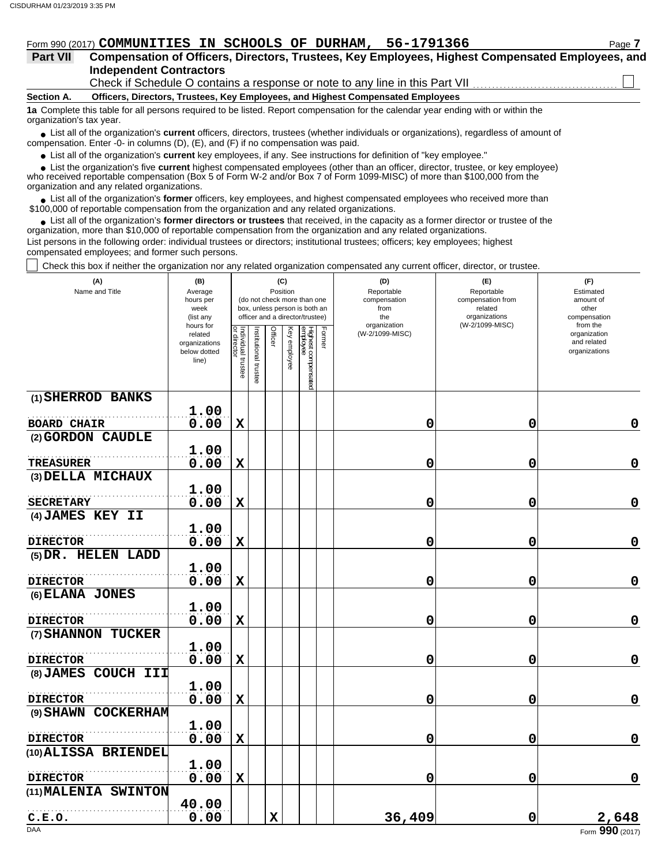#### Form 990 (2017) **COMMUNITIES IN SCHOOLS OF DURHAM, 56-1791366** Page 7

### **Independent Contractors Part VII Compensation of Officers, Directors, Trustees, Key Employees, Highest Compensated Employees, and**

Check if Schedule O contains a response or note to any line in this Part VII

**Section A. Officers, Directors, Trustees, Key Employees, and Highest Compensated Employees**

**1a** Complete this table for all persons required to be listed. Report compensation for the calendar year ending with or within the organization's tax year.

■ List all of the organization's **current** officers, directors, trustees (whether individuals or organizations), regardless of amount of compensation. Enter -0- in columns (D), (E), and (F) if no compensation was paid.

● List all of the organization's **current** key employees, if any. See instructions for definition of "key employee."

 $\bullet$  List the organization's five **current** highest compensated employees (other than an officer, director, trustee, or key employee)<br>a received reportable compensation (Box 5 of Form  $M-2$  and/or Box 7 of Form 1000-MISC)

who received reportable compensation (Box 5 of Form W-2 and/or Box 7 of Form 1099-MISC) of more than \$100,000 from the organization and any related organizations.

• List all of the organization's **former** officers, key employees, and highest compensated employees who received more than<br>00,000 of reportable compensation from the erganization and any related erganizations. \$100,000 of reportable compensation from the organization and any related organizations.

• List all of the organization's **former directors or trustees** that received, in the capacity as a former director or trustee of the organization, more than \$10,000 of reportable compensation from the organization and any related organizations. List persons in the following order: individual trustees or directors; institutional trustees; officers; key employees; highest compensated employees; and former such persons.

Check this box if neither the organization nor any related organization compensated any current officer, director, or trustee.

| (A)<br>Name and Title                   | (B)<br>Average<br>hours per<br>week<br>(list any               |                                   |                      | (C)<br>Position |              | (do not check more than one<br>box, unless person is both an<br>officer and a director/trustee) | (D)<br>Reportable<br>compensation<br>from<br>the<br>organization | (E)<br>Reportable<br>compensation from<br>related<br>organizations<br>(W-2/1099-MISC) | (F)<br>Estimated<br>amount of<br>other<br>compensation<br>from the |
|-----------------------------------------|----------------------------------------------------------------|-----------------------------------|----------------------|-----------------|--------------|-------------------------------------------------------------------------------------------------|------------------------------------------------------------------|---------------------------------------------------------------------------------------|--------------------------------------------------------------------|
|                                         | hours for<br>related<br>organizations<br>below dotted<br>line) | Individual trustee<br>or director | nstitutional trustee | Officer         | Key employee | Former<br>Highest compensated<br>employee                                                       | (W-2/1099-MISC)                                                  |                                                                                       | organization<br>and related<br>organizations                       |
| (1) SHERROD BANKS                       | 1.00                                                           |                                   |                      |                 |              |                                                                                                 |                                                                  |                                                                                       |                                                                    |
| <b>BOARD CHAIR</b>                      | 0.00                                                           | $\mathbf X$                       |                      |                 |              |                                                                                                 | 0                                                                | 0                                                                                     | 0                                                                  |
| (2) GORDON CAUDLE                       |                                                                |                                   |                      |                 |              |                                                                                                 |                                                                  |                                                                                       |                                                                    |
| <b>TREASURER</b>                        | 1.00<br>0.00                                                   | $\mathbf X$                       |                      |                 |              |                                                                                                 | 0                                                                | 0                                                                                     | $\mathbf 0$                                                        |
| (3) DELLA MICHAUX                       |                                                                |                                   |                      |                 |              |                                                                                                 |                                                                  |                                                                                       |                                                                    |
|                                         | 1.00                                                           |                                   |                      |                 |              |                                                                                                 |                                                                  |                                                                                       |                                                                    |
| <b>SECRETARY</b>                        | 0.00                                                           | $\mathbf X$                       |                      |                 |              |                                                                                                 | 0                                                                | 0                                                                                     | 0                                                                  |
| (4) JAMES KEY II                        |                                                                |                                   |                      |                 |              |                                                                                                 |                                                                  |                                                                                       |                                                                    |
| <b>DIRECTOR</b>                         | 1.00<br>0.00                                                   | $\mathbf x$                       |                      |                 |              |                                                                                                 | 0                                                                | 0                                                                                     | $\pmb{0}$                                                          |
| (5) DR. HELEN LADD                      |                                                                |                                   |                      |                 |              |                                                                                                 |                                                                  |                                                                                       |                                                                    |
|                                         | 1.00                                                           |                                   |                      |                 |              |                                                                                                 |                                                                  |                                                                                       |                                                                    |
| <b>DIRECTOR</b>                         | 0.00                                                           | $\mathbf x$                       |                      |                 |              |                                                                                                 | 0                                                                | 0                                                                                     | 0                                                                  |
| (6) ELANA JONES                         |                                                                |                                   |                      |                 |              |                                                                                                 |                                                                  |                                                                                       |                                                                    |
|                                         | 1.00                                                           |                                   |                      |                 |              |                                                                                                 |                                                                  |                                                                                       |                                                                    |
| <b>DIRECTOR</b>                         | 0.00                                                           | $\mathbf X$                       |                      |                 |              |                                                                                                 | 0                                                                | 0                                                                                     | $\mathbf 0$                                                        |
| (7) SHANNON TUCKER                      | 1.00                                                           |                                   |                      |                 |              |                                                                                                 |                                                                  |                                                                                       |                                                                    |
| <b>DIRECTOR</b>                         | 0.00                                                           | $\mathbf X$                       |                      |                 |              |                                                                                                 | 0                                                                | 0                                                                                     | 0                                                                  |
| (8) JAMES COUCH III                     |                                                                |                                   |                      |                 |              |                                                                                                 |                                                                  |                                                                                       |                                                                    |
|                                         | 1.00                                                           |                                   |                      |                 |              |                                                                                                 |                                                                  |                                                                                       |                                                                    |
| <b>DIRECTOR</b>                         | 0.00                                                           | $\mathbf x$                       |                      |                 |              |                                                                                                 | 0                                                                | 0                                                                                     | $\mathbf 0$                                                        |
| (9) SHAWN COCKERHAM                     |                                                                |                                   |                      |                 |              |                                                                                                 |                                                                  |                                                                                       |                                                                    |
|                                         | 1.00                                                           |                                   |                      |                 |              |                                                                                                 |                                                                  |                                                                                       |                                                                    |
| <b>DIRECTOR</b>                         | 0.00                                                           | $\mathbf x$                       |                      |                 |              |                                                                                                 | 0                                                                | 0                                                                                     | $\mathbf 0$                                                        |
| (10) ALISSA BRIENDEL                    |                                                                |                                   |                      |                 |              |                                                                                                 |                                                                  |                                                                                       |                                                                    |
|                                         | 1.00                                                           |                                   |                      |                 |              |                                                                                                 |                                                                  |                                                                                       |                                                                    |
| <b>DIRECTOR</b><br>(11) MALENIA SWINTON | 0.00                                                           | $\mathbf x$                       |                      |                 |              |                                                                                                 | 0                                                                | 0                                                                                     | 0                                                                  |
|                                         | 40.00                                                          |                                   |                      |                 |              |                                                                                                 |                                                                  |                                                                                       |                                                                    |
| C.E.O.                                  | 0.00                                                           |                                   |                      | $\mathbf x$     |              |                                                                                                 | 36,409                                                           | 0                                                                                     | 2,648                                                              |
| <b>DAA</b>                              |                                                                |                                   |                      |                 |              |                                                                                                 |                                                                  |                                                                                       | Form 990 (2017)                                                    |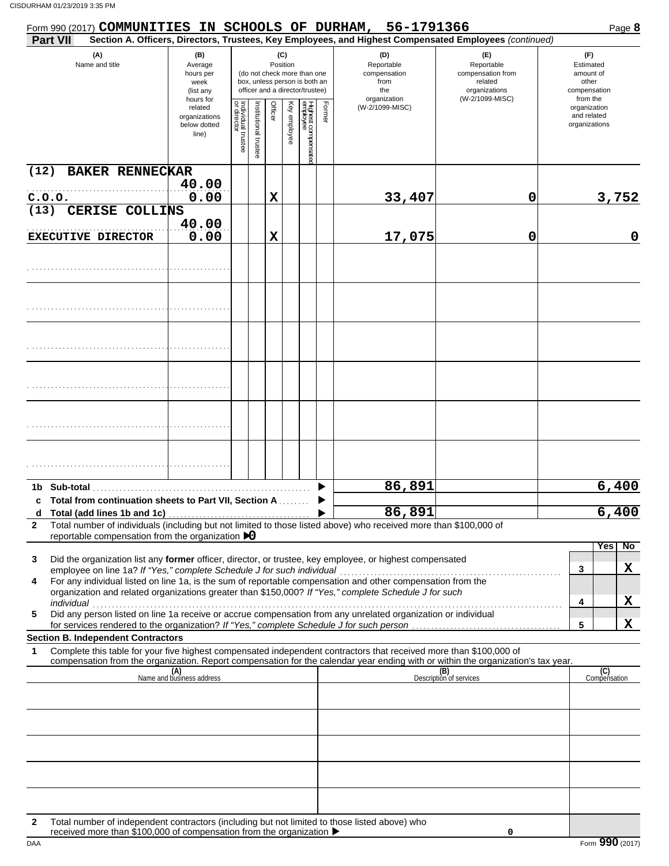| Form 990 (2017) COMMUNITIES IN SCHOOLS OF DURHAM,       |                        |                                                                        |                                   |                       |                 |              |                                                                                                 |                            | 56-1791366                                                                                                                                                                                                                                                                                                                       |                                                                                       | Page 8                                                             |
|---------------------------------------------------------|------------------------|------------------------------------------------------------------------|-----------------------------------|-----------------------|-----------------|--------------|-------------------------------------------------------------------------------------------------|----------------------------|----------------------------------------------------------------------------------------------------------------------------------------------------------------------------------------------------------------------------------------------------------------------------------------------------------------------------------|---------------------------------------------------------------------------------------|--------------------------------------------------------------------|
| Part VII                                                |                        |                                                                        |                                   |                       |                 |              |                                                                                                 |                            | Section A. Officers, Directors, Trustees, Key Employees, and Highest Compensated Employees (continued)                                                                                                                                                                                                                           |                                                                                       |                                                                    |
| (A)<br>Name and title                                   |                        | (B)<br>Average<br>hours per<br>week<br>(list any<br>hours for          |                                   |                       | (C)<br>Position |              | (do not check more than one<br>box, unless person is both an<br>officer and a director/trustee) |                            | (D)<br>Reportable<br>compensation<br>from<br>the<br>organization                                                                                                                                                                                                                                                                 | (E)<br>Reportable<br>compensation from<br>related<br>organizations<br>(W-2/1099-MISC) | (F)<br>Estimated<br>amount of<br>other<br>compensation<br>from the |
|                                                         |                        | related<br>organizations<br>below dotted<br>line)                      | Individual trustee<br>or director | Institutional trustee | Officer         | Key employee | Highest compensatec<br>employee                                                                 | Form<br>$\bar{\mathbb{Q}}$ | (W-2/1099-MISC)                                                                                                                                                                                                                                                                                                                  |                                                                                       | organization<br>and related<br>organizations                       |
| (12)                                                    | <b>BAKER RENNECKAR</b> |                                                                        |                                   |                       |                 |              |                                                                                                 |                            |                                                                                                                                                                                                                                                                                                                                  |                                                                                       |                                                                    |
|                                                         |                        | 40.00                                                                  |                                   |                       |                 |              |                                                                                                 |                            |                                                                                                                                                                                                                                                                                                                                  |                                                                                       |                                                                    |
| C.0.0.<br>(13)                                          | CERISE COLLINS         | 0.00                                                                   |                                   |                       | X               |              |                                                                                                 |                            | 33,407                                                                                                                                                                                                                                                                                                                           | 0                                                                                     | 3,752                                                              |
|                                                         |                        | 40.00                                                                  |                                   |                       |                 |              |                                                                                                 |                            |                                                                                                                                                                                                                                                                                                                                  |                                                                                       |                                                                    |
| <b>EXECUTIVE DIRECTOR</b>                               |                        | 0.00                                                                   |                                   |                       | X               |              |                                                                                                 |                            | 17,075                                                                                                                                                                                                                                                                                                                           | 0                                                                                     | $\mathbf 0$                                                        |
|                                                         |                        |                                                                        |                                   |                       |                 |              |                                                                                                 |                            |                                                                                                                                                                                                                                                                                                                                  |                                                                                       |                                                                    |
|                                                         |                        |                                                                        |                                   |                       |                 |              |                                                                                                 |                            |                                                                                                                                                                                                                                                                                                                                  |                                                                                       |                                                                    |
|                                                         |                        |                                                                        |                                   |                       |                 |              |                                                                                                 |                            |                                                                                                                                                                                                                                                                                                                                  |                                                                                       |                                                                    |
|                                                         |                        |                                                                        |                                   |                       |                 |              |                                                                                                 |                            |                                                                                                                                                                                                                                                                                                                                  |                                                                                       |                                                                    |
|                                                         |                        |                                                                        |                                   |                       |                 |              |                                                                                                 |                            |                                                                                                                                                                                                                                                                                                                                  |                                                                                       |                                                                    |
|                                                         |                        |                                                                        |                                   |                       |                 |              |                                                                                                 |                            |                                                                                                                                                                                                                                                                                                                                  |                                                                                       |                                                                    |
|                                                         |                        |                                                                        |                                   |                       |                 |              |                                                                                                 |                            | 86,891                                                                                                                                                                                                                                                                                                                           |                                                                                       | 6,400                                                              |
| c Total from continuation sheets to Part VII, Section A |                        |                                                                        |                                   |                       |                 |              |                                                                                                 |                            | 86,891                                                                                                                                                                                                                                                                                                                           |                                                                                       | 6,400                                                              |
| $\mathbf{2}$                                            |                        | reportable compensation from the organization $\triangleright$ 0       |                                   |                       |                 |              |                                                                                                 |                            | Total number of individuals (including but not limited to those listed above) who received more than \$100,000 of                                                                                                                                                                                                                |                                                                                       |                                                                    |
| 3<br>4                                                  |                        | employee on line 1a? If "Yes," complete Schedule J for such individual |                                   |                       |                 |              |                                                                                                 |                            | Did the organization list any former officer, director, or trustee, key employee, or highest compensated<br>For any individual listed on line 1a, is the sum of reportable compensation and other compensation from the<br>organization and related organizations greater than \$150,000? If "Yes," complete Schedule J for such |                                                                                       | No<br>Yes<br>X<br>3                                                |
| individual<br>5                                         |                        |                                                                        |                                   |                       |                 |              |                                                                                                 |                            | narviauar<br>Did any person listed on line 1a receive or accrue compensation from any unrelated organization or individual                                                                                                                                                                                                       |                                                                                       | Х<br>4<br>X<br>5                                                   |
| <b>Section B. Independent Contractors</b>               |                        |                                                                        |                                   |                       |                 |              |                                                                                                 |                            |                                                                                                                                                                                                                                                                                                                                  |                                                                                       |                                                                    |
| 1                                                       |                        |                                                                        |                                   |                       |                 |              |                                                                                                 |                            | Complete this table for your five highest compensated independent contractors that received more than \$100,000 of<br>compensation from the organization. Report compensation for the calendar year ending with or within the organization's tax year.                                                                           |                                                                                       |                                                                    |
|                                                         |                        | (A)<br>Name and business address                                       |                                   |                       |                 |              |                                                                                                 |                            |                                                                                                                                                                                                                                                                                                                                  | (B)<br>Description of services                                                        | (C)<br>Compensation                                                |
|                                                         |                        |                                                                        |                                   |                       |                 |              |                                                                                                 |                            |                                                                                                                                                                                                                                                                                                                                  |                                                                                       |                                                                    |
|                                                         |                        |                                                                        |                                   |                       |                 |              |                                                                                                 |                            |                                                                                                                                                                                                                                                                                                                                  |                                                                                       |                                                                    |
|                                                         |                        |                                                                        |                                   |                       |                 |              |                                                                                                 |                            |                                                                                                                                                                                                                                                                                                                                  |                                                                                       |                                                                    |
|                                                         |                        |                                                                        |                                   |                       |                 |              |                                                                                                 |                            |                                                                                                                                                                                                                                                                                                                                  |                                                                                       |                                                                    |
|                                                         |                        |                                                                        |                                   |                       |                 |              |                                                                                                 |                            |                                                                                                                                                                                                                                                                                                                                  |                                                                                       |                                                                    |
| 2                                                       |                        | received more than \$100,000 of compensation from the organization ▶   |                                   |                       |                 |              |                                                                                                 |                            | Total number of independent contractors (including but not limited to those listed above) who                                                                                                                                                                                                                                    | 0                                                                                     |                                                                    |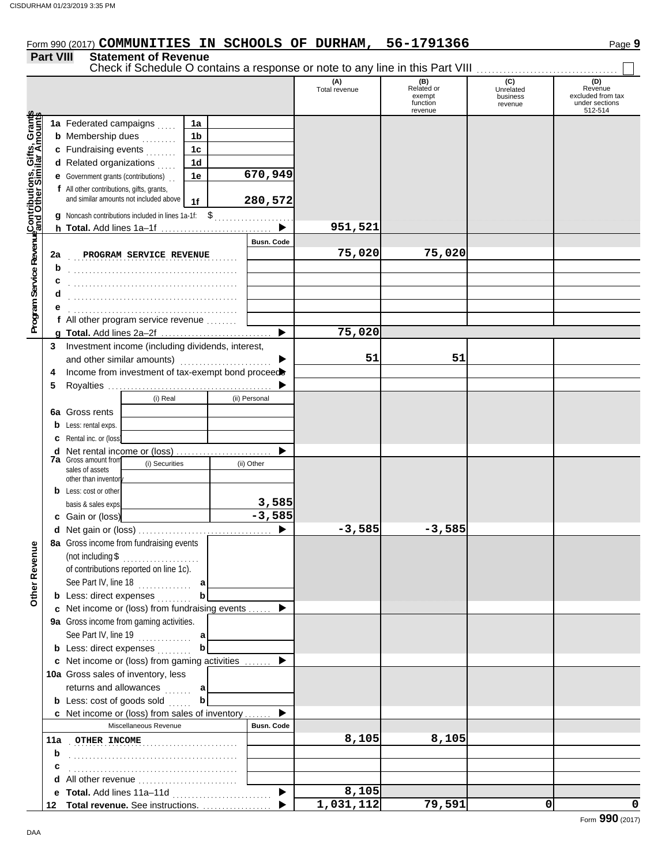## Form 990 (2017) **COMMUNITIES IN SCHOOLS OF DURHAM, 56-1791366** Page 9

#### **Part VIII Statement of Revenue**

|                                                                                                                            |    | Check if Schedule O contains a response or note to any line in this Part VIII |                |                   |                      |                                                    |                                         |                                                           |
|----------------------------------------------------------------------------------------------------------------------------|----|-------------------------------------------------------------------------------|----------------|-------------------|----------------------|----------------------------------------------------|-----------------------------------------|-----------------------------------------------------------|
|                                                                                                                            |    |                                                                               |                |                   | (A)<br>Total revenue | (B)<br>Related or<br>exempt<br>function<br>revenue | (C)<br>Unrelated<br>business<br>revenue | Revenue<br>excluded from tax<br>under sections<br>512-514 |
| <b>Program Service Revenu<mark>e</mark>Contributions, Gifts, Grants</b><br>Program Service Revenuend Other Similar Amounts |    | 1a Federated campaigns                                                        | 1a             |                   |                      |                                                    |                                         |                                                           |
|                                                                                                                            |    | <b>b</b> Membership dues<br>s sa sa sa                                        | 1 <sub>b</sub> |                   |                      |                                                    |                                         |                                                           |
|                                                                                                                            |    | c Fundraising events                                                          | 1 <sub>c</sub> |                   |                      |                                                    |                                         |                                                           |
|                                                                                                                            |    | d Related organizations                                                       | 1 <sub>d</sub> |                   |                      |                                                    |                                         |                                                           |
|                                                                                                                            |    | <b>e</b> Government grants (contributions)                                    | 1e             | 670,949           |                      |                                                    |                                         |                                                           |
|                                                                                                                            |    | f All other contributions, gifts, grants,                                     |                |                   |                      |                                                    |                                         |                                                           |
|                                                                                                                            |    | and similar amounts not included above                                        | 1f             | 280,572           |                      |                                                    |                                         |                                                           |
|                                                                                                                            |    | g Noncash contributions included in lines 1a-1f: \$                           |                |                   |                      |                                                    |                                         |                                                           |
|                                                                                                                            |    | h Total. Add lines 1a-1f                                                      |                |                   | 951,521              |                                                    |                                         |                                                           |
|                                                                                                                            |    |                                                                               |                | <b>Busn. Code</b> |                      |                                                    |                                         |                                                           |
|                                                                                                                            | 2a | PROGRAM SERVICE REVENUE                                                       |                |                   | 75,020               | 75,020                                             |                                         |                                                           |
|                                                                                                                            | b  |                                                                               |                |                   |                      |                                                    |                                         |                                                           |
|                                                                                                                            | с  |                                                                               |                |                   |                      |                                                    |                                         |                                                           |
|                                                                                                                            |    |                                                                               |                |                   |                      |                                                    |                                         |                                                           |
|                                                                                                                            |    |                                                                               |                |                   |                      |                                                    |                                         |                                                           |
|                                                                                                                            |    | f All other program service revenue                                           |                |                   |                      |                                                    |                                         |                                                           |
|                                                                                                                            |    |                                                                               |                | ▶                 | 75,020               |                                                    |                                         |                                                           |
|                                                                                                                            | 3  | Investment income (including dividends, interest,                             |                |                   |                      |                                                    |                                         |                                                           |
|                                                                                                                            |    | and other similar amounts)                                                    |                |                   | 51                   | 51                                                 |                                         |                                                           |
|                                                                                                                            | 4  | Income from investment of tax-exempt bond proceed                             |                |                   |                      |                                                    |                                         |                                                           |
|                                                                                                                            | 5  |                                                                               |                |                   |                      |                                                    |                                         |                                                           |
|                                                                                                                            |    | (i) Real                                                                      |                | (ii) Personal     |                      |                                                    |                                         |                                                           |
|                                                                                                                            |    | 6a Gross rents                                                                |                |                   |                      |                                                    |                                         |                                                           |
|                                                                                                                            |    | <b>b</b> Less: rental exps.                                                   |                |                   |                      |                                                    |                                         |                                                           |
|                                                                                                                            |    | <b>c</b> Rental inc. or (loss)                                                |                |                   |                      |                                                    |                                         |                                                           |
|                                                                                                                            |    | d Net rental income or (loss)                                                 |                |                   |                      |                                                    |                                         |                                                           |
|                                                                                                                            |    | <b>7a</b> Gross amount from<br>(i) Securities<br>sales of assets              |                | (ii) Other        |                      |                                                    |                                         |                                                           |
|                                                                                                                            |    | other than inventory                                                          |                |                   |                      |                                                    |                                         |                                                           |
|                                                                                                                            |    | <b>b</b> Less: cost or other                                                  |                |                   |                      |                                                    |                                         |                                                           |
|                                                                                                                            |    | basis & sales exps.                                                           |                | 3,585             |                      |                                                    |                                         |                                                           |
|                                                                                                                            |    | c Gain or (loss)                                                              |                | $-3,585$          |                      |                                                    |                                         |                                                           |
|                                                                                                                            |    |                                                                               |                |                   | $-3,585$             | $-3,585$                                           |                                         |                                                           |
| ٩                                                                                                                          |    | 8a Gross income from fundraising events                                       |                |                   |                      |                                                    |                                         |                                                           |
|                                                                                                                            |    | (not including \$                                                             |                |                   |                      |                                                    |                                         |                                                           |
|                                                                                                                            |    | of contributions reported on line 1c).                                        |                |                   |                      |                                                    |                                         |                                                           |
|                                                                                                                            |    | See Part IV, line 18                                                          | a              |                   |                      |                                                    |                                         |                                                           |
| Other Reven                                                                                                                |    | <b>b</b> Less: direct expenses                                                |                |                   |                      |                                                    |                                         |                                                           |
|                                                                                                                            |    | c Net income or (loss) from fundraising events                                |                |                   |                      |                                                    |                                         |                                                           |
|                                                                                                                            |    | 9a Gross income from gaming activities.                                       |                |                   |                      |                                                    |                                         |                                                           |
|                                                                                                                            |    | See Part IV, line 19                                                          | $\mathbf a$    |                   |                      |                                                    |                                         |                                                           |
|                                                                                                                            |    | <b>b</b> Less: direct expenses                                                |                |                   |                      |                                                    |                                         |                                                           |
|                                                                                                                            |    | c Net income or (loss) from gaming activities                                 |                |                   |                      |                                                    |                                         |                                                           |
|                                                                                                                            |    | 10a Gross sales of inventory, less                                            |                |                   |                      |                                                    |                                         |                                                           |
|                                                                                                                            |    | returns and allowances<br>.                                                   | a              |                   |                      |                                                    |                                         |                                                           |
|                                                                                                                            |    | <b>b</b> Less: cost of goods sold                                             | b              |                   |                      |                                                    |                                         |                                                           |
|                                                                                                                            |    | c Net income or (loss) from sales of inventory                                |                |                   |                      |                                                    |                                         |                                                           |
|                                                                                                                            |    | Miscellaneous Revenue                                                         |                | <b>Busn. Code</b> |                      |                                                    |                                         |                                                           |
|                                                                                                                            |    | 11a OTHER INCOME                                                              |                |                   | 8,105                | 8,105                                              |                                         |                                                           |
|                                                                                                                            | b  |                                                                               |                |                   |                      |                                                    |                                         |                                                           |
|                                                                                                                            | с  |                                                                               |                |                   |                      |                                                    |                                         |                                                           |
|                                                                                                                            |    |                                                                               |                |                   |                      |                                                    |                                         |                                                           |
|                                                                                                                            |    |                                                                               |                |                   | 8,105                |                                                    |                                         |                                                           |
|                                                                                                                            |    | 12 Total revenue. See instructions.                                           |                |                   | 1,031,112            | 79,591                                             | 0                                       | 0                                                         |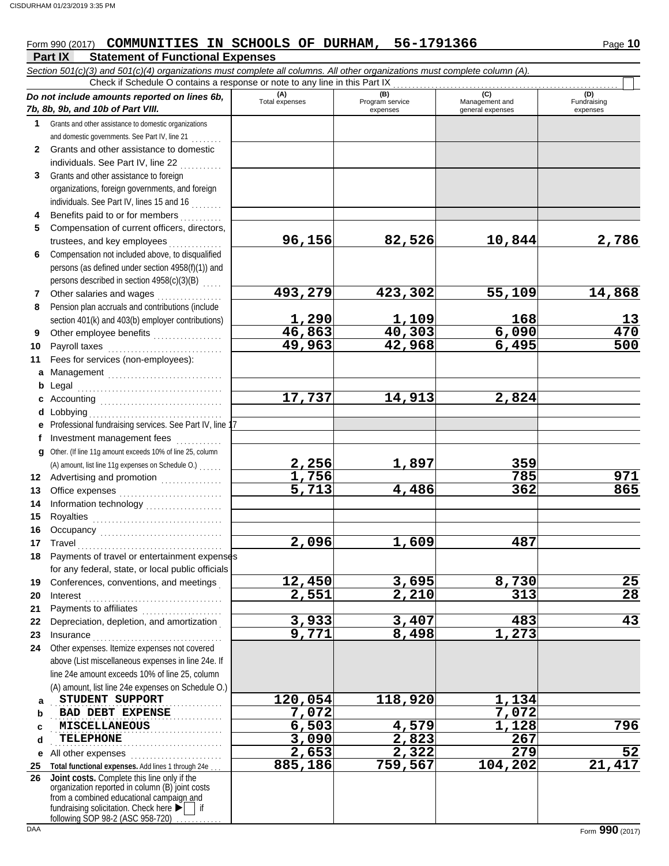## Form 990 (2017) **COMMUNITIES IN SCHOOLS OF DURHAM, 56-1791366** Page 10

|              | Part IX<br><b>Statement of Functional Expenses</b>                                                                         |                                |                                    |                                           |                                |
|--------------|----------------------------------------------------------------------------------------------------------------------------|--------------------------------|------------------------------------|-------------------------------------------|--------------------------------|
|              | Section 501(c)(3) and 501(c)(4) organizations must complete all columns. All other organizations must complete column (A). |                                |                                    |                                           |                                |
|              | Check if Schedule O contains a response or note to any line in this Part IX                                                |                                |                                    |                                           |                                |
|              | Do not include amounts reported on lines 6b,<br>7b, 8b, 9b, and 10b of Part VIII.                                          | (A)<br>Total expenses          | (B)<br>Program service<br>expenses | (C)<br>Management and<br>general expenses | (D)<br>Fundraising<br>expenses |
| 1.           | Grants and other assistance to domestic organizations                                                                      |                                |                                    |                                           |                                |
|              | and domestic governments. See Part IV, line 21                                                                             |                                |                                    |                                           |                                |
| $\mathbf{2}$ | Grants and other assistance to domestic                                                                                    |                                |                                    |                                           |                                |
|              | individuals. See Part IV, line 22                                                                                          |                                |                                    |                                           |                                |
| 3            | Grants and other assistance to foreign                                                                                     |                                |                                    |                                           |                                |
|              | organizations, foreign governments, and foreign                                                                            |                                |                                    |                                           |                                |
|              | individuals. See Part IV, lines 15 and 16                                                                                  |                                |                                    |                                           |                                |
| 4            | Benefits paid to or for members                                                                                            |                                |                                    |                                           |                                |
| 5            | Compensation of current officers, directors,                                                                               |                                |                                    |                                           |                                |
|              | trustees, and key employees                                                                                                | 96,156                         | 82,526                             | 10,844                                    | 2,786                          |
| 6            | Compensation not included above, to disqualified                                                                           |                                |                                    |                                           |                                |
|              | persons (as defined under section 4958(f)(1)) and                                                                          |                                |                                    |                                           |                                |
|              | persons described in section 4958(c)(3)(B)                                                                                 |                                |                                    |                                           |                                |
| 7            | Other salaries and wages<br>.                                                                                              | 493,279                        | 423,302                            | 55,109                                    | 14,868                         |
| 8            | Pension plan accruals and contributions (include                                                                           |                                |                                    |                                           |                                |
|              | section 401(k) and 403(b) employer contributions)                                                                          | 1,290<br>46,863                | 1,109<br>40,303                    | 168                                       | 13<br>470                      |
| 9            | Other employee benefits                                                                                                    | 49,963                         | 42,968                             | 6,090<br>6,495                            | 500                            |
| 10           | Payroll taxes                                                                                                              |                                |                                    |                                           |                                |
| 11           | Fees for services (non-employees):                                                                                         |                                |                                    |                                           |                                |
| a            | Management                                                                                                                 |                                |                                    |                                           |                                |
| b            | Legal                                                                                                                      | 17,737                         | 14,913                             | 2,824                                     |                                |
| d            | c Accounting $\ldots$<br>Lobbying                                                                                          |                                |                                    |                                           |                                |
|              | Professional fundraising services. See Part IV, line 1                                                                     |                                |                                    |                                           |                                |
|              | Investment management fees                                                                                                 |                                |                                    |                                           |                                |
| g            | Other. (If line 11g amount exceeds 10% of line 25, column                                                                  |                                |                                    |                                           |                                |
|              | (A) amount, list line 11g expenses on Schedule O.)                                                                         |                                | 1,897                              | 359                                       |                                |
| 12           | Advertising and promotion [1] [1] [1] Advertising and promotion                                                            | $\frac{2,256}{1,756}$<br>5,713 |                                    | 785                                       | 971                            |
| 13           |                                                                                                                            |                                | 4,486                              | 362                                       | 865                            |
| 14           |                                                                                                                            |                                |                                    |                                           |                                |
| 15           |                                                                                                                            |                                |                                    |                                           |                                |
| 16           |                                                                                                                            |                                |                                    |                                           |                                |
| 17           | Travel                                                                                                                     | 2,096                          | 1,609                              | 487                                       |                                |
| 18           | Payments of travel or entertainment expenses                                                                               |                                |                                    |                                           |                                |
|              | for any federal, state, or local public officials                                                                          |                                |                                    |                                           |                                |
| 19           | Conferences, conventions, and meetings                                                                                     | 12,450                         | 3,695                              | 8,730                                     | 25                             |
| 20           | Interest                                                                                                                   | 2,551                          | $\overline{2,210}$                 | 313                                       | $\overline{28}$                |
| 21           | Payments to affiliates [111] [11] Payments to affiliates                                                                   |                                |                                    |                                           |                                |
| 22           | Depreciation, depletion, and amortization                                                                                  | 3,933<br>$\overline{9,771}$    | 3,407<br>8,498                     | 483                                       | $\overline{43}$                |
| 23           | Insurance<br>Other expenses. Itemize expenses not covered                                                                  |                                |                                    | 1,273                                     |                                |
| 24           | above (List miscellaneous expenses in line 24e. If                                                                         |                                |                                    |                                           |                                |
|              | line 24e amount exceeds 10% of line 25, column                                                                             |                                |                                    |                                           |                                |
|              | (A) amount, list line 24e expenses on Schedule O.)                                                                         |                                |                                    |                                           |                                |
| a            | STUDENT SUPPORT                                                                                                            | 120,054                        | 118,920                            | 1,134                                     |                                |
| b            | <b>BAD DEBT EXPENSE</b>                                                                                                    | 7,072                          |                                    | 7,072                                     |                                |
| c            | <b>MISCELLANEOUS</b>                                                                                                       | 6,503                          | 4,579                              | 1,128                                     | 796                            |
| d            | <b>TELEPHONE</b>                                                                                                           | 3,090                          | $\overline{2,823}$                 | 267                                       |                                |
| е            | .<br>All other expenses                                                                                                    | $\overline{2}$ , 653           | $\overline{2,322}$                 | 279                                       | 52                             |
| 25           | Total functional expenses. Add lines 1 through 24e                                                                         | 885,186                        | 759,567                            | 104,202                                   | 21,417                         |
| 26           | Joint costs. Complete this line only if the                                                                                |                                |                                    |                                           |                                |
|              | organization reported in column (B) joint costs<br>from a combined educational campaign and                                |                                |                                    |                                           |                                |
|              | fundraising solicitation. Check here $\blacktriangleright$   if                                                            |                                |                                    |                                           |                                |

following SOP 98-2 (ASC 958-720) . . . . . . . . . .

 $\overline{\phantom{a}}$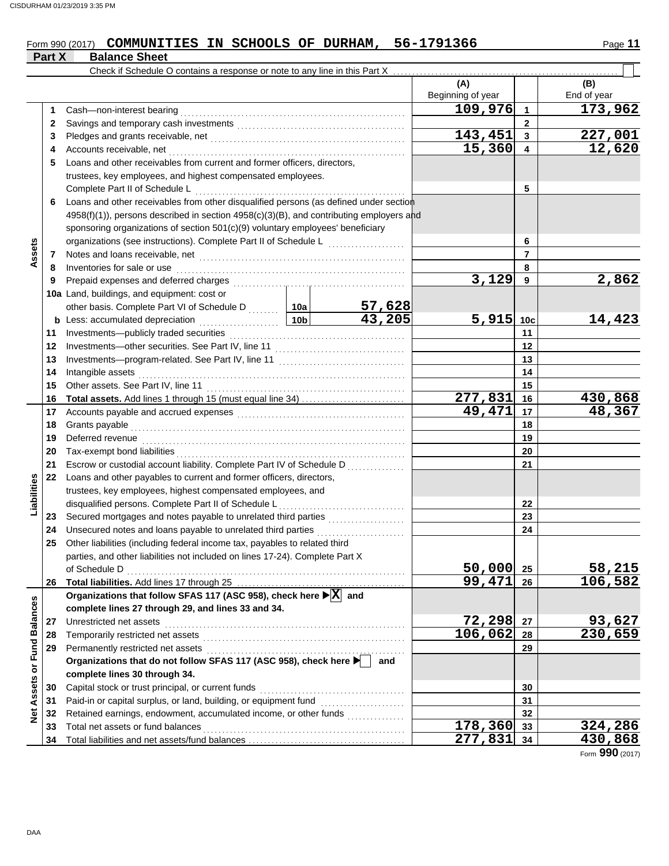#### Form 990 (2017) **COMMUNITIES IN SCHOOLS OF DURHAM, 56-1791366** Page 11 **Part X** Balance Sheet

|                             |          | Check if Schedule O contains a response or note to any line in this Part X                            |                |                         |                          |                 |                    |
|-----------------------------|----------|-------------------------------------------------------------------------------------------------------|----------------|-------------------------|--------------------------|-----------------|--------------------|
|                             |          |                                                                                                       |                |                         | (A)<br>Beginning of year |                 | (B)<br>End of year |
|                             | 1        | Cash-non-interest bearing                                                                             |                |                         | 109,976                  | $\mathbf{1}$    | 173,962            |
|                             | 2        |                                                                                                       |                |                         |                          | $\mathbf{2}$    |                    |
|                             | 3        |                                                                                                       |                |                         | 143,451                  | 3               | 227,001            |
|                             | 4        | Accounts receivable, net                                                                              |                |                         | 15,360                   | 4               | 12,620             |
|                             | 5        | Loans and other receivables from current and former officers, directors,                              |                |                         |                          |                 |                    |
|                             |          | trustees, key employees, and highest compensated employees.                                           |                |                         |                          |                 |                    |
|                             |          | Complete Part II of Schedule L                                                                        |                |                         |                          | 5               |                    |
|                             | 6        | Loans and other receivables from other disqualified persons (as defined under section                 |                |                         |                          |                 |                    |
|                             |          | 4958(f)(1)), persons described in section 4958(c)(3)(B), and contributing employers and               |                |                         |                          |                 |                    |
|                             |          | sponsoring organizations of section 501(c)(9) voluntary employees' beneficiary                        |                |                         |                          |                 |                    |
|                             |          | organizations (see instructions). Complete Part II of Schedule L                                      |                | 6                       |                          |                 |                    |
| Assets                      | 7        |                                                                                                       |                |                         |                          | $\overline{7}$  |                    |
|                             | 8        | Inventories for sale or use                                                                           |                |                         |                          | 8               |                    |
|                             | 9        | Prepaid expenses and deferred charges                                                                 |                |                         | 3,129                    | 9               | 2,862              |
|                             |          | 10a Land, buildings, and equipment: cost or                                                           |                |                         |                          |                 |                    |
|                             |          | other basis. Complete Part VI of Schedule D  10a                                                      |                | $\frac{57,628}{43,205}$ |                          |                 |                    |
|                             |          | $\frac{10b}{10b}$<br><b>b</b> Less: accumulated depreciation                                          |                |                         | 5,915                    | 10 <sub>c</sub> | 14,423             |
|                             | 11       | Investments-publicly traded securities                                                                |                | 11                      |                          |                 |                    |
|                             | 12       |                                                                                                       |                |                         | 12                       |                 |                    |
|                             | 13       |                                                                                                       |                | 13                      |                          |                 |                    |
|                             | 14       | Intangible assets                                                                                     |                |                         | 14                       |                 |                    |
|                             | 15       | Other assets. See Part IV, line 11                                                                    |                |                         |                          | 15              |                    |
|                             | 16       | Total assets. Add lines 1 through 15 (must equal line 34)                                             |                |                         | 277,831                  | 16              | 430,868            |
|                             | 17       |                                                                                                       |                |                         | 49,471                   | 17              | 48,367             |
|                             | 18       | Grants payable                                                                                        |                | 18                      |                          |                 |                    |
|                             | 19       | Deferred revenue                                                                                      |                |                         | 19<br>20                 |                 |                    |
|                             | 20<br>21 | Tax-exempt bond liabilities<br>Escrow or custodial account liability. Complete Part IV of Schedule D  |                |                         |                          | 21              |                    |
|                             | 22       | Loans and other payables to current and former officers, directors,                                   |                |                         |                          |                 |                    |
| Liabilities                 |          | trustees, key employees, highest compensated employees, and                                           |                |                         |                          |                 |                    |
|                             |          | disqualified persons. Complete Part II of Schedule L                                                  |                |                         |                          | 22              |                    |
|                             | 23       |                                                                                                       |                |                         |                          | 23              |                    |
|                             | 24       | Unsecured notes and loans payable to unrelated third parties                                          |                |                         |                          | 24              |                    |
|                             | 25       | Other liabilities (including federal income tax, payables to related third                            |                |                         |                          |                 |                    |
|                             |          | parties, and other liabilities not included on lines 17-24). Complete Part X                          |                |                         |                          |                 |                    |
|                             |          | of Schedule D                                                                                         |                |                         | 50,000                   | 25              | 58,215             |
|                             | 26       |                                                                                                       |                |                         | 99,471                   | 26              | 106,582            |
|                             |          | Organizations that follow SFAS 117 (ASC 958), check here $\blacktriangleright$ $\boxed{\text{X}}$ and |                |                         |                          |                 |                    |
|                             |          | complete lines 27 through 29, and lines 33 and 34.                                                    |                |                         |                          |                 |                    |
|                             | 27       | Unrestricted net assets                                                                               |                |                         | 72,298                   | 27              | 93,627<br>230,659  |
|                             | 28       | Temporarily restricted net assets                                                                     |                |                         | 106,062                  | 28              |                    |
|                             | 29       | Permanently restricted net assets                                                                     |                | 29                      |                          |                 |                    |
|                             |          | Organizations that do not follow SFAS 117 (ASC 958), check here                                       |                | and                     |                          |                 |                    |
|                             |          | complete lines 30 through 34.                                                                         |                |                         |                          |                 |                    |
| Net Assets or Fund Balances | 30       | Capital stock or trust principal, or current funds                                                    |                |                         |                          | 30              |                    |
|                             | 31       | Paid-in or capital surplus, or land, building, or equipment fund                                      |                |                         |                          | 31              |                    |
|                             | 32       | Retained earnings, endowment, accumulated income, or other funds                                      |                |                         |                          | 32              |                    |
|                             | 33       | Total net assets or fund balances                                                                     | <u>178,360</u> | 33                      | 324,286                  |                 |                    |
|                             | 34       |                                                                                                       |                |                         | 277,831                  | 34              | 430,868            |

Form **990** (2017)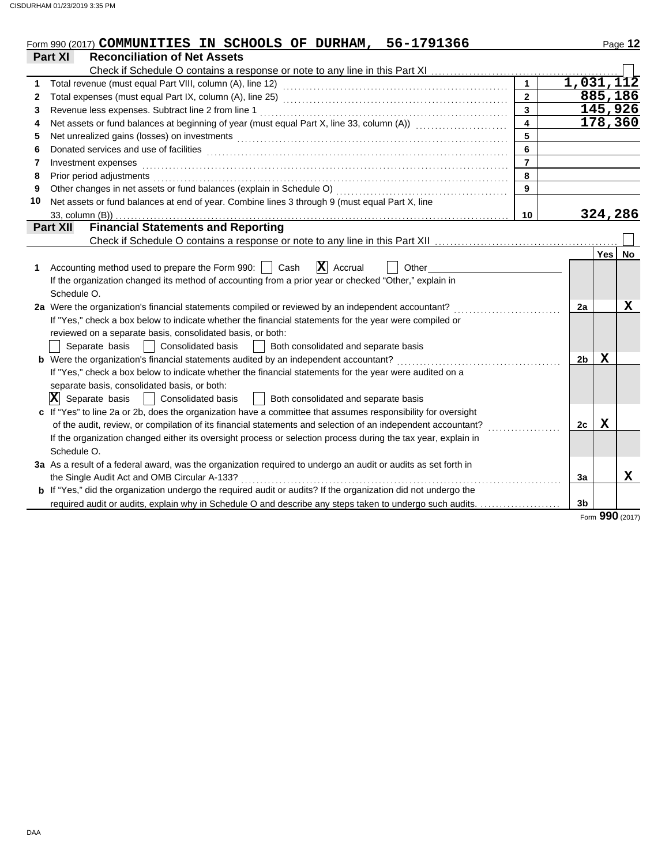|    | 56-1791366<br>Form 990 (2017) COMMUNITIES IN SCHOOLS OF DURHAM,                                                                                                                                                                |                         |                |         | Page 12         |
|----|--------------------------------------------------------------------------------------------------------------------------------------------------------------------------------------------------------------------------------|-------------------------|----------------|---------|-----------------|
|    | Part XI<br><b>Reconciliation of Net Assets</b>                                                                                                                                                                                 |                         |                |         |                 |
|    | Check if Schedule O contains a response or note to any line in this Part XI                                                                                                                                                    |                         |                |         |                 |
| 1  |                                                                                                                                                                                                                                | $\mathbf{1}$            |                |         | 1,031,112       |
| 2  |                                                                                                                                                                                                                                | $\overline{2}$          |                |         | 885,186         |
| 3  | Revenue less expenses. Subtract line 2 from line 1                                                                                                                                                                             | $\overline{\mathbf{3}}$ |                | 145,926 |                 |
| 4  | Net assets or fund balances at beginning of year (must equal Part X, line 33, column (A)) [[[[[[[[[[[[[[[[[[[                                                                                                                  | $\overline{\mathbf{4}}$ |                |         | 178,360         |
| 5  | Net unrealized gains (losses) on investments [11] match and the contract of the state of the state of the state of the state of the state of the state of the state of the state of the state of the state of the state of the | 5                       |                |         |                 |
| 6  |                                                                                                                                                                                                                                | 6                       |                |         |                 |
| 7  | Investment expenses                                                                                                                                                                                                            | $\overline{7}$          |                |         |                 |
| 8  | Prior period adjustments [11, 12] and the contract of the contract of the contract of the contract of the contract of the contract of the contract of the contract of the contract of the contract of the contract of the cont | 8                       |                |         |                 |
| 9  |                                                                                                                                                                                                                                | 9                       |                |         |                 |
| 10 | Net assets or fund balances at end of year. Combine lines 3 through 9 (must equal Part X, line                                                                                                                                 |                         |                |         |                 |
|    | 33, column (B))                                                                                                                                                                                                                | 10                      |                |         | 324,286         |
|    | <b>Financial Statements and Reporting</b><br><b>Part XII</b>                                                                                                                                                                   |                         |                |         |                 |
|    |                                                                                                                                                                                                                                |                         |                |         |                 |
|    |                                                                                                                                                                                                                                |                         |                |         | Yes No          |
| 1  | $ \mathbf{X} $ Accrual<br>Accounting method used to prepare the Form 990:     Cash<br>Other                                                                                                                                    |                         |                |         |                 |
|    | If the organization changed its method of accounting from a prior year or checked "Other," explain in                                                                                                                          |                         |                |         |                 |
|    | Schedule O.                                                                                                                                                                                                                    |                         |                |         |                 |
|    | 2a Were the organization's financial statements compiled or reviewed by an independent accountant?                                                                                                                             |                         | 2a             |         | X               |
|    | If "Yes," check a box below to indicate whether the financial statements for the year were compiled or                                                                                                                         |                         |                |         |                 |
|    | reviewed on a separate basis, consolidated basis, or both:                                                                                                                                                                     |                         |                |         |                 |
|    | Separate basis<br><b>Consolidated basis</b><br>Both consolidated and separate basis<br>$\mathbf{I}$<br>$\mathbb{R}^n$                                                                                                          |                         |                |         |                 |
|    | <b>b</b> Were the organization's financial statements audited by an independent accountant?                                                                                                                                    |                         | 2 <sub>b</sub> | X       |                 |
|    | If "Yes," check a box below to indicate whether the financial statements for the year were audited on a                                                                                                                        |                         |                |         |                 |
|    | separate basis, consolidated basis, or both:                                                                                                                                                                                   |                         |                |         |                 |
|    | $ \mathbf{X} $ Separate basis<br>Both consolidated and separate basis<br>Consolidated basis                                                                                                                                    |                         |                |         |                 |
|    | c If "Yes" to line 2a or 2b, does the organization have a committee that assumes responsibility for oversight                                                                                                                  |                         |                |         |                 |
|    | of the audit, review, or compilation of its financial statements and selection of an independent accountant?                                                                                                                   |                         | 2c             | X       |                 |
|    | If the organization changed either its oversight process or selection process during the tax year, explain in                                                                                                                  |                         |                |         |                 |
|    | Schedule O.                                                                                                                                                                                                                    |                         |                |         |                 |
|    | 3a As a result of a federal award, was the organization required to undergo an audit or audits as set forth in                                                                                                                 |                         |                |         |                 |
|    | the Single Audit Act and OMB Circular A-133?                                                                                                                                                                                   |                         | 3a             |         | X               |
|    | <b>b</b> If "Yes," did the organization undergo the required audit or audits? If the organization did not undergo the                                                                                                          |                         |                |         |                 |
|    | required audit or audits, explain why in Schedule O and describe any steps taken to undergo such audits.                                                                                                                       |                         | 3b             |         |                 |
|    |                                                                                                                                                                                                                                |                         |                |         | Form 990 (2017) |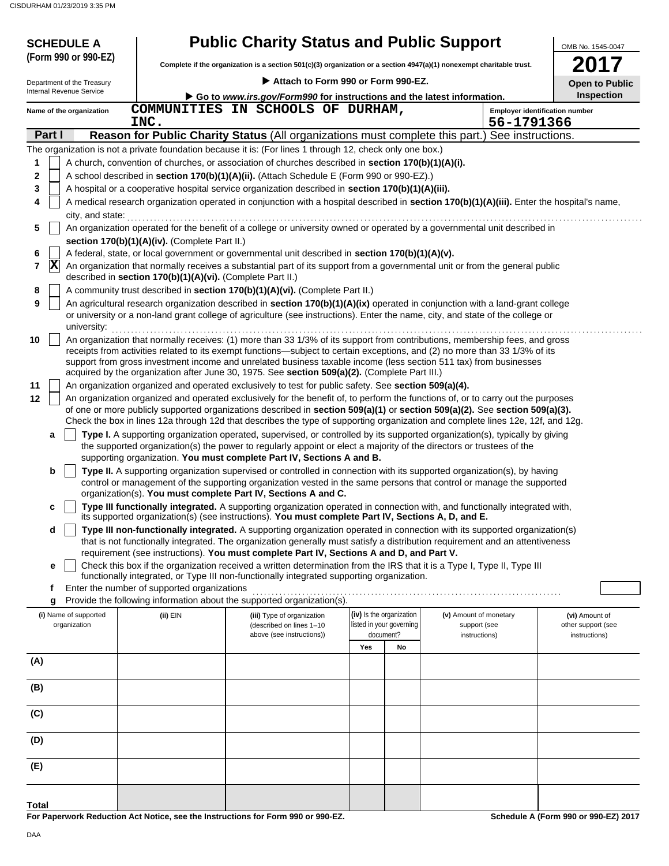| <b>SCHEDULE A</b><br>(Form 990 or 990-EZ) | <b>Public Charity Status and Public Support</b><br>Complete if the organization is a section 501(c)(3) organization or a section 4947(a)(1) nonexempt charitable trust. |                                                                                                                                                                                                                                                                 |     |                          |                        |                                       |
|-------------------------------------------|-------------------------------------------------------------------------------------------------------------------------------------------------------------------------|-----------------------------------------------------------------------------------------------------------------------------------------------------------------------------------------------------------------------------------------------------------------|-----|--------------------------|------------------------|---------------------------------------|
| Department of the Treasury                |                                                                                                                                                                         | Attach to Form 990 or Form 990-EZ.                                                                                                                                                                                                                              |     |                          |                        | <b>Open to Public</b>                 |
| Internal Revenue Service                  |                                                                                                                                                                         | Go to www.irs.gov/Form990 for instructions and the latest information.                                                                                                                                                                                          |     |                          |                        | <b>Inspection</b>                     |
| Name of the organization                  |                                                                                                                                                                         | COMMUNITIES IN SCHOOLS OF DURHAM,                                                                                                                                                                                                                               |     |                          |                        | <b>Employer identification number</b> |
|                                           | INC.                                                                                                                                                                    |                                                                                                                                                                                                                                                                 |     |                          |                        | 56-1791366                            |
| Part I                                    |                                                                                                                                                                         | Reason for Public Charity Status (All organizations must complete this part.) See instructions.                                                                                                                                                                 |     |                          |                        |                                       |
|                                           |                                                                                                                                                                         | The organization is not a private foundation because it is: (For lines 1 through 12, check only one box.)                                                                                                                                                       |     |                          |                        |                                       |
| 1                                         |                                                                                                                                                                         | A church, convention of churches, or association of churches described in section 170(b)(1)(A)(i).                                                                                                                                                              |     |                          |                        |                                       |
| $\mathbf 2$                               |                                                                                                                                                                         | A school described in section 170(b)(1)(A)(ii). (Attach Schedule E (Form 990 or 990-EZ).)                                                                                                                                                                       |     |                          |                        |                                       |
| 3                                         |                                                                                                                                                                         | A hospital or a cooperative hospital service organization described in section 170(b)(1)(A)(iii).                                                                                                                                                               |     |                          |                        |                                       |
| 4<br>city, and state:                     |                                                                                                                                                                         | A medical research organization operated in conjunction with a hospital described in section 170(b)(1)(A)(iii). Enter the hospital's name,                                                                                                                      |     |                          |                        |                                       |
| 5                                         |                                                                                                                                                                         | An organization operated for the benefit of a college or university owned or operated by a governmental unit described in                                                                                                                                       |     |                          |                        |                                       |
|                                           | section 170(b)(1)(A)(iv). (Complete Part II.)                                                                                                                           |                                                                                                                                                                                                                                                                 |     |                          |                        |                                       |
| 6                                         |                                                                                                                                                                         | A federal, state, or local government or governmental unit described in section 170(b)(1)(A)(v).                                                                                                                                                                |     |                          |                        |                                       |
| $ \mathbf{X} $<br>$\overline{7}$          |                                                                                                                                                                         | An organization that normally receives a substantial part of its support from a governmental unit or from the general public                                                                                                                                    |     |                          |                        |                                       |
|                                           | described in section 170(b)(1)(A)(vi). (Complete Part II.)                                                                                                              |                                                                                                                                                                                                                                                                 |     |                          |                        |                                       |
| 8                                         |                                                                                                                                                                         | A community trust described in section 170(b)(1)(A)(vi). (Complete Part II.)                                                                                                                                                                                    |     |                          |                        |                                       |
| 9                                         |                                                                                                                                                                         | An agricultural research organization described in section 170(b)(1)(A)(ix) operated in conjunction with a land-grant college<br>or university or a non-land grant college of agriculture (see instructions). Enter the name, city, and state of the college or |     |                          |                        |                                       |
| university:                               |                                                                                                                                                                         |                                                                                                                                                                                                                                                                 |     |                          |                        |                                       |
| 10                                        |                                                                                                                                                                         | An organization that normally receives: (1) more than 33 1/3% of its support from contributions, membership fees, and gross                                                                                                                                     |     |                          |                        |                                       |
|                                           |                                                                                                                                                                         | receipts from activities related to its exempt functions—subject to certain exceptions, and (2) no more than 33 1/3% of its                                                                                                                                     |     |                          |                        |                                       |
|                                           |                                                                                                                                                                         | support from gross investment income and unrelated business taxable income (less section 511 tax) from businesses<br>acquired by the organization after June 30, 1975. See section 509(a)(2). (Complete Part III.)                                              |     |                          |                        |                                       |
| 11                                        |                                                                                                                                                                         | An organization organized and operated exclusively to test for public safety. See section 509(a)(4).                                                                                                                                                            |     |                          |                        |                                       |
| 12                                        |                                                                                                                                                                         | An organization organized and operated exclusively for the benefit of, to perform the functions of, or to carry out the purposes                                                                                                                                |     |                          |                        |                                       |
|                                           |                                                                                                                                                                         | of one or more publicly supported organizations described in section 509(a)(1) or section 509(a)(2). See section 509(a)(3).                                                                                                                                     |     |                          |                        |                                       |
|                                           |                                                                                                                                                                         | Check the box in lines 12a through 12d that describes the type of supporting organization and complete lines 12e, 12f, and 12g.                                                                                                                                 |     |                          |                        |                                       |
| a                                         |                                                                                                                                                                         | Type I. A supporting organization operated, supervised, or controlled by its supported organization(s), typically by giving                                                                                                                                     |     |                          |                        |                                       |
|                                           |                                                                                                                                                                         | the supported organization(s) the power to regularly appoint or elect a majority of the directors or trustees of the<br>supporting organization. You must complete Part IV, Sections A and B.                                                                   |     |                          |                        |                                       |
| b                                         |                                                                                                                                                                         | Type II. A supporting organization supervised or controlled in connection with its supported organization(s), by having                                                                                                                                         |     |                          |                        |                                       |
|                                           |                                                                                                                                                                         | control or management of the supporting organization vested in the same persons that control or manage the supported                                                                                                                                            |     |                          |                        |                                       |
|                                           |                                                                                                                                                                         | organization(s). You must complete Part IV, Sections A and C.                                                                                                                                                                                                   |     |                          |                        |                                       |
| c                                         |                                                                                                                                                                         | Type III functionally integrated. A supporting organization operated in connection with, and functionally integrated with,<br>its supported organization(s) (see instructions). You must complete Part IV, Sections A, D, and E.                                |     |                          |                        |                                       |
| d                                         |                                                                                                                                                                         | Type III non-functionally integrated. A supporting organization operated in connection with its supported organization(s)                                                                                                                                       |     |                          |                        |                                       |
|                                           |                                                                                                                                                                         | that is not functionally integrated. The organization generally must satisfy a distribution requirement and an attentiveness                                                                                                                                    |     |                          |                        |                                       |
|                                           |                                                                                                                                                                         | requirement (see instructions). You must complete Part IV, Sections A and D, and Part V.                                                                                                                                                                        |     |                          |                        |                                       |
| е                                         |                                                                                                                                                                         | Check this box if the organization received a written determination from the IRS that it is a Type I, Type II, Type III<br>functionally integrated, or Type III non-functionally integrated supporting organization.                                            |     |                          |                        |                                       |
| f                                         | Enter the number of supported organizations                                                                                                                             |                                                                                                                                                                                                                                                                 |     |                          |                        |                                       |
| g                                         |                                                                                                                                                                         | Provide the following information about the supported organization(s).                                                                                                                                                                                          |     |                          |                        |                                       |
| (i) Name of supported                     | (ii) EIN                                                                                                                                                                | (iii) Type of organization                                                                                                                                                                                                                                      |     | (iv) Is the organization | (v) Amount of monetary | (vi) Amount of                        |
| organization                              |                                                                                                                                                                         | (described on lines 1-10                                                                                                                                                                                                                                        |     | listed in your governing | support (see           | other support (see                    |
|                                           |                                                                                                                                                                         | above (see instructions))                                                                                                                                                                                                                                       | Yes | document?<br>No          | instructions)          | instructions)                         |
| (A)                                       |                                                                                                                                                                         |                                                                                                                                                                                                                                                                 |     |                          |                        |                                       |
|                                           |                                                                                                                                                                         |                                                                                                                                                                                                                                                                 |     |                          |                        |                                       |
| (B)                                       |                                                                                                                                                                         |                                                                                                                                                                                                                                                                 |     |                          |                        |                                       |
|                                           |                                                                                                                                                                         |                                                                                                                                                                                                                                                                 |     |                          |                        |                                       |
| (C)                                       |                                                                                                                                                                         |                                                                                                                                                                                                                                                                 |     |                          |                        |                                       |
|                                           |                                                                                                                                                                         |                                                                                                                                                                                                                                                                 |     |                          |                        |                                       |
| (D)                                       |                                                                                                                                                                         |                                                                                                                                                                                                                                                                 |     |                          |                        |                                       |
|                                           |                                                                                                                                                                         |                                                                                                                                                                                                                                                                 |     |                          |                        |                                       |
| (E)                                       |                                                                                                                                                                         |                                                                                                                                                                                                                                                                 |     |                          |                        |                                       |
|                                           |                                                                                                                                                                         |                                                                                                                                                                                                                                                                 |     |                          |                        |                                       |
|                                           |                                                                                                                                                                         |                                                                                                                                                                                                                                                                 |     |                          |                        |                                       |

**For Paperwork Reduction Act Notice, see the Instructions for Form 990 or 990-EZ.**

**Schedule A (Form 990 or 990-EZ) 2017**

**Total**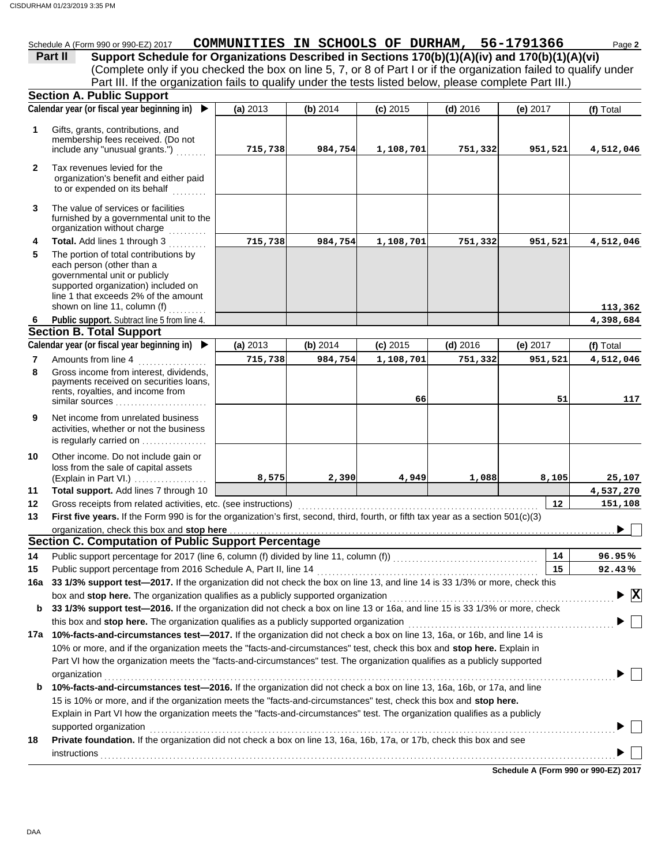## Schedule A (Form 990 or 990-EZ) 2017 **COMMUNITIES IN SCHOOLS OF DURHAM, 56-1791366** Page 2

|         | Schedule A (Form 990 or 990-EZ) 2017                                                           | COMMUNITIES IN SCHOOLS OF DURHAM, 56-1791366 |  |  |                                                                                                                   | Page 2 |
|---------|------------------------------------------------------------------------------------------------|----------------------------------------------|--|--|-------------------------------------------------------------------------------------------------------------------|--------|
| Part II | Support Schedule for Organizations Described in Sections 170(b)(1)(A)(iv) and 170(b)(1)(A)(vi) |                                              |  |  |                                                                                                                   |        |
|         |                                                                                                |                                              |  |  | (Complete only if you checked the box on line 5, 7, or 8 of Part I or if the organization failed to qualify under |        |
|         |                                                                                                |                                              |  |  | Part III. If the organization fails to qualify under the tests listed below, please complete Part III.)           |        |
|         | <b>Section A. Public Support</b>                                                               |                                              |  |  |                                                                                                                   |        |

|              | $-$ - $  -$<br>Calendar year (or fiscal year beginning in) $\blacktriangleright$                                                                                                                                   | (a) 2013 | (b) 2014 | $(c)$ 2015 | $(d)$ 2016 | (e) 2017                             | (f) Total    |
|--------------|--------------------------------------------------------------------------------------------------------------------------------------------------------------------------------------------------------------------|----------|----------|------------|------------|--------------------------------------|--------------|
| 1            | Gifts, grants, contributions, and<br>membership fees received. (Do not<br>include any "unusual grants.")                                                                                                           | 715,738  | 984,754  | 1,108,701  | 751,332    | 951,521                              | 4,512,046    |
| $\mathbf{2}$ | Tax revenues levied for the<br>organization's benefit and either paid<br>to or expended on its behalf                                                                                                              |          |          |            |            |                                      |              |
| 3            | The value of services or facilities<br>furnished by a governmental unit to the<br>organization without charge<br>.                                                                                                 |          |          |            |            |                                      |              |
| 4            | Total. Add lines 1 through 3                                                                                                                                                                                       | 715,738  | 984,754  | 1,108,701  | 751,332    | 951,521                              | 4,512,046    |
| 5            | The portion of total contributions by<br>each person (other than a<br>governmental unit or publicly<br>supported organization) included on<br>line 1 that exceeds 2% of the amount<br>shown on line 11, column (f) |          |          |            |            |                                      | 113,362      |
| 6            | Public support. Subtract line 5 from line 4.                                                                                                                                                                       |          |          |            |            |                                      | 4,398,684    |
|              | <b>Section B. Total Support</b>                                                                                                                                                                                    |          |          |            |            |                                      |              |
|              | Calendar year (or fiscal year beginning in) ▶                                                                                                                                                                      | (a) 2013 | (b) 2014 | $(c)$ 2015 | $(d)$ 2016 | (e) 2017                             | (f) Total    |
| 7            | Amounts from line 4                                                                                                                                                                                                | 715,738  | 984,754  | 1,108,701  | 751,332    | 951,521                              | 4,512,046    |
| 8            | Gross income from interest, dividends,<br>payments received on securities loans,<br>rents, royalties, and income from<br>similar sources                                                                           |          |          | 66         |            | 51                                   | 117          |
| 9            | Net income from unrelated business<br>activities, whether or not the business<br>is regularly carried on                                                                                                           |          |          |            |            |                                      |              |
| 10           | Other income. Do not include gain or<br>loss from the sale of capital assets<br>(Explain in Part VI.)                                                                                                              | 8,575    | 2,390    | 4,949      | 1,088      | 8,105                                | 25,107       |
| 11           | Total support. Add lines 7 through 10                                                                                                                                                                              |          |          |            |            |                                      | 4,537,270    |
| 12           |                                                                                                                                                                                                                    |          |          |            |            | $12 \,$                              | 151,108      |
| 13           | First five years. If the Form 990 is for the organization's first, second, third, fourth, or fifth tax year as a section 501(c)(3)                                                                                 |          |          |            |            |                                      |              |
|              | organization, check this box and stop here                                                                                                                                                                         |          |          |            |            |                                      |              |
|              | <b>Section C. Computation of Public Support Percentage</b>                                                                                                                                                         |          |          |            |            |                                      |              |
| 14           |                                                                                                                                                                                                                    |          |          |            |            | 14                                   | 96.95%       |
| 15           | Public support percentage from 2016 Schedule A, Part II, line 14                                                                                                                                                   |          |          |            |            | 15                                   | 92.43%       |
| 16a          | 33 1/3% support test-2017. If the organization did not check the box on line 13, and line 14 is 33 1/3% or more, check this                                                                                        |          |          |            |            |                                      |              |
|              | box and stop here. The organization qualifies as a publicly supported organization                                                                                                                                 |          |          |            |            |                                      | $\mathbf{x}$ |
| b            | 33 1/3% support test-2016. If the organization did not check a box on line 13 or 16a, and line 15 is 33 1/3% or more, check                                                                                        |          |          |            |            |                                      |              |
|              | this box and stop here. The organization qualifies as a publicly supported organization                                                                                                                            |          |          |            |            |                                      |              |
| 17a          | 10%-facts-and-circumstances test-2017. If the organization did not check a box on line 13, 16a, or 16b, and line 14 is                                                                                             |          |          |            |            |                                      |              |
|              | 10% or more, and if the organization meets the "facts-and-circumstances" test, check this box and stop here. Explain in                                                                                            |          |          |            |            |                                      |              |
|              | Part VI how the organization meets the "facts-and-circumstances" test. The organization qualifies as a publicly supported                                                                                          |          |          |            |            |                                      |              |
|              | organization<br>10%-facts-and-circumstances test-2016. If the organization did not check a box on line 13, 16a, 16b, or 17a, and line                                                                              |          |          |            |            |                                      |              |
| b            | 15 is 10% or more, and if the organization meets the "facts-and-circumstances" test, check this box and stop here.                                                                                                 |          |          |            |            |                                      |              |
|              | Explain in Part VI how the organization meets the "facts-and-circumstances" test. The organization qualifies as a publicly                                                                                         |          |          |            |            |                                      |              |
|              | supported organization                                                                                                                                                                                             |          |          |            |            |                                      |              |
| 18           | Private foundation. If the organization did not check a box on line 13, 16a, 16b, 17a, or 17b, check this box and see                                                                                              |          |          |            |            |                                      |              |
|              |                                                                                                                                                                                                                    |          |          |            |            |                                      |              |
|              |                                                                                                                                                                                                                    |          |          |            |            |                                      |              |
|              |                                                                                                                                                                                                                    |          |          |            |            | Schedule A (Form 990 or 990-EZ) 2017 |              |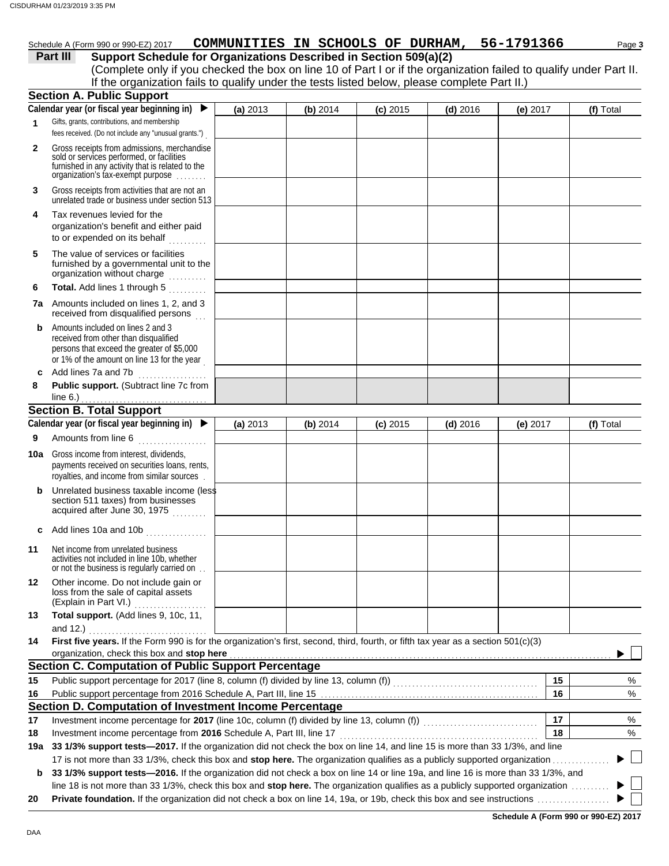#### Schedule A (Form 990 or 990-EZ) 2017 **COMMUNITIES IN SCHOOLS OF DURHAM, 56-1791366** Page 3

#### **Part III** Support Schedule for Organizations Described in Section 509(a)(2)

(Complete only if you checked the box on line 10 of Part I or if the organization failed to qualify under Part II. If the organization fails to qualify under the tests listed below, please complete Part II.)

|              | <b>Section A. Public Support</b>                                                                                                                                                  |          |            |            |            |            |    |           |
|--------------|-----------------------------------------------------------------------------------------------------------------------------------------------------------------------------------|----------|------------|------------|------------|------------|----|-----------|
|              | Calendar year (or fiscal year beginning in)                                                                                                                                       | (a) 2013 | (b) 2014   | $(c)$ 2015 | $(d)$ 2016 | (e) $2017$ |    | (f) Total |
| 1            | Gifts, grants, contributions, and membership<br>fees received. (Do not include any "unusual grants.")                                                                             |          |            |            |            |            |    |           |
| $\mathbf{2}$ | Gross receipts from admissions, merchandise<br>sold or services performed, or facilities<br>furnished in any activity that is related to the<br>organization's fax-exempt purpose |          |            |            |            |            |    |           |
| 3            | Gross receipts from activities that are not an<br>unrelated trade or business under section 513                                                                                   |          |            |            |            |            |    |           |
| 4            | Tax revenues levied for the<br>organization's benefit and either paid<br>to or expended on its behalf                                                                             |          |            |            |            |            |    |           |
| 5            | The value of services or facilities<br>furnished by a governmental unit to the<br>organization without charge                                                                     |          |            |            |            |            |    |           |
| 6            | Total. Add lines 1 through 5                                                                                                                                                      |          |            |            |            |            |    |           |
|              | <b>7a</b> Amounts included on lines 1, 2, and 3<br>received from disqualified persons                                                                                             |          |            |            |            |            |    |           |
| b            | Amounts included on lines 2 and 3<br>received from other than disqualified<br>persons that exceed the greater of \$5,000<br>or 1% of the amount on line 13 for the year           |          |            |            |            |            |    |           |
| C            | Add lines 7a and 7b<br>.                                                                                                                                                          |          |            |            |            |            |    |           |
| 8            | Public support. (Subtract line 7c from<br>line $6.$ )                                                                                                                             |          |            |            |            |            |    |           |
|              | <b>Section B. Total Support</b>                                                                                                                                                   |          |            |            |            |            |    |           |
|              | Calendar year (or fiscal year beginning in) $\blacktriangleright$                                                                                                                 | (a) 2013 | $(b)$ 2014 | $(c)$ 2015 | $(d)$ 2016 | (e) $2017$ |    | (f) Total |
| 9            | Amounts from line 6                                                                                                                                                               |          |            |            |            |            |    |           |
|              | <b>10a</b> Gross income from interest, dividends,<br>payments received on securities loans, rents,<br>royalties, and income from similar sources                                  |          |            |            |            |            |    |           |
| b            | Unrelated business taxable income (less<br>section 511 taxes) from businesses<br>acquired after June 30, 1975                                                                     |          |            |            |            |            |    |           |
| c            | Add lines 10a and 10b                                                                                                                                                             |          |            |            |            |            |    |           |
| 11           | Net income from unrelated business<br>activities not included in line 10b, whether<br>or not the business is regularly carried on                                                 |          |            |            |            |            |    |           |
| 12           | Other income. Do not include gain or<br>loss from the sale of capital assets<br>(Explain in Part VI.)<br>.                                                                        |          |            |            |            |            |    |           |
| 13           | Total support. (Add lines 9, 10c, 11,<br>and 12.)                                                                                                                                 |          |            |            |            |            |    |           |
| 14           | First five years. If the Form 990 is for the organization's first, second, third, fourth, or fifth tax year as a section 501(c)(3)                                                |          |            |            |            |            |    |           |
|              | organization, check this box and stop here                                                                                                                                        |          |            |            |            |            |    |           |
|              | <b>Section C. Computation of Public Support Percentage</b>                                                                                                                        |          |            |            |            |            |    |           |
| 15           |                                                                                                                                                                                   |          |            |            |            |            | 15 | %         |
| 16           | Section D. Computation of Investment Income Percentage                                                                                                                            |          |            |            |            |            | 16 | $\%$      |
| 17           | Investment income percentage for 2017 (line 10c, column (f) divided by line 13, column (f)) [[[[[[[[[[[[[[[[[                                                                     |          |            |            |            |            | 17 |           |
| 18           | Investment income percentage from 2016 Schedule A, Part III, line 17                                                                                                              |          |            |            |            |            | 18 | %<br>$\%$ |
| 19a          | 33 1/3% support tests-2017. If the organization did not check the box on line 14, and line 15 is more than 33 1/3%, and line                                                      |          |            |            |            |            |    |           |
|              | 17 is not more than 33 1/3%, check this box and stop here. The organization qualifies as a publicly supported organization                                                        |          |            |            |            |            |    |           |
| b            | 33 1/3% support tests-2016. If the organization did not check a box on line 14 or line 19a, and line 16 is more than 33 1/3%, and                                                 |          |            |            |            |            |    |           |
|              | line 18 is not more than 33 1/3%, check this box and stop here. The organization qualifies as a publicly supported organization                                                   |          |            |            |            |            |    |           |
| 20           |                                                                                                                                                                                   |          |            |            |            |            |    |           |

**Schedule A (Form 990 or 990-EZ) 2017**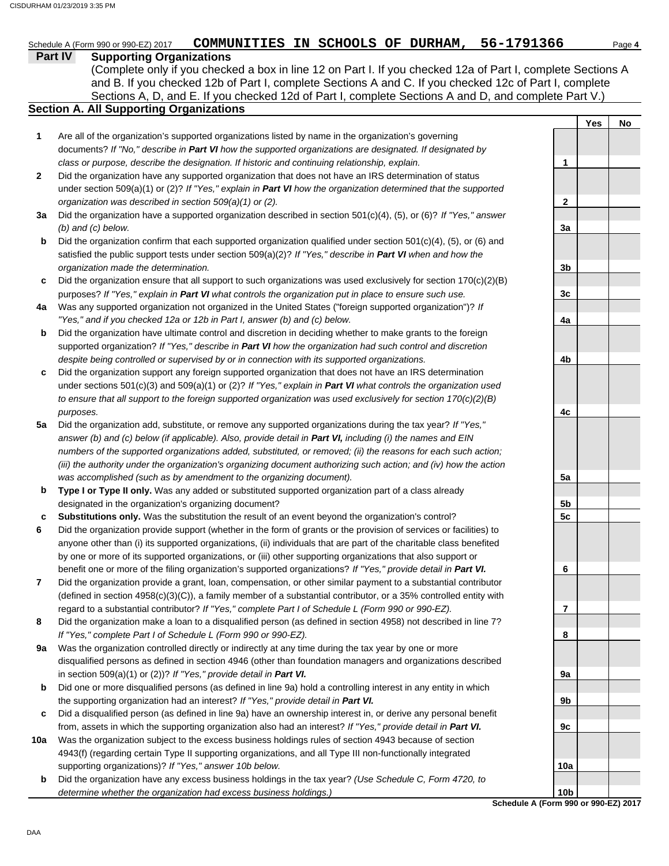## Schedule A (Form 990 or 990-EZ) 2017 **COMMUNITIES IN SCHOOLS OF DURHAM, 56-1791366** Page 4

#### **Part IV Supporting Organizations**

Sections A, D, and E. If you checked 12d of Part I, complete Sections A and D, and complete Part V.) (Complete only if you checked a box in line 12 on Part I. If you checked 12a of Part I, complete Sections A and B. If you checked 12b of Part I, complete Sections A and C. If you checked 12c of Part I, complete

## **Section A. All Supporting Organizations**

- Are all of the organization's supported organizations listed by name in the organization's governing documents? *If "No," describe in Part VI how the supported organizations are designated. If designated by class or purpose, describe the designation. If historic and continuing relationship, explain.* **1**
- Did the organization have any supported organization that does not have an IRS determination of status under section 509(a)(1) or (2)? *If "Yes," explain in Part VI how the organization determined that the supported organization was described in section 509(a)(1) or (2).* **2**
- **3a** Did the organization have a supported organization described in section 501(c)(4), (5), or (6)? *If "Yes," answer (b) and (c) below.*
- **b** Did the organization confirm that each supported organization qualified under section  $501(c)(4)$ ,  $(5)$ , or  $(6)$  and satisfied the public support tests under section 509(a)(2)? *If "Yes," describe in Part VI when and how the organization made the determination.*
- **c** Did the organization ensure that all support to such organizations was used exclusively for section  $170(c)(2)(B)$ purposes? *If "Yes," explain in Part VI what controls the organization put in place to ensure such use.*
- **4a** Was any supported organization not organized in the United States ("foreign supported organization")? *If "Yes," and if you checked 12a or 12b in Part I, answer (b) and (c) below.*
- **b** Did the organization have ultimate control and discretion in deciding whether to make grants to the foreign supported organization? *If "Yes," describe in Part VI how the organization had such control and discretion despite being controlled or supervised by or in connection with its supported organizations.*
- **c** Did the organization support any foreign supported organization that does not have an IRS determination under sections 501(c)(3) and 509(a)(1) or (2)? *If "Yes," explain in Part VI what controls the organization used to ensure that all support to the foreign supported organization was used exclusively for section 170(c)(2)(B) purposes.*
- **5a** Did the organization add, substitute, or remove any supported organizations during the tax year? *If "Yes," answer (b) and (c) below (if applicable). Also, provide detail in Part VI, including (i) the names and EIN numbers of the supported organizations added, substituted, or removed; (ii) the reasons for each such action; (iii) the authority under the organization's organizing document authorizing such action; and (iv) how the action was accomplished (such as by amendment to the organizing document).*
- **b Type I or Type II only.** Was any added or substituted supported organization part of a class already designated in the organization's organizing document?
- **c Substitutions only.** Was the substitution the result of an event beyond the organization's control?
- **6** Did the organization provide support (whether in the form of grants or the provision of services or facilities) to anyone other than (i) its supported organizations, (ii) individuals that are part of the charitable class benefited by one or more of its supported organizations, or (iii) other supporting organizations that also support or benefit one or more of the filing organization's supported organizations? *If "Yes," provide detail in Part VI.*
- **7** Did the organization provide a grant, loan, compensation, or other similar payment to a substantial contributor (defined in section 4958(c)(3)(C)), a family member of a substantial contributor, or a 35% controlled entity with regard to a substantial contributor? *If "Yes," complete Part I of Schedule L (Form 990 or 990-EZ).*
- **8** Did the organization make a loan to a disqualified person (as defined in section 4958) not described in line 7? *If "Yes," complete Part I of Schedule L (Form 990 or 990-EZ).*
- **9a** Was the organization controlled directly or indirectly at any time during the tax year by one or more disqualified persons as defined in section 4946 (other than foundation managers and organizations described in section 509(a)(1) or (2))? *If "Yes," provide detail in Part VI.*
- **b** Did one or more disqualified persons (as defined in line 9a) hold a controlling interest in any entity in which the supporting organization had an interest? *If "Yes," provide detail in Part VI.*
- **c** Did a disqualified person (as defined in line 9a) have an ownership interest in, or derive any personal benefit from, assets in which the supporting organization also had an interest? *If "Yes," provide detail in Part VI.*
- **10a** Was the organization subject to the excess business holdings rules of section 4943 because of section 4943(f) (regarding certain Type II supporting organizations, and all Type III non-functionally integrated supporting organizations)? *If "Yes," answer 10b below.*
- **b** Did the organization have any excess business holdings in the tax year? *(Use Schedule C, Form 4720, to determine whether the organization had excess business holdings.)*

|                        | Yes | <u>No</u> |
|------------------------|-----|-----------|
|                        |     |           |
| 1                      |     |           |
| 2<br>3a                |     |           |
| 3b                     |     |           |
| 3c                     |     |           |
| 4a                     |     |           |
| 4b                     |     |           |
| 4c                     |     |           |
|                        |     |           |
| 5a                     |     |           |
| <u>5b</u><br>5c        |     |           |
| 6                      |     |           |
| 7                      |     |           |
| 8                      |     |           |
| 9a                     |     |           |
| 9b                     |     |           |
| 9c                     |     |           |
| 10a<br>10 <sub>b</sub> |     |           |

**Schedule A (Form 990 or 990-EZ) 2017**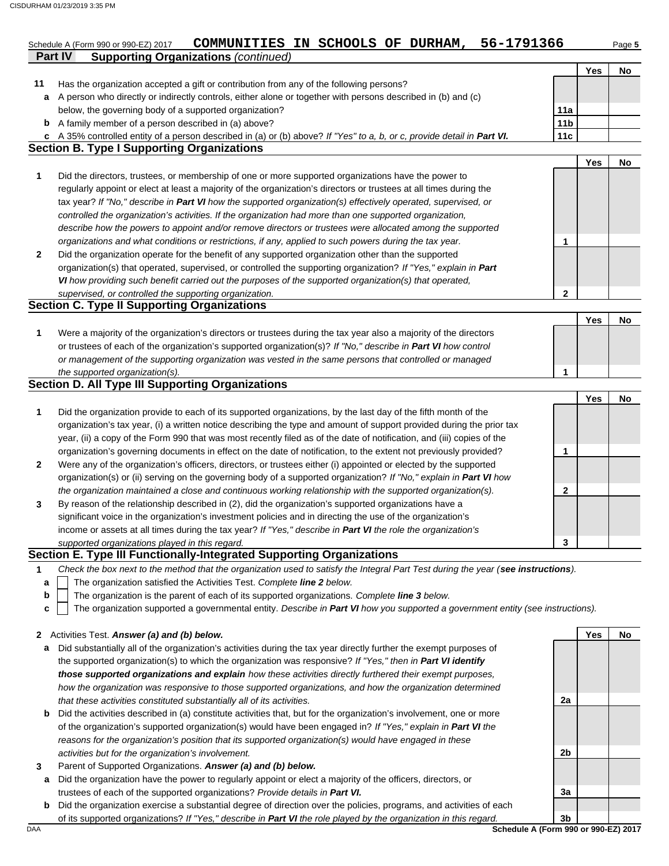|              | COMMUNITIES IN SCHOOLS OF DURHAM, 56-1791366<br>Schedule A (Form 990 or 990-EZ) 2017                                              |                 |     | Page 5 |
|--------------|-----------------------------------------------------------------------------------------------------------------------------------|-----------------|-----|--------|
|              | <b>Supporting Organizations (continued)</b><br>Part IV                                                                            |                 | Yes | No     |
| 11           | Has the organization accepted a gift or contribution from any of the following persons?                                           |                 |     |        |
| а            | A person who directly or indirectly controls, either alone or together with persons described in (b) and (c)                      |                 |     |        |
|              | below, the governing body of a supported organization?                                                                            | 11a             |     |        |
| b            | A family member of a person described in (a) above?                                                                               | 11 <sub>b</sub> |     |        |
| c            | A 35% controlled entity of a person described in (a) or (b) above? If "Yes" to a, b, or c, provide detail in Part VI.             | 11c             |     |        |
|              | <b>Section B. Type I Supporting Organizations</b>                                                                                 |                 |     |        |
|              |                                                                                                                                   |                 | Yes | No     |
| 1            | Did the directors, trustees, or membership of one or more supported organizations have the power to                               |                 |     |        |
|              | regularly appoint or elect at least a majority of the organization's directors or trustees at all times during the                |                 |     |        |
|              | tax year? If "No," describe in Part VI how the supported organization(s) effectively operated, supervised, or                     |                 |     |        |
|              | controlled the organization's activities. If the organization had more than one supported organization,                           |                 |     |        |
|              | describe how the powers to appoint and/or remove directors or trustees were allocated among the supported                         |                 |     |        |
|              | organizations and what conditions or restrictions, if any, applied to such powers during the tax year.                            | 1               |     |        |
| $\mathbf{2}$ | Did the organization operate for the benefit of any supported organization other than the supported                               |                 |     |        |
|              | organization(s) that operated, supervised, or controlled the supporting organization? If "Yes," explain in Part                   |                 |     |        |
|              | VI how providing such benefit carried out the purposes of the supported organization(s) that operated,                            |                 |     |        |
|              | supervised, or controlled the supporting organization.                                                                            | $\mathbf{2}$    |     |        |
|              | <b>Section C. Type II Supporting Organizations</b>                                                                                |                 |     |        |
|              |                                                                                                                                   |                 | Yes | No     |
| 1            | Were a majority of the organization's directors or trustees during the tax year also a majority of the directors                  |                 |     |        |
|              | or trustees of each of the organization's supported organization(s)? If "No," describe in Part VI how control                     |                 |     |        |
|              | or management of the supporting organization was vested in the same persons that controlled or managed                            |                 |     |        |
|              | the supported organization(s).                                                                                                    | 1               |     |        |
|              | <b>Section D. All Type III Supporting Organizations</b>                                                                           |                 |     |        |
|              |                                                                                                                                   |                 | Yes | No     |
| 1            | Did the organization provide to each of its supported organizations, by the last day of the fifth month of the                    |                 |     |        |
|              | organization's tax year, (i) a written notice describing the type and amount of support provided during the prior tax             |                 |     |        |
|              | year, (ii) a copy of the Form 990 that was most recently filed as of the date of notification, and (iii) copies of the            |                 |     |        |
|              | organization's governing documents in effect on the date of notification, to the extent not previously provided?                  | 1               |     |        |
| $\mathbf{2}$ | Were any of the organization's officers, directors, or trustees either (i) appointed or elected by the supported                  |                 |     |        |
|              | organization(s) or (ii) serving on the governing body of a supported organization? If "No," explain in Part VI how                |                 |     |        |
|              | the organization maintained a close and continuous working relationship with the supported organization(s).                       | $\mathbf{2}$    |     |        |
| 3            | By reason of the relationship described in (2), did the organization's supported organizations have a                             |                 |     |        |
|              | significant voice in the organization's investment policies and in directing the use of the organization's                        |                 |     |        |
|              | income or assets at all times during the tax year? If "Yes," describe in Part VI the role the organization's                      |                 |     |        |
|              | supported organizations played in this regard.                                                                                    | 3               |     |        |
|              | Section E. Type III Functionally-Integrated Supporting Organizations                                                              |                 |     |        |
| 1            | Check the box next to the method that the organization used to satisfy the Integral Part Test during the year (see instructions). |                 |     |        |
| a            | The organization satisfied the Activities Test. Complete line 2 below.                                                            |                 |     |        |
| b            | The organization is the parent of each of its supported organizations. Complete line 3 below.                                     |                 |     |        |
| c            | The organization supported a governmental entity. Describe in Part VI how you supported a government entity (see instructions).   |                 |     |        |
|              | 2 Activities Test. Answer (a) and (b) below.                                                                                      |                 | Yes | No     |
| а            | Did substantially all of the organization's activities during the tax year directly further the exempt purposes of                |                 |     |        |
|              | the supported organization(s) to which the organization was responsive? If "Yes," then in Part VI identify                        |                 |     |        |
|              | those supported organizations and explain how these activities directly furthered their exempt purposes,                          |                 |     |        |
|              | how the organization was responsive to those supported organizations, and how the organization determined                         |                 |     |        |
|              | that these activities constituted substantially all of its activities.                                                            | 2a              |     |        |

- **b** Did the activities described in (a) constitute activities that, but for the organization's involvement, one or more of the organization's supported organization(s) would have been engaged in? *If "Yes," explain in Part VI the reasons for the organization's position that its supported organization(s) would have engaged in these activities but for the organization's involvement.*
- **3** Parent of Supported Organizations. *Answer (a) and (b) below.*
- **a** Did the organization have the power to regularly appoint or elect a majority of the officers, directors, or trustees of each of the supported organizations? *Provide details in Part VI.*
- **b** Did the organization exercise a substantial degree of direction over the policies, programs, and activities of each of its supported organizations? *If "Yes," describe in Part VI the role played by the organization in this regard.*

DAA **Schedule A (Form 990 or 990-EZ) 2017 3b**

**3a**

**2b**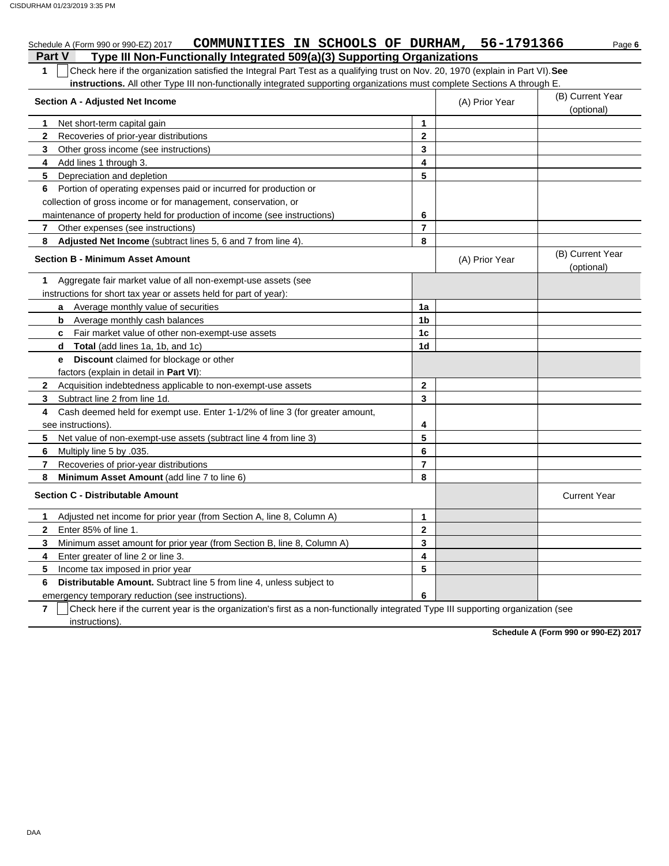| COMMUNITIES IN SCHOOLS OF DURHAM, 56-1791366<br>Schedule A (Form 990 or 990-EZ) 2017                                                             |                |                | Page 6                         |  |  |  |  |  |
|--------------------------------------------------------------------------------------------------------------------------------------------------|----------------|----------------|--------------------------------|--|--|--|--|--|
| Type III Non-Functionally Integrated 509(a)(3) Supporting Organizations<br><b>Part V</b>                                                         |                |                |                                |  |  |  |  |  |
| Check here if the organization satisfied the Integral Part Test as a qualifying trust on Nov. 20, 1970 (explain in Part VI). See<br>$\mathbf{1}$ |                |                |                                |  |  |  |  |  |
| instructions. All other Type III non-functionally integrated supporting organizations must complete Sections A through E.                        |                |                |                                |  |  |  |  |  |
| <b>Section A - Adjusted Net Income</b>                                                                                                           |                | (A) Prior Year | (B) Current Year               |  |  |  |  |  |
|                                                                                                                                                  |                |                | (optional)                     |  |  |  |  |  |
| Net short-term capital gain<br>1                                                                                                                 | 1              |                |                                |  |  |  |  |  |
| $\mathbf{2}$<br>Recoveries of prior-year distributions                                                                                           | $\mathbf{2}$   |                |                                |  |  |  |  |  |
| 3<br>Other gross income (see instructions)                                                                                                       | 3              |                |                                |  |  |  |  |  |
| 4<br>Add lines 1 through 3.                                                                                                                      | 4              |                |                                |  |  |  |  |  |
| 5<br>Depreciation and depletion                                                                                                                  | 5              |                |                                |  |  |  |  |  |
| Portion of operating expenses paid or incurred for production or<br>6                                                                            |                |                |                                |  |  |  |  |  |
| collection of gross income or for management, conservation, or                                                                                   |                |                |                                |  |  |  |  |  |
| maintenance of property held for production of income (see instructions)                                                                         | 6              |                |                                |  |  |  |  |  |
| 7<br>Other expenses (see instructions)                                                                                                           | 7              |                |                                |  |  |  |  |  |
| Adjusted Net Income (subtract lines 5, 6 and 7 from line 4).<br>8                                                                                | 8              |                |                                |  |  |  |  |  |
| <b>Section B - Minimum Asset Amount</b>                                                                                                          |                | (A) Prior Year | (B) Current Year<br>(optional) |  |  |  |  |  |
| Aggregate fair market value of all non-exempt-use assets (see<br>1                                                                               |                |                |                                |  |  |  |  |  |
| instructions for short tax year or assets held for part of year):                                                                                |                |                |                                |  |  |  |  |  |
| a Average monthly value of securities                                                                                                            | 1a             |                |                                |  |  |  |  |  |
| <b>b</b> Average monthly cash balances                                                                                                           | 1b             |                |                                |  |  |  |  |  |
| <b>c</b> Fair market value of other non-exempt-use assets                                                                                        | 1c             |                |                                |  |  |  |  |  |
| <b>d Total</b> (add lines 1a, 1b, and 1c)                                                                                                        | 1 <sub>d</sub> |                |                                |  |  |  |  |  |
| <b>Discount</b> claimed for blockage or other<br>е                                                                                               |                |                |                                |  |  |  |  |  |
| factors (explain in detail in Part VI):                                                                                                          |                |                |                                |  |  |  |  |  |
| Acquisition indebtedness applicable to non-exempt-use assets<br>$\mathbf{2}$                                                                     | $\mathbf 2$    |                |                                |  |  |  |  |  |
| 3<br>Subtract line 2 from line 1d.                                                                                                               | 3              |                |                                |  |  |  |  |  |
| Cash deemed held for exempt use. Enter 1-1/2% of line 3 (for greater amount,<br>4                                                                |                |                |                                |  |  |  |  |  |
| see instructions).                                                                                                                               | 4              |                |                                |  |  |  |  |  |
| 5<br>Net value of non-exempt-use assets (subtract line 4 from line 3)                                                                            | 5              |                |                                |  |  |  |  |  |
| 6<br>Multiply line 5 by .035.                                                                                                                    | 6              |                |                                |  |  |  |  |  |
| $\overline{7}$<br>Recoveries of prior-year distributions                                                                                         | $\overline{7}$ |                |                                |  |  |  |  |  |
| Minimum Asset Amount (add line 7 to line 6)<br>8                                                                                                 | 8              |                |                                |  |  |  |  |  |
| <b>Section C - Distributable Amount</b>                                                                                                          |                |                | <b>Current Year</b>            |  |  |  |  |  |
| Adjusted net income for prior year (from Section A, line 8, Column A)<br>1                                                                       | 1              |                |                                |  |  |  |  |  |
| $\mathbf{2}$<br>Enter 85% of line 1.                                                                                                             | $\mathbf 2$    |                |                                |  |  |  |  |  |
| Minimum asset amount for prior year (from Section B, line 8, Column A)<br>3                                                                      | 3              |                |                                |  |  |  |  |  |
| Enter greater of line 2 or line 3.<br>4                                                                                                          | 4              |                |                                |  |  |  |  |  |
| 5<br>Income tax imposed in prior year                                                                                                            | 5              |                |                                |  |  |  |  |  |
| Distributable Amount. Subtract line 5 from line 4, unless subject to<br>6                                                                        |                |                |                                |  |  |  |  |  |
| emergency temporary reduction (see instructions).                                                                                                | 6              |                |                                |  |  |  |  |  |

**7** | Check here if the current year is the organization's first as a non-functionally integrated Type III supporting organization (see instructions).

**Schedule A (Form 990 or 990-EZ) 2017**

DAA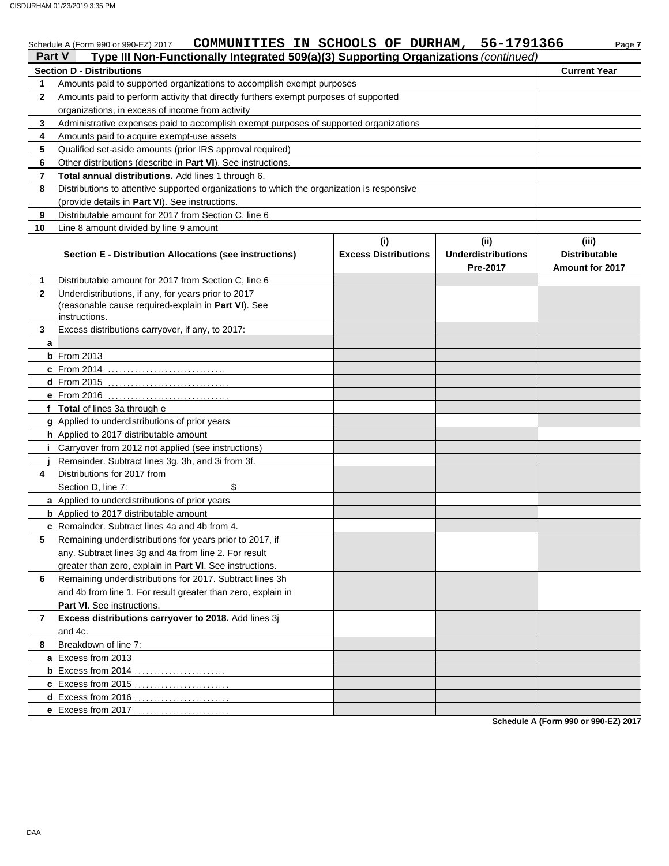CISDURHAM 01/23/2019 3:35 PM

|                   | COMMUNITIES IN SCHOOLS OF DURHAM, 56-1791366<br>Schedule A (Form 990 or 990-EZ) 2017                                                                          |                                    |                                              | Page 7                                                  |
|-------------------|---------------------------------------------------------------------------------------------------------------------------------------------------------------|------------------------------------|----------------------------------------------|---------------------------------------------------------|
| <b>Part V</b>     | Type III Non-Functionally Integrated 509(a)(3) Supporting Organizations (continued)                                                                           |                                    |                                              |                                                         |
|                   | <b>Section D - Distributions</b>                                                                                                                              |                                    |                                              | <b>Current Year</b>                                     |
| 1<br>$\mathbf{2}$ | Amounts paid to supported organizations to accomplish exempt purposes<br>Amounts paid to perform activity that directly furthers exempt purposes of supported |                                    |                                              |                                                         |
|                   | organizations, in excess of income from activity                                                                                                              |                                    |                                              |                                                         |
| 3                 | Administrative expenses paid to accomplish exempt purposes of supported organizations                                                                         |                                    |                                              |                                                         |
| 4                 | Amounts paid to acquire exempt-use assets                                                                                                                     |                                    |                                              |                                                         |
| 5                 | Qualified set-aside amounts (prior IRS approval required)                                                                                                     |                                    |                                              |                                                         |
| 6                 | Other distributions (describe in Part VI). See instructions.                                                                                                  |                                    |                                              |                                                         |
| 7                 | Total annual distributions. Add lines 1 through 6.                                                                                                            |                                    |                                              |                                                         |
| 8                 | Distributions to attentive supported organizations to which the organization is responsive                                                                    |                                    |                                              |                                                         |
|                   | (provide details in Part VI). See instructions.                                                                                                               |                                    |                                              |                                                         |
| 9                 | Distributable amount for 2017 from Section C, line 6                                                                                                          |                                    |                                              |                                                         |
| 10                | Line 8 amount divided by line 9 amount                                                                                                                        |                                    |                                              |                                                         |
|                   | Section E - Distribution Allocations (see instructions)                                                                                                       | (i)<br><b>Excess Distributions</b> | (i)<br><b>Underdistributions</b><br>Pre-2017 | (iii)<br><b>Distributable</b><br><b>Amount for 2017</b> |
| 1                 | Distributable amount for 2017 from Section C, line 6                                                                                                          |                                    |                                              |                                                         |
| $\mathbf{2}$      | Underdistributions, if any, for years prior to 2017<br>(reasonable cause required-explain in Part VI). See<br>instructions.                                   |                                    |                                              |                                                         |
| 3                 | Excess distributions carryover, if any, to 2017:                                                                                                              |                                    |                                              |                                                         |
| a                 |                                                                                                                                                               |                                    |                                              |                                                         |
|                   | <b>b</b> From 2013                                                                                                                                            |                                    |                                              |                                                         |
|                   | c From 2014                                                                                                                                                   |                                    |                                              |                                                         |
|                   | d From 2015 <u></u>                                                                                                                                           |                                    |                                              |                                                         |
|                   |                                                                                                                                                               |                                    |                                              |                                                         |
|                   | f Total of lines 3a through e                                                                                                                                 |                                    |                                              |                                                         |
|                   | g Applied to underdistributions of prior years                                                                                                                |                                    |                                              |                                                         |
|                   | h Applied to 2017 distributable amount                                                                                                                        |                                    |                                              |                                                         |
|                   | Carryover from 2012 not applied (see instructions)                                                                                                            |                                    |                                              |                                                         |
|                   | Remainder. Subtract lines 3g, 3h, and 3i from 3f.                                                                                                             |                                    |                                              |                                                         |
| 4                 | Distributions for 2017 from                                                                                                                                   |                                    |                                              |                                                         |
|                   | \$<br>Section D, line 7:                                                                                                                                      |                                    |                                              |                                                         |
|                   | a Applied to underdistributions of prior years                                                                                                                |                                    |                                              |                                                         |
|                   | <b>b</b> Applied to 2017 distributable amount                                                                                                                 |                                    |                                              |                                                         |
|                   | c Remainder. Subtract lines 4a and 4b from 4.                                                                                                                 |                                    |                                              |                                                         |
| 5.                | Remaining underdistributions for years prior to 2017, if                                                                                                      |                                    |                                              |                                                         |
|                   | any. Subtract lines 3g and 4a from line 2. For result                                                                                                         |                                    |                                              |                                                         |
|                   | greater than zero, explain in Part VI. See instructions.                                                                                                      |                                    |                                              |                                                         |
| 6                 | Remaining underdistributions for 2017. Subtract lines 3h                                                                                                      |                                    |                                              |                                                         |
|                   | and 4b from line 1. For result greater than zero, explain in                                                                                                  |                                    |                                              |                                                         |
|                   | Part VI. See instructions.                                                                                                                                    |                                    |                                              |                                                         |
| 7                 | Excess distributions carryover to 2018. Add lines 3j                                                                                                          |                                    |                                              |                                                         |
|                   | and 4c.                                                                                                                                                       |                                    |                                              |                                                         |
| 8                 | Breakdown of line 7:                                                                                                                                          |                                    |                                              |                                                         |
|                   | a Excess from 2013                                                                                                                                            |                                    |                                              |                                                         |
|                   | <b>b</b> Excess from 2014                                                                                                                                     |                                    |                                              |                                                         |
|                   | c Excess from 2015                                                                                                                                            |                                    |                                              |                                                         |
|                   |                                                                                                                                                               |                                    |                                              |                                                         |
|                   | e Excess from 2017                                                                                                                                            |                                    |                                              |                                                         |

**Schedule A (Form 990 or 990-EZ) 2017**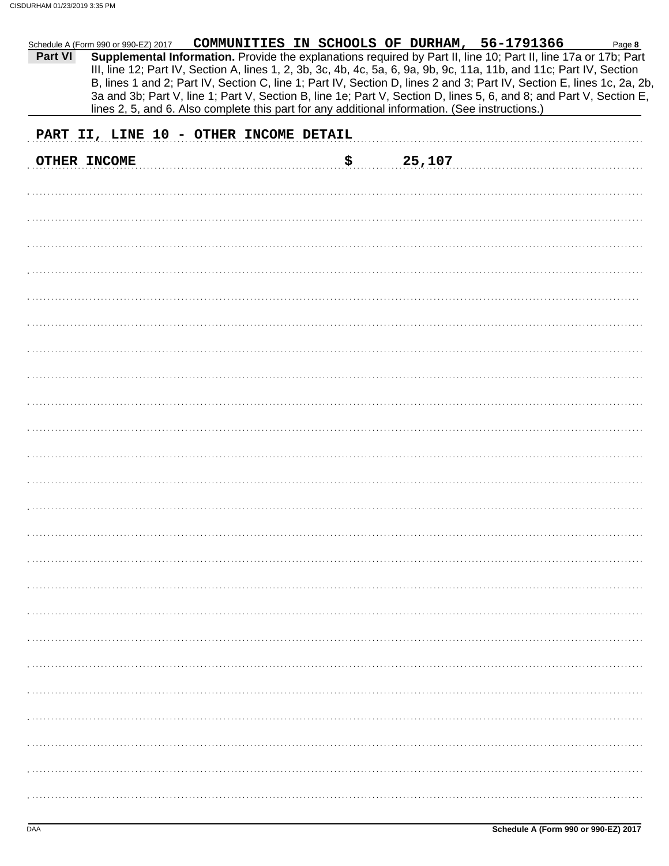|         |                                        |  |     | Schedule A (Form 990 or 990-EZ) 2017 COMMUNITIES IN SCHOOLS OF DURHAM, 56-1791366              |                                                                                                                                                                                                                                                                                                                                                                   | Page 8 |
|---------|----------------------------------------|--|-----|------------------------------------------------------------------------------------------------|-------------------------------------------------------------------------------------------------------------------------------------------------------------------------------------------------------------------------------------------------------------------------------------------------------------------------------------------------------------------|--------|
| Part VI |                                        |  |     |                                                                                                | Supplemental Information. Provide the explanations required by Part II, line 10; Part II, line 17a or 17b; Part<br>III, line 12; Part IV, Section A, lines 1, 2, 3b, 3c, 4b, 4c, 5a, 6, 9a, 9b, 9c, 11a, 11b, and 11c; Part IV, Section<br>B, lines 1 and 2; Part IV, Section C, line 1; Part IV, Section D, lines 2 and 3; Part IV, Section E, lines 1c, 2a, 2b, |        |
|         |                                        |  |     | lines 2, 5, and 6. Also complete this part for any additional information. (See instructions.) | 3a and 3b; Part V, line 1; Part V, Section B, line 1e; Part V, Section D, lines 5, 6, and 8; and Part V, Section E,                                                                                                                                                                                                                                               |        |
|         | PART II, LINE 10 - OTHER INCOME DETAIL |  |     |                                                                                                |                                                                                                                                                                                                                                                                                                                                                                   |        |
|         | <b>OTHER INCOME</b>                    |  | \$. | 25,107                                                                                         |                                                                                                                                                                                                                                                                                                                                                                   |        |
|         |                                        |  |     |                                                                                                |                                                                                                                                                                                                                                                                                                                                                                   |        |
|         |                                        |  |     |                                                                                                |                                                                                                                                                                                                                                                                                                                                                                   |        |
|         |                                        |  |     |                                                                                                |                                                                                                                                                                                                                                                                                                                                                                   |        |
|         |                                        |  |     |                                                                                                |                                                                                                                                                                                                                                                                                                                                                                   |        |
|         |                                        |  |     |                                                                                                |                                                                                                                                                                                                                                                                                                                                                                   |        |
|         |                                        |  |     |                                                                                                |                                                                                                                                                                                                                                                                                                                                                                   |        |
|         |                                        |  |     |                                                                                                |                                                                                                                                                                                                                                                                                                                                                                   |        |
|         |                                        |  |     |                                                                                                |                                                                                                                                                                                                                                                                                                                                                                   |        |
|         |                                        |  |     |                                                                                                |                                                                                                                                                                                                                                                                                                                                                                   |        |
|         |                                        |  |     |                                                                                                |                                                                                                                                                                                                                                                                                                                                                                   |        |
|         |                                        |  |     |                                                                                                |                                                                                                                                                                                                                                                                                                                                                                   |        |
|         |                                        |  |     |                                                                                                |                                                                                                                                                                                                                                                                                                                                                                   |        |
|         |                                        |  |     |                                                                                                |                                                                                                                                                                                                                                                                                                                                                                   |        |
|         |                                        |  |     |                                                                                                |                                                                                                                                                                                                                                                                                                                                                                   |        |
|         |                                        |  |     |                                                                                                |                                                                                                                                                                                                                                                                                                                                                                   |        |
|         |                                        |  |     |                                                                                                |                                                                                                                                                                                                                                                                                                                                                                   |        |
|         |                                        |  |     |                                                                                                |                                                                                                                                                                                                                                                                                                                                                                   |        |
|         |                                        |  |     |                                                                                                |                                                                                                                                                                                                                                                                                                                                                                   |        |
|         |                                        |  |     |                                                                                                |                                                                                                                                                                                                                                                                                                                                                                   |        |
|         |                                        |  |     |                                                                                                |                                                                                                                                                                                                                                                                                                                                                                   |        |
|         |                                        |  |     |                                                                                                |                                                                                                                                                                                                                                                                                                                                                                   |        |
|         |                                        |  |     |                                                                                                |                                                                                                                                                                                                                                                                                                                                                                   |        |
|         |                                        |  |     |                                                                                                |                                                                                                                                                                                                                                                                                                                                                                   |        |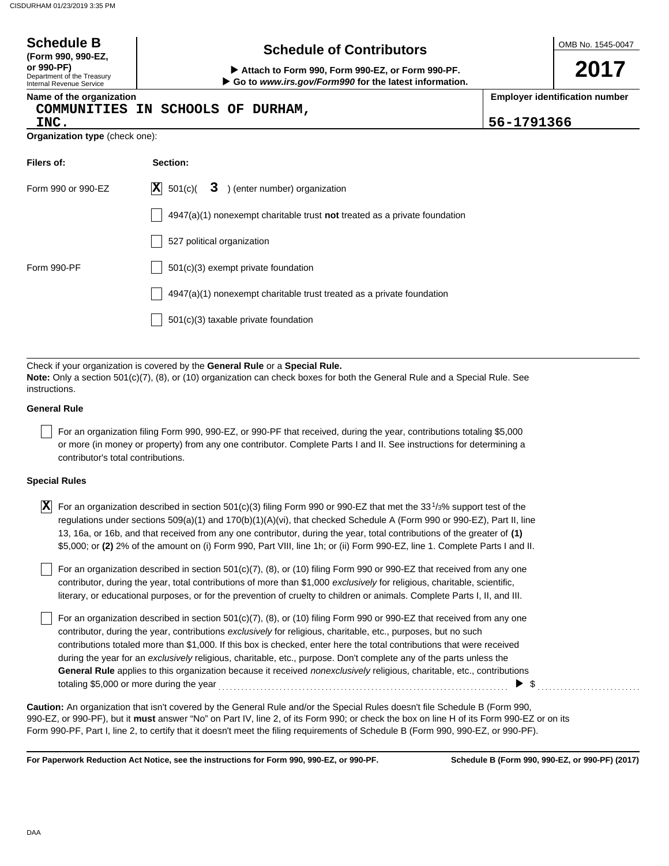| <b>Schedule B</b><br>(Form 990, 990-EZ,<br>or 990-PF)<br>Department of the Treasury<br>Internal Revenue Service | <b>Schedule of Contributors</b><br>Attach to Form 990, Form 990-EZ, or Form 990-PF.<br>Go to www.irs.gov/Form990 for the latest information.                                                                |            | OMB No. 1545-0047<br>2017             |
|-----------------------------------------------------------------------------------------------------------------|-------------------------------------------------------------------------------------------------------------------------------------------------------------------------------------------------------------|------------|---------------------------------------|
| Name of the organization<br>INC.<br>Organization type (check one):                                              | COMMUNITIES IN SCHOOLS OF DURHAM,                                                                                                                                                                           | 56-1791366 | <b>Employer identification number</b> |
| Filers of:                                                                                                      | Section:                                                                                                                                                                                                    |            |                                       |
| Form 990 or 990-EZ                                                                                              | 3 ) (enter number) organization<br>$ \mathbf{X} $<br>501(c)(                                                                                                                                                |            |                                       |
|                                                                                                                 | $4947(a)(1)$ nonexempt charitable trust <b>not</b> treated as a private foundation                                                                                                                          |            |                                       |
|                                                                                                                 | 527 political organization                                                                                                                                                                                  |            |                                       |
| Form 990-PF                                                                                                     | 501(c)(3) exempt private foundation                                                                                                                                                                         |            |                                       |
|                                                                                                                 | 4947(a)(1) nonexempt charitable trust treated as a private foundation                                                                                                                                       |            |                                       |
|                                                                                                                 | $501(c)(3)$ taxable private foundation                                                                                                                                                                      |            |                                       |
|                                                                                                                 |                                                                                                                                                                                                             |            |                                       |
| instructions.                                                                                                   | Check if your organization is covered by the General Rule or a Special Rule.<br>Note: Only a section 501(c)(7), (8), or (10) organization can check boxes for both the General Rule and a Special Rule. See |            |                                       |

#### **General Rule**

For an organization filing Form 990, 990-EZ, or 990-PF that received, during the year, contributions totaling \$5,000 or more (in money or property) from any one contributor. Complete Parts I and II. See instructions for determining a contributor's total contributions.

#### **Special Rules**

| $\overline{X}$ For an organization described in section 501(c)(3) filing Form 990 or 990-EZ that met the 331/3% support test of the |
|-------------------------------------------------------------------------------------------------------------------------------------|
| regulations under sections 509(a)(1) and 170(b)(1)(A)(vi), that checked Schedule A (Form 990 or 990-EZ), Part II, line              |
| 13, 16a, or 16b, and that received from any one contributor, during the year, total contributions of the greater of (1)             |
| \$5,000; or (2) 2% of the amount on (i) Form 990, Part VIII, line 1h; or (ii) Form 990-EZ, line 1. Complete Parts I and II.         |

literary, or educational purposes, or for the prevention of cruelty to children or animals. Complete Parts I, II, and III. For an organization described in section 501(c)(7), (8), or (10) filing Form 990 or 990-EZ that received from any one contributor, during the year, total contributions of more than \$1,000 *exclusively* for religious, charitable, scientific,

For an organization described in section 501(c)(7), (8), or (10) filing Form 990 or 990-EZ that received from any one contributor, during the year, contributions *exclusively* for religious, charitable, etc., purposes, but no such contributions totaled more than \$1,000. If this box is checked, enter here the total contributions that were received during the year for an *exclusively* religious, charitable, etc., purpose. Don't complete any of the parts unless the **General Rule** applies to this organization because it received *nonexclusively* religious, charitable, etc., contributions totaling \$5,000 or more during the year . . . . . . . . . . . . . . . . . . . . . . . . . . . . . . . . . . . . . . . . . . . . . . . . . . . . . . . . . . . . . . . . . . . . . . . . . . . . \$ . . . . . . . . . . . . . . . . . . . . . . . . . . .

990-EZ, or 990-PF), but it **must** answer "No" on Part IV, line 2, of its Form 990; or check the box on line H of its Form 990-EZ or on its Form 990-PF, Part I, line 2, to certify that it doesn't meet the filing requirements of Schedule B (Form 990, 990-EZ, or 990-PF). **Caution:** An organization that isn't covered by the General Rule and/or the Special Rules doesn't file Schedule B (Form 990,

**For Paperwork Reduction Act Notice, see the instructions for Form 990, 990-EZ, or 990-PF.**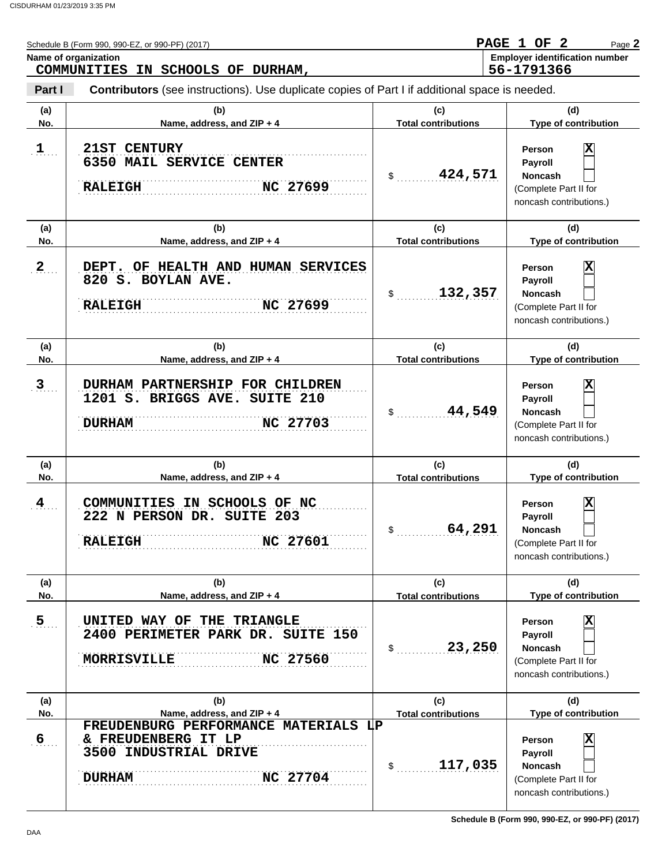|                | Schedule B (Form 990, 990-EZ, or 990-PF) (2017)<br>Name of organization                                                         |                                            | PAGE 1 OF 2<br>Page 2<br><b>Employer identification number</b>                                                       |  |  |
|----------------|---------------------------------------------------------------------------------------------------------------------------------|--------------------------------------------|----------------------------------------------------------------------------------------------------------------------|--|--|
|                | COMMUNITIES IN SCHOOLS OF DURHAM,                                                                                               |                                            | 56-1791366                                                                                                           |  |  |
| Part I         | <b>Contributors</b> (see instructions). Use duplicate copies of Part I if additional space is needed.                           |                                            |                                                                                                                      |  |  |
| (a)<br>No.     | (b)<br>Name, address, and ZIP + 4                                                                                               | (c)<br><b>Total contributions</b>          | (d)<br><b>Type of contribution</b>                                                                                   |  |  |
| $\mathbf{1}$   | <b>21ST CENTURY</b><br>6350 MAIL SERVICE CENTER<br>NC 27699<br><b>RALEIGH</b>                                                   | 424,571<br>$\frac{1}{2}$                   | $\overline{\mathbf{x}}$<br>Person<br>Payroll<br><b>Noncash</b><br>(Complete Part II for<br>noncash contributions.)   |  |  |
| (a)<br>No.     | (b)<br>Name, address, and ZIP + 4                                                                                               | (c)<br><b>Total contributions</b>          | (d)<br>Type of contribution                                                                                          |  |  |
| $\mathbf{2}$   | OF HEALTH AND HUMAN SERVICES<br>DEPT.<br>820 S. BOYLAN AVE.<br>NC 27699<br><b>RALEIGH</b>                                       | 132,357<br>\$                              | x<br>Person<br><b>Payroll</b><br><b>Noncash</b><br>(Complete Part II for<br>noncash contributions.)                  |  |  |
| (a)<br>No.     | (b)<br>Name, address, and ZIP + 4                                                                                               | (c)<br><b>Total contributions</b>          | (d)<br>Type of contribution                                                                                          |  |  |
| 3              | DURHAM PARTNERSHIP FOR CHILDREN<br>1201 S. BRIGGS AVE. SUITE 210<br>NC 27703<br><b>DURHAM</b>                                   | 44,549<br>\$                               | x<br>Person<br><b>Payroll</b><br><b>Noncash</b><br>(Complete Part II for<br>noncash contributions.)                  |  |  |
| (a)<br>No.     | (b)<br>Name, address, and ZIP + 4                                                                                               | (c)<br><b>Total contributions</b>          | (d)<br>Type of contribution                                                                                          |  |  |
| $\frac{4}{1}$  | COMMUNITIES IN SCHOOLS OF NC<br>222 N PERSON DR. SUITE 203<br>NC 27601<br><b>RALEIGH</b>                                        | 64,291<br>\$                               | $\overline{\textbf{x}}$<br>Person<br><b>Payroll</b><br>Noncash<br>(Complete Part II for<br>noncash contributions.)   |  |  |
| (a)            | (b)                                                                                                                             | (c)                                        | (d)                                                                                                                  |  |  |
| No.<br>5.1     | Name, address, and ZIP + 4<br>UNITED WAY OF THE TRIANGLE<br>2400 PERIMETER PARK DR. SUITE 150<br>NC 27560<br><b>MORRISVILLE</b> | <b>Total contributions</b><br>23,250<br>\$ | Type of contribution<br>X<br>Person<br>Payroll<br><b>Noncash</b><br>(Complete Part II for<br>noncash contributions.) |  |  |
| (a)<br>No.     | (b)<br>Name, address, and ZIP + 4                                                                                               | (c)<br><b>Total contributions</b>          | (d)<br>Type of contribution                                                                                          |  |  |
| 6 <sub>1</sub> | FREUDENBURG PERFORMANCE MATERIALS LP<br>& FREUDENBERG IT LP<br>3500 INDUSTRIAL DRIVE<br>NC 27704<br><b>DURHAM</b>               | 117,035<br>\$                              | X<br>Person<br>Payroll<br>Noncash<br>(Complete Part II for<br>noncash contributions.)                                |  |  |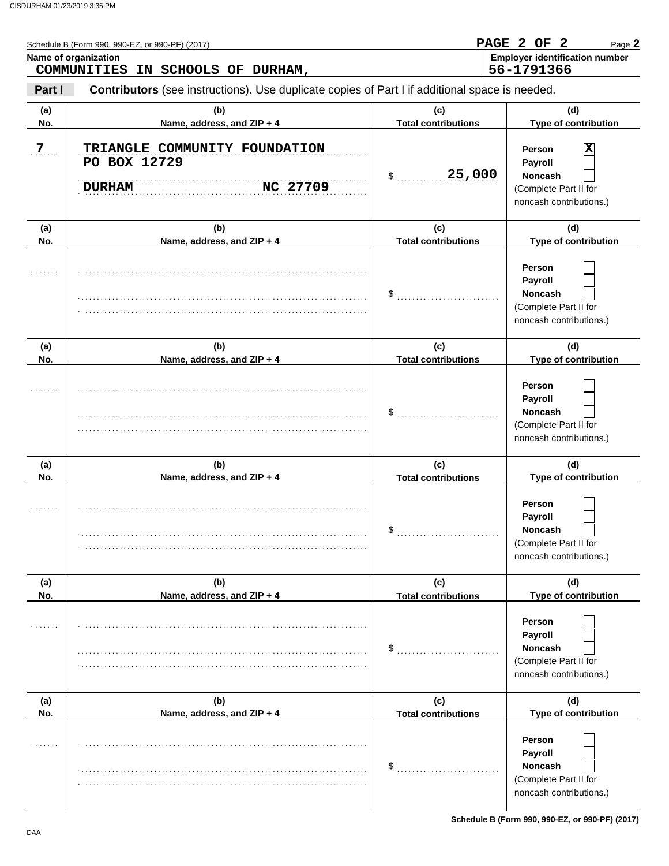|            | Name of organization<br>COMMUNITIES IN SCHOOLS OF DURHAM,                                      |                                   | <b>Employer identification number</b><br>56-1791366                                            |  |  |
|------------|------------------------------------------------------------------------------------------------|-----------------------------------|------------------------------------------------------------------------------------------------|--|--|
| Part I     | Contributors (see instructions). Use duplicate copies of Part I if additional space is needed. |                                   |                                                                                                |  |  |
| (a)<br>No. | (b)<br>Name, address, and ZIP + 4                                                              | (c)<br><b>Total contributions</b> | (d)<br>Type of contribution                                                                    |  |  |
| 7.         | TRIANGLE COMMUNITY FOUNDATION<br>PO BOX 12729<br>NC 27709<br><b>DURHAM</b>                     | 25,000<br>\$                      | x<br>Person<br>Payroll<br>Noncash<br>(Complete Part II for<br>noncash contributions.)          |  |  |
| (a)<br>No. | (b)<br>Name, address, and ZIP + 4                                                              | (c)<br><b>Total contributions</b> | (d)<br>Type of contribution                                                                    |  |  |
|            |                                                                                                | \$                                | Person<br><b>Payroll</b><br><b>Noncash</b><br>(Complete Part II for<br>noncash contributions.) |  |  |
| (a)<br>No. | (b)<br>Name, address, and ZIP + 4                                                              | (c)<br><b>Total contributions</b> | (d)<br>Type of contribution                                                                    |  |  |
|            |                                                                                                | \$                                | Person<br><b>Payroll</b><br>Noncash<br>(Complete Part II for<br>noncash contributions.)        |  |  |
| (a)<br>No. | (b)<br>Name, address, and ZIP + 4                                                              | (c)<br><b>Total contributions</b> | (d)<br>Type of contribution                                                                    |  |  |
| .          |                                                                                                | \$                                | Person<br>Payroll<br><b>Noncash</b><br>(Complete Part II for<br>noncash contributions.)        |  |  |
| (a)<br>No. | (b)<br>Name, address, and ZIP + 4                                                              | (c)<br><b>Total contributions</b> | (d)<br>Type of contribution                                                                    |  |  |
|            |                                                                                                | \$                                | Person<br>Payroll<br><b>Noncash</b><br>(Complete Part II for<br>noncash contributions.)        |  |  |
| (a)<br>No. | (b)<br>Name, address, and ZIP + 4                                                              | (c)<br><b>Total contributions</b> | (d)<br>Type of contribution                                                                    |  |  |
|            |                                                                                                | \$                                | Person<br>Payroll<br><b>Noncash</b><br>(Complete Part II for<br>noncash contributions.)        |  |  |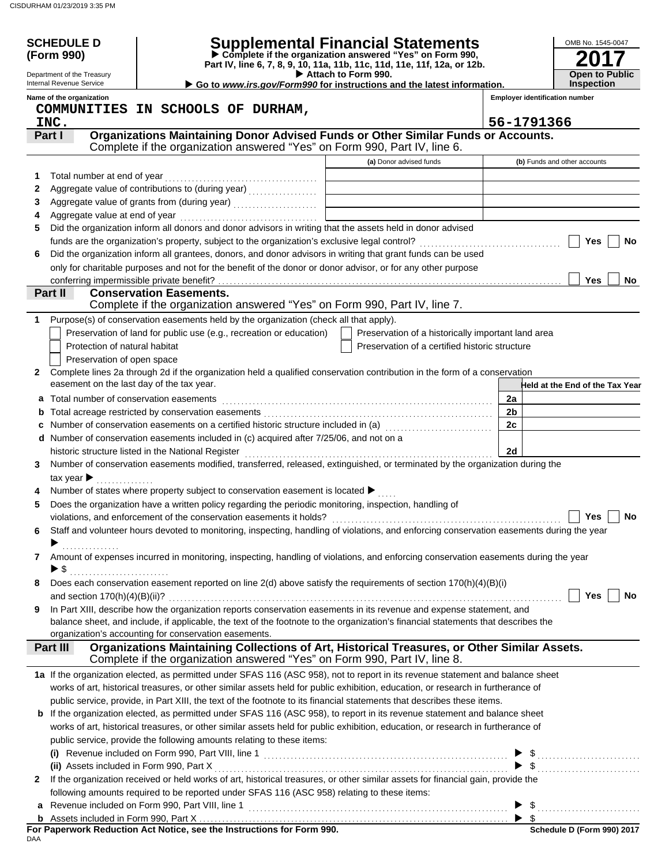|   | <b>SCHEDULE D</b><br>(Form 990)<br>Department of the Treasury |                                                                                                                                                                                    | <b>Supplemental Financial Statements</b><br>Complete if the organization answered "Yes" on Form 990,<br>Part IV, line 6, 7, 8, 9, 10, 11a, 11b, 11c, 11d, 11e, 11f, 12a, or 12b.<br>Attach to Form 990. | OMB No. 1545-0047<br><b>Open to Public</b> |
|---|---------------------------------------------------------------|------------------------------------------------------------------------------------------------------------------------------------------------------------------------------------|---------------------------------------------------------------------------------------------------------------------------------------------------------------------------------------------------------|--------------------------------------------|
|   | Internal Revenue Service                                      |                                                                                                                                                                                    | Go to www.irs.gov/Form990 for instructions and the latest information.                                                                                                                                  | <b>Inspection</b>                          |
|   | Name of the organization                                      |                                                                                                                                                                                    |                                                                                                                                                                                                         | <b>Employer identification number</b>      |
|   |                                                               | COMMUNITIES IN SCHOOLS OF DURHAM,                                                                                                                                                  |                                                                                                                                                                                                         |                                            |
|   | INC.                                                          |                                                                                                                                                                                    |                                                                                                                                                                                                         | 56-1791366                                 |
|   | Part I                                                        | Organizations Maintaining Donor Advised Funds or Other Similar Funds or Accounts.<br>Complete if the organization answered "Yes" on Form 990, Part IV, line 6.                     |                                                                                                                                                                                                         |                                            |
|   |                                                               |                                                                                                                                                                                    |                                                                                                                                                                                                         |                                            |
|   |                                                               |                                                                                                                                                                                    | (a) Donor advised funds                                                                                                                                                                                 | (b) Funds and other accounts               |
| 1 | Total number at end of year                                   |                                                                                                                                                                                    |                                                                                                                                                                                                         |                                            |
| 2 |                                                               | Aggregate value of contributions to (during year)                                                                                                                                  |                                                                                                                                                                                                         |                                            |
| 3 |                                                               |                                                                                                                                                                                    |                                                                                                                                                                                                         |                                            |
| 4 |                                                               | Did the organization inform all donors and donor advisors in writing that the assets held in donor advised                                                                         |                                                                                                                                                                                                         |                                            |
| 5 |                                                               |                                                                                                                                                                                    |                                                                                                                                                                                                         | Yes<br>No                                  |
| 6 |                                                               | Did the organization inform all grantees, donors, and donor advisors in writing that grant funds can be used                                                                       |                                                                                                                                                                                                         |                                            |
|   |                                                               | only for charitable purposes and not for the benefit of the donor or donor advisor, or for any other purpose                                                                       |                                                                                                                                                                                                         |                                            |
|   |                                                               |                                                                                                                                                                                    |                                                                                                                                                                                                         | <b>Yes</b><br>No                           |
|   | Part II                                                       | <b>Conservation Easements.</b>                                                                                                                                                     |                                                                                                                                                                                                         |                                            |
|   |                                                               | Complete if the organization answered "Yes" on Form 990, Part IV, line 7.                                                                                                          |                                                                                                                                                                                                         |                                            |
| 1 |                                                               | Purpose(s) of conservation easements held by the organization (check all that apply).                                                                                              |                                                                                                                                                                                                         |                                            |
|   |                                                               | Preservation of land for public use (e.g., recreation or education)                                                                                                                | Preservation of a historically important land area                                                                                                                                                      |                                            |
|   | Protection of natural habitat                                 |                                                                                                                                                                                    | Preservation of a certified historic structure                                                                                                                                                          |                                            |
|   | Preservation of open space                                    |                                                                                                                                                                                    |                                                                                                                                                                                                         |                                            |
| 2 |                                                               | Complete lines 2a through 2d if the organization held a qualified conservation contribution in the form of a conservation                                                          |                                                                                                                                                                                                         |                                            |
|   | easement on the last day of the tax year.                     |                                                                                                                                                                                    |                                                                                                                                                                                                         | Held at the End of the Tax Year            |
|   |                                                               |                                                                                                                                                                                    |                                                                                                                                                                                                         | 2a                                         |
| a | Total number of conservation easements                        |                                                                                                                                                                                    |                                                                                                                                                                                                         | 2 <sub>b</sub>                             |
| b |                                                               | Number of conservation easements on a certified historic structure included in (a) [11] Number of conservation                                                                     |                                                                                                                                                                                                         | 2c                                         |
| c |                                                               | d Number of conservation easements included in (c) acquired after 7/25/06, and not on a                                                                                            |                                                                                                                                                                                                         |                                            |
|   |                                                               |                                                                                                                                                                                    |                                                                                                                                                                                                         | 2d                                         |
|   |                                                               | historic structure listed in the National Register<br>Number of conservation easements modified, transferred, released, extinguished, or terminated by the organization during the |                                                                                                                                                                                                         |                                            |
| 3 |                                                               |                                                                                                                                                                                    |                                                                                                                                                                                                         |                                            |
|   | tax year $\blacktriangleright$                                |                                                                                                                                                                                    |                                                                                                                                                                                                         |                                            |
|   |                                                               | Number of states where property subject to conservation easement is located $\blacktriangleright$                                                                                  |                                                                                                                                                                                                         |                                            |
| 5 |                                                               | Does the organization have a written policy regarding the periodic monitoring, inspection, handling of                                                                             |                                                                                                                                                                                                         | Yes $ $<br>No                              |
|   |                                                               | Staff and volunteer hours devoted to monitoring, inspecting, handling of violations, and enforcing conservation easements during the year                                          |                                                                                                                                                                                                         |                                            |
| 6 |                                                               |                                                                                                                                                                                    |                                                                                                                                                                                                         |                                            |
| 7 |                                                               | Amount of expenses incurred in monitoring, inspecting, handling of violations, and enforcing conservation easements during the year                                                |                                                                                                                                                                                                         |                                            |
|   | $\triangleright$ \$                                           |                                                                                                                                                                                    |                                                                                                                                                                                                         |                                            |
| 8 |                                                               | Does each conservation easement reported on line $2(d)$ above satisfy the requirements of section $170(h)(4)(B)(i)$                                                                |                                                                                                                                                                                                         |                                            |
|   |                                                               |                                                                                                                                                                                    |                                                                                                                                                                                                         | Yes<br>No                                  |
| 9 |                                                               | In Part XIII, describe how the organization reports conservation easements in its revenue and expense statement, and                                                               |                                                                                                                                                                                                         |                                            |
|   |                                                               | balance sheet, and include, if applicable, the text of the footnote to the organization's financial statements that describes the                                                  |                                                                                                                                                                                                         |                                            |
|   |                                                               | organization's accounting for conservation easements.                                                                                                                              |                                                                                                                                                                                                         |                                            |
|   | <b>Part III</b>                                               | Organizations Maintaining Collections of Art, Historical Treasures, or Other Similar Assets.                                                                                       |                                                                                                                                                                                                         |                                            |
|   |                                                               | Complete if the organization answered "Yes" on Form 990, Part IV, line 8.                                                                                                          |                                                                                                                                                                                                         |                                            |
|   |                                                               | 1a If the organization elected, as permitted under SFAS 116 (ASC 958), not to report in its revenue statement and balance sheet                                                    |                                                                                                                                                                                                         |                                            |
|   |                                                               | works of art, historical treasures, or other similar assets held for public exhibition, education, or research in furtherance of                                                   |                                                                                                                                                                                                         |                                            |
|   |                                                               | public service, provide, in Part XIII, the text of the footnote to its financial statements that describes these items.                                                            |                                                                                                                                                                                                         |                                            |
|   |                                                               | <b>b</b> If the organization elected, as permitted under SFAS 116 (ASC 958), to report in its revenue statement and balance sheet                                                  |                                                                                                                                                                                                         |                                            |
|   |                                                               | works of art, historical treasures, or other similar assets held for public exhibition, education, or research in furtherance of                                                   |                                                                                                                                                                                                         |                                            |
|   |                                                               | public service, provide the following amounts relating to these items:                                                                                                             |                                                                                                                                                                                                         |                                            |
|   |                                                               |                                                                                                                                                                                    |                                                                                                                                                                                                         |                                            |
|   |                                                               | (i) Revenue included on Form 990, Part VIII, line 1<br>(i) Revenue included on Form 990, Part VIII, line 1<br>(ii) Assets included in Form 990, Part X                             |                                                                                                                                                                                                         |                                            |
| 2 |                                                               | If the organization received or held works of art, historical treasures, or other similar assets for financial gain, provide the                                                   |                                                                                                                                                                                                         |                                            |
|   |                                                               | following amounts required to be reported under SFAS 116 (ASC 958) relating to these items:                                                                                        |                                                                                                                                                                                                         |                                            |
| a |                                                               |                                                                                                                                                                                    |                                                                                                                                                                                                         | $\triangleright$ \$                        |
|   |                                                               |                                                                                                                                                                                    |                                                                                                                                                                                                         |                                            |
|   |                                                               | For Paperwork Reduction Act Notice, see the Instructions for Form 990.                                                                                                             |                                                                                                                                                                                                         | Schedule D (Form 990) 2017                 |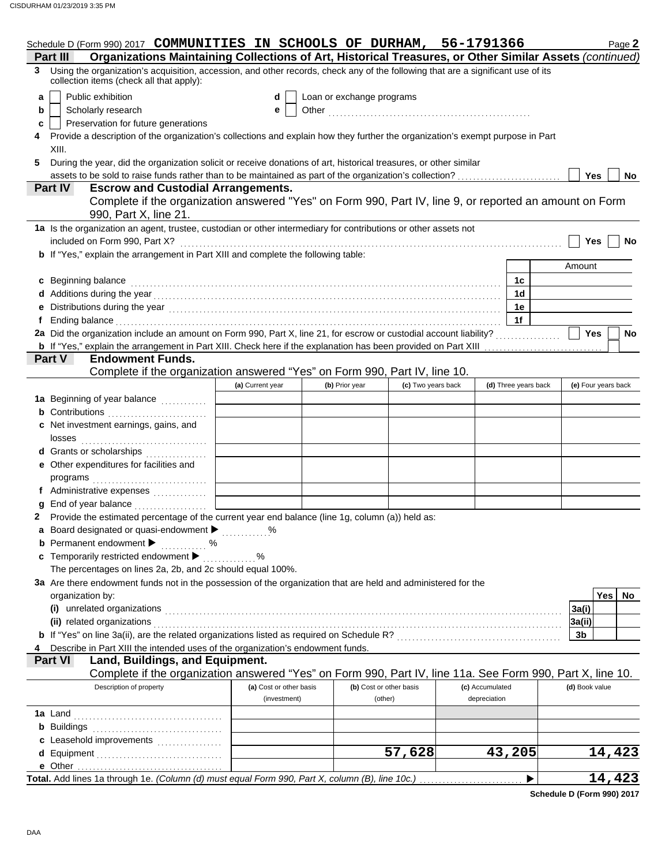|    | Schedule D (Form 990) 2017 COMMUNITIES IN SCHOOLS OF DURHAM, 56-1791366                                                                                                      |                         |                |                           |                 |                      | Page 2                  |
|----|------------------------------------------------------------------------------------------------------------------------------------------------------------------------------|-------------------------|----------------|---------------------------|-----------------|----------------------|-------------------------|
|    | Organizations Maintaining Collections of Art, Historical Treasures, or Other Similar Assets (continued)<br>Part III                                                          |                         |                |                           |                 |                      |                         |
| 3. | Using the organization's acquisition, accession, and other records, check any of the following that are a significant use of its<br>collection items (check all that apply): |                         |                |                           |                 |                      |                         |
| a  | Public exhibition                                                                                                                                                            | d                       |                | Loan or exchange programs |                 |                      |                         |
| b  | Scholarly research                                                                                                                                                           | е                       |                |                           |                 |                      |                         |
| c  | Preservation for future generations                                                                                                                                          |                         |                |                           |                 |                      |                         |
| 4  | Provide a description of the organization's collections and explain how they further the organization's exempt purpose in Part                                               |                         |                |                           |                 |                      |                         |
|    | XIII.                                                                                                                                                                        |                         |                |                           |                 |                      |                         |
| 5  | During the year, did the organization solicit or receive donations of art, historical treasures, or other similar                                                            |                         |                |                           |                 |                      |                         |
|    |                                                                                                                                                                              |                         |                |                           |                 |                      | <b>Yes</b><br><b>No</b> |
|    | <b>Escrow and Custodial Arrangements.</b><br>Part IV                                                                                                                         |                         |                |                           |                 |                      |                         |
|    | Complete if the organization answered "Yes" on Form 990, Part IV, line 9, or reported an amount on Form                                                                      |                         |                |                           |                 |                      |                         |
|    | 990, Part X, line 21.                                                                                                                                                        |                         |                |                           |                 |                      |                         |
|    | 1a Is the organization an agent, trustee, custodian or other intermediary for contributions or other assets not                                                              |                         |                |                           |                 |                      |                         |
|    | included on Form 990, Part X?                                                                                                                                                |                         |                |                           |                 |                      | Yes<br><b>No</b>        |
|    | <b>b</b> If "Yes," explain the arrangement in Part XIII and complete the following table:                                                                                    |                         |                |                           |                 |                      |                         |
|    |                                                                                                                                                                              |                         |                |                           |                 |                      | Amount                  |
|    | c Beginning balance                                                                                                                                                          |                         |                |                           |                 | 1c                   |                         |
|    |                                                                                                                                                                              |                         |                |                           |                 | 1 <sub>d</sub>       |                         |
|    |                                                                                                                                                                              |                         |                |                           |                 | 1e                   |                         |
|    |                                                                                                                                                                              |                         |                |                           |                 | 1f                   |                         |
|    | 2a Did the organization include an amount on Form 990, Part X, line 21, for escrow or custodial account liability?                                                           |                         |                |                           |                 |                      | <b>Yes</b><br>No        |
|    | b If "Yes," explain the arrangement in Part XIII. Check here if the explanation has been provided on Part XIII                                                               |                         |                |                           |                 |                      |                         |
|    | Part V<br><b>Endowment Funds.</b>                                                                                                                                            |                         |                |                           |                 |                      |                         |
|    | Complete if the organization answered "Yes" on Form 990, Part IV, line 10.                                                                                                   |                         |                |                           |                 |                      |                         |
|    |                                                                                                                                                                              | (a) Current year        | (b) Prior year | (c) Two years back        |                 | (d) Three years back | (e) Four years back     |
|    | 1a Beginning of year balance <i>manumers</i>                                                                                                                                 |                         |                |                           |                 |                      |                         |
|    | <b>b</b> Contributions <b>contributions</b>                                                                                                                                  |                         |                |                           |                 |                      |                         |
|    | c Net investment earnings, gains, and                                                                                                                                        |                         |                |                           |                 |                      |                         |
|    | losses                                                                                                                                                                       |                         |                |                           |                 |                      |                         |
|    | d Grants or scholarships                                                                                                                                                     |                         |                |                           |                 |                      |                         |
|    | e Other expenditures for facilities and                                                                                                                                      |                         |                |                           |                 |                      |                         |
|    |                                                                                                                                                                              |                         |                |                           |                 |                      |                         |
|    | f Administrative expenses                                                                                                                                                    |                         |                |                           |                 |                      |                         |
|    | End of year balance                                                                                                                                                          |                         |                |                           |                 |                      |                         |
|    | Provide the estimated percentage of the current year end balance (line 1g, column (a)) held as:                                                                              |                         |                |                           |                 |                      |                         |
|    | a Board designated or quasi-endowment > %                                                                                                                                    |                         |                |                           |                 |                      |                         |
|    | <b>b</b> Permanent endowment $\blacktriangleright$                                                                                                                           |                         |                |                           |                 |                      |                         |
|    | . %<br>c Temporarily restricted endowment >                                                                                                                                  |                         |                |                           |                 |                      |                         |
|    | The percentages on lines 2a, 2b, and 2c should equal 100%.                                                                                                                   |                         |                |                           |                 |                      |                         |
|    | 3a Are there endowment funds not in the possession of the organization that are held and administered for the                                                                |                         |                |                           |                 |                      |                         |
|    | organization by:                                                                                                                                                             |                         |                |                           |                 |                      | Yes<br>No               |
|    | (i) unrelated organizations                                                                                                                                                  |                         |                |                           |                 |                      | 3a(i)                   |
|    | (ii) related organizations                                                                                                                                                   |                         |                |                           |                 |                      | 3a(ii)                  |
|    |                                                                                                                                                                              |                         |                |                           |                 |                      | 3b                      |
|    | Describe in Part XIII the intended uses of the organization's endowment funds.                                                                                               |                         |                |                           |                 |                      |                         |
|    | Part VI<br>Land, Buildings, and Equipment.                                                                                                                                   |                         |                |                           |                 |                      |                         |
|    | Complete if the organization answered "Yes" on Form 990, Part IV, line 11a. See Form 990, Part X, line 10.                                                                   |                         |                |                           |                 |                      |                         |
|    | Description of property                                                                                                                                                      | (a) Cost or other basis |                | (b) Cost or other basis   | (c) Accumulated |                      | (d) Book value          |
|    |                                                                                                                                                                              | (investment)            |                | (other)                   | depreciation    |                      |                         |
|    |                                                                                                                                                                              |                         |                |                           |                 |                      |                         |
|    | 1a Land                                                                                                                                                                      |                         |                |                           |                 |                      |                         |
|    | <b>b</b> Buildings                                                                                                                                                           |                         |                |                           |                 |                      |                         |
|    | c Leasehold improvements                                                                                                                                                     |                         |                | 57,628                    |                 | 43,205               | 14,423                  |
|    | d Equipment                                                                                                                                                                  |                         |                |                           |                 |                      |                         |
|    |                                                                                                                                                                              |                         |                |                           |                 | ▶                    | 14,423                  |
|    |                                                                                                                                                                              |                         |                |                           |                 |                      |                         |

**Schedule D (Form 990) 2017**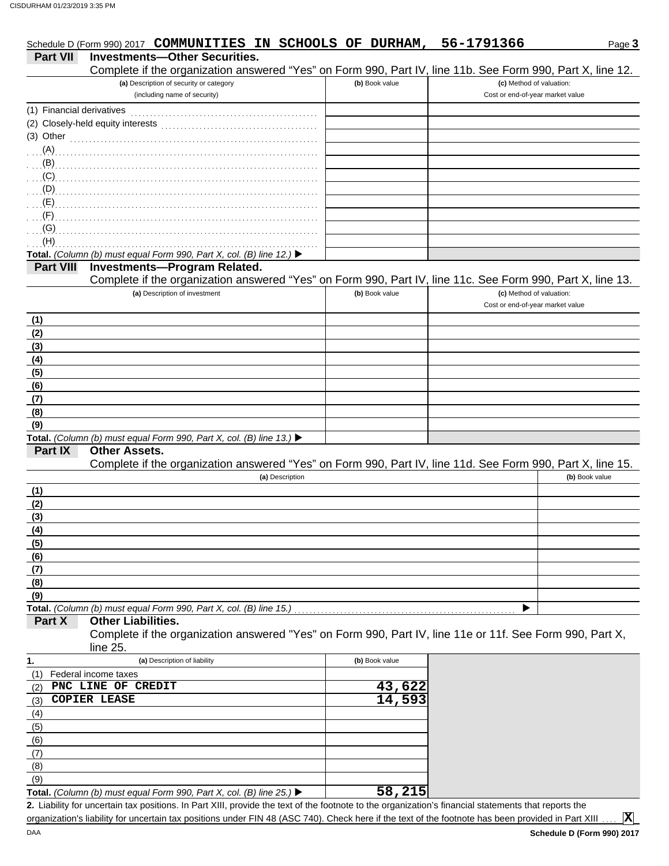|                           | Schedule D (Form 990) 2017 COMMUNITIES IN SCHOOLS OF DURHAM,                                                                                                                                                                   |                | 56-1791366                                                   | Page 3         |
|---------------------------|--------------------------------------------------------------------------------------------------------------------------------------------------------------------------------------------------------------------------------|----------------|--------------------------------------------------------------|----------------|
| <b>Part VII</b>           | <b>Investments-Other Securities.</b>                                                                                                                                                                                           |                |                                                              |                |
|                           | Complete if the organization answered "Yes" on Form 990, Part IV, line 11b. See Form 990, Part X, line 12.                                                                                                                     |                |                                                              |                |
|                           | (a) Description of security or category<br>(including name of security)                                                                                                                                                        | (b) Book value | (c) Method of valuation:<br>Cost or end-of-year market value |                |
| (1) Financial derivatives |                                                                                                                                                                                                                                |                |                                                              |                |
|                           |                                                                                                                                                                                                                                |                |                                                              |                |
| $(3)$ Other               |                                                                                                                                                                                                                                |                |                                                              |                |
|                           | $(A)$ . The contract of the contract of the contract of the contract of the contract of the contract of the contract of the contract of the contract of the contract of the contract of the contract of the contract of the co |                |                                                              |                |
|                           |                                                                                                                                                                                                                                |                |                                                              |                |
|                           |                                                                                                                                                                                                                                |                |                                                              |                |
|                           |                                                                                                                                                                                                                                |                |                                                              |                |
|                           |                                                                                                                                                                                                                                |                |                                                              |                |
|                           |                                                                                                                                                                                                                                |                |                                                              |                |
| (G)                       |                                                                                                                                                                                                                                |                |                                                              |                |
| (H)                       |                                                                                                                                                                                                                                |                |                                                              |                |
|                           | Total. (Column (b) must equal Form 990, Part X, col. (B) line 12.) ▶                                                                                                                                                           |                |                                                              |                |
| <b>Part VIII</b>          | <b>Investments-Program Related.</b><br>Complete if the organization answered "Yes" on Form 990, Part IV, line 11c. See Form 990, Part X, line 13.                                                                              |                |                                                              |                |
|                           | (a) Description of investment                                                                                                                                                                                                  | (b) Book value | (c) Method of valuation:                                     |                |
|                           |                                                                                                                                                                                                                                |                | Cost or end-of-year market value                             |                |
| (1)                       |                                                                                                                                                                                                                                |                |                                                              |                |
| (2)                       |                                                                                                                                                                                                                                |                |                                                              |                |
| (3)                       |                                                                                                                                                                                                                                |                |                                                              |                |
| (4)                       |                                                                                                                                                                                                                                |                |                                                              |                |
| (5)                       |                                                                                                                                                                                                                                |                |                                                              |                |
| (6)                       |                                                                                                                                                                                                                                |                |                                                              |                |
| (7)                       |                                                                                                                                                                                                                                |                |                                                              |                |
| (8)                       |                                                                                                                                                                                                                                |                |                                                              |                |
| (9)                       |                                                                                                                                                                                                                                |                |                                                              |                |
|                           | Total. (Column (b) must equal Form 990, Part X, col. (B) line 13.) ▶<br><b>Other Assets.</b>                                                                                                                                   |                |                                                              |                |
| Part IX                   | Complete if the organization answered "Yes" on Form 990, Part IV, line 11d. See Form 990, Part X, line 15.                                                                                                                     |                |                                                              |                |
|                           | (a) Description                                                                                                                                                                                                                |                |                                                              | (b) Book value |
| (1)                       |                                                                                                                                                                                                                                |                |                                                              |                |
| (2)                       |                                                                                                                                                                                                                                |                |                                                              |                |
| (3)                       |                                                                                                                                                                                                                                |                |                                                              |                |
| (4)                       |                                                                                                                                                                                                                                |                |                                                              |                |
|                           |                                                                                                                                                                                                                                |                |                                                              |                |
| $\frac{(5)}{(6)}$         |                                                                                                                                                                                                                                |                |                                                              |                |
|                           |                                                                                                                                                                                                                                |                |                                                              |                |
| (8)                       |                                                                                                                                                                                                                                |                |                                                              |                |
| (9)                       |                                                                                                                                                                                                                                |                |                                                              |                |
| Part X                    | Total. (Column (b) must equal Form 990, Part X, col. (B) line 15.)<br><b>Other Liabilities.</b>                                                                                                                                |                |                                                              |                |
|                           | Complete if the organization answered "Yes" on Form 990, Part IV, line 11e or 11f. See Form 990, Part X,                                                                                                                       |                |                                                              |                |
|                           | line 25.                                                                                                                                                                                                                       |                |                                                              |                |
| 1.                        | (a) Description of liability                                                                                                                                                                                                   | (b) Book value |                                                              |                |
| (1)                       | Federal income taxes                                                                                                                                                                                                           |                |                                                              |                |
| (2)                       | PNC LINE OF CREDIT                                                                                                                                                                                                             | 43,622         |                                                              |                |
| (3)                       | <b>COPIER LEASE</b>                                                                                                                                                                                                            | 14,593         |                                                              |                |
| (4)                       |                                                                                                                                                                                                                                |                |                                                              |                |
| (5)                       |                                                                                                                                                                                                                                |                |                                                              |                |
| (6)                       |                                                                                                                                                                                                                                |                |                                                              |                |
| (7)                       |                                                                                                                                                                                                                                |                |                                                              |                |
| (8)                       |                                                                                                                                                                                                                                |                |                                                              |                |
| (9)                       |                                                                                                                                                                                                                                |                |                                                              |                |
|                           | Total. (Column (b) must equal Form 990, Part X, col. (B) line 25.)<br>2. Lipbility for uncertain tax positions. In Part VIII, provide the taxt of the fectpote to the examization's financial statements that reports the      | 58,215         |                                                              |                |

Liability for uncertain tax positions. In Part XIII, provide the text of the footnote to the organization's financial statements that reports the **2.** organization's liability for uncertain tax positions under FIN 48 (ASC 740). Check here if the text of the footnote has been provided in Part XIII

**X**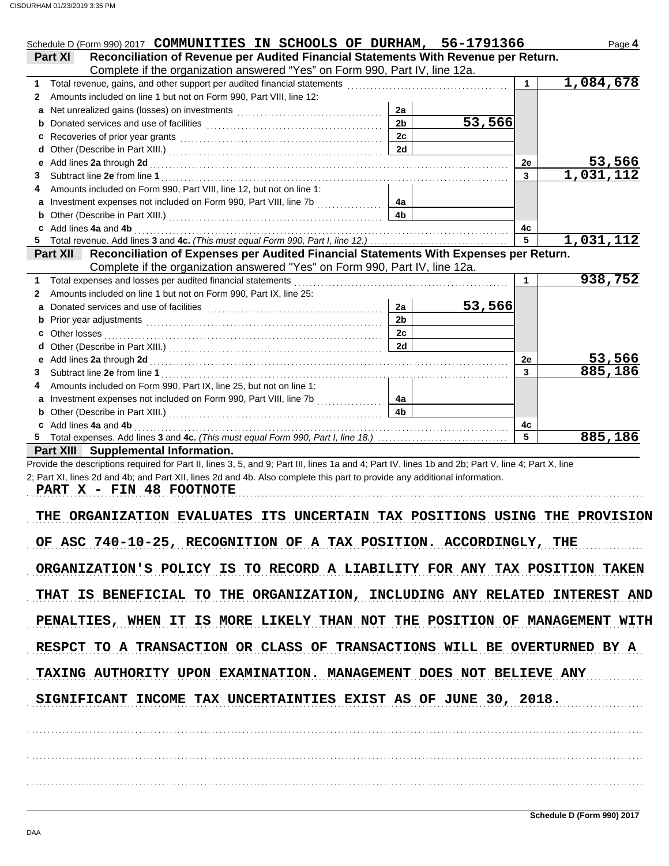| Schedule D (Form 990) 2017 COMMUNITIES IN SCHOOLS OF DURHAM, 56-1791366                                  |                |        |                | Page 4                     |
|----------------------------------------------------------------------------------------------------------|----------------|--------|----------------|----------------------------|
| Reconciliation of Revenue per Audited Financial Statements With Revenue per Return.<br>Part XI           |                |        |                |                            |
| Complete if the organization answered "Yes" on Form 990, Part IV, line 12a.                              |                |        | 1              | 1,084,678                  |
| Amounts included on line 1 but not on Form 990, Part VIII, line 12:                                      |                |        |                |                            |
| a                                                                                                        | 2a             |        |                |                            |
|                                                                                                          | 2 <sub>h</sub> | 53,566 |                |                            |
|                                                                                                          | 2c             |        |                |                            |
| d                                                                                                        | 2d             |        |                |                            |
|                                                                                                          |                |        | 2е             |                            |
|                                                                                                          |                |        | $\overline{3}$ | $\frac{53,566}{1,031,112}$ |
| Amounts included on Form 990, Part VIII, line 12, but not on line 1:<br>4                                |                |        |                |                            |
| Investment expenses not included on Form 990, Part VIII, line 7b [100]                                   |                |        |                |                            |
|                                                                                                          | 4 <sub>h</sub> |        |                |                            |
| c Add lines 4a and 4b                                                                                    |                |        | 4c             |                            |
|                                                                                                          |                |        | 5              | 1,031,112                  |
| Reconciliation of Expenses per Audited Financial Statements With Expenses per Return.<br><b>Part XII</b> |                |        |                |                            |
| Complete if the organization answered "Yes" on Form 990, Part IV, line 12a.                              |                |        |                |                            |
| Total expenses and losses per audited financial statements                                               |                |        |                | 938,752                    |
| Amounts included on line 1 but not on Form 990, Part IX, line 25:<br>2                                   |                |        |                |                            |
| a                                                                                                        | 2a             | 53,566 |                |                            |
| b                                                                                                        | 2 <sub>b</sub> |        |                |                            |
| Other losses<br>c                                                                                        | 2c             |        |                |                            |
| d                                                                                                        | 2d             |        |                |                            |
| Add lines 2a through 2d<br>е                                                                             |                |        | 2e             | 53,566                     |
| 3                                                                                                        |                |        | $\overline{3}$ | 885,186                    |
| Amounts included on Form 990, Part IX, line 25, but not on line 1:                                       |                |        |                |                            |
| Investment expenses not included on Form 990, Part VIII, line 7b<br>a                                    |                |        |                |                            |
|                                                                                                          | 4a             |        |                |                            |
|                                                                                                          | 4 <sub>b</sub> |        |                |                            |
| c Add lines 4a and 4b                                                                                    |                |        | 4c             |                            |
|                                                                                                          |                |        | 5              | 885,186                    |
| Part XIII Supplemental Information.                                                                      |                |        |                |                            |

Provide the descriptions required for Part II, lines 3, 5, and 9; Part III, lines 1a and 4; Part IV, lines 1b and 2b; Part V, line 4; Part X, line 2; Part XI, lines 2d and 4b; and Part XII, lines 2d and 4b. Also complete this part to provide any additional information.

**PART X - FIN 48 FOOTNOTE**

THE ORGANIZATION EVALUATES ITS UNCERTAIN TAX POSITIONS USING THE PROVISION OF ASC 740-10-25, RECOGNITION OF A TAX POSITION. ACCORDINGLY, THE ORGANIZATION'S POLICY IS TO RECORD A LIABILITY FOR ANY TAX POSITION TAKEN THAT IS BENEFICIAL TO THE ORGANIZATION, INCLUDING ANY RELATED INTEREST AND PENALTIES, WHEN IT IS MORE LIKELY THAN NOT THE POSITION OF MANAGEMENT WITH RESPCT TO A TRANSACTION OR CLASS OF TRANSACTIONS WILL BE OVERTURNED BY A . . . . . . . . . . . . . . . . . . . . . . . . . . . . . . . . . . . . . . . . . . . . . . . . . . . . . . . . . . . . . . . . . . . . . . . . . . . . . . . . . . . . . . . . . . . . . . . . . . . . . . . . . . . . . . . . . . . . . . . . . . . . . . . . . . . . . . . . . . . . . . . . . . . . . . . . . . . . . . . . . TAXING AUTHORITY UPON EXAMINATION. MANAGEMENT DOES NOT BELIEVE ANY SIGNIFICANT INCOME TAX UNCERTAINTIES EXIST AS OF JUNE 30, 2018.

. . . . . . . . . . . . . . . . . . . . . . . . . . . . . . . . . . . . . . . . . . . . . . . . . . . . . . . . . . . . . . . . . . . . . . . . . . . . . . . . . . . . . . . . . . . . . . . . . . . . . . . . . . . . . . . . . . . . . . . . . . . . . . . . . . . . . . . . . . . . . . . . . . . . . . . . . . . . . . . . .

. . . . . . . . . . . . . . . . . . . . . . . . . . . . . . . . . . . . . . . . . . . . . . . . . . . . . . . . . . . . . . . . . . . . . . . . . . . . . . . . . . . . . . . . . . . . . . . . . . . . . . . . . . . . . . . . . . . . . . . . . . . . . . . . . . . . . . . . . . . . . . . . . . . . . . . . . . . . . . . . .

. . . . . . . . . . . . . . . . . . . . . . . . . . . . . . . . . . . . . . . . . . . . . . . . . . . . . . . . . . . . . . . . . . . . . . . . . . . . . . . . . . . . . . . . . . . . . . . . . . . . . . . . . . . . . . . . . . . . . . . . . . . . . . . . . . . . . . . . . . . . . . . . . . . . . . . . . . . . . . . . .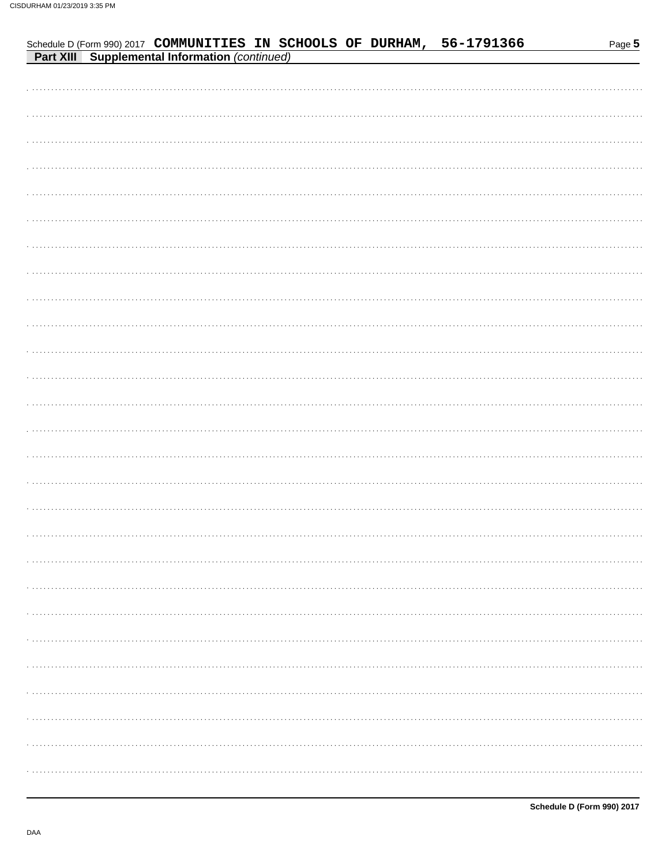| Schedule D (Form 990) 2017 COMMUNITIES IN SCHOOLS OF DURHAM,<br><b>Part XIII</b> Supplemental Information (continued) |  |  |  | 56-1791366 | Page 5 |
|-----------------------------------------------------------------------------------------------------------------------|--|--|--|------------|--------|
|                                                                                                                       |  |  |  |            |        |
|                                                                                                                       |  |  |  |            |        |
|                                                                                                                       |  |  |  |            |        |
|                                                                                                                       |  |  |  |            |        |
|                                                                                                                       |  |  |  |            |        |
|                                                                                                                       |  |  |  |            |        |
|                                                                                                                       |  |  |  |            |        |
|                                                                                                                       |  |  |  |            |        |
|                                                                                                                       |  |  |  |            |        |
|                                                                                                                       |  |  |  |            |        |
|                                                                                                                       |  |  |  |            |        |
|                                                                                                                       |  |  |  |            |        |
|                                                                                                                       |  |  |  |            |        |
|                                                                                                                       |  |  |  |            |        |
|                                                                                                                       |  |  |  |            |        |
|                                                                                                                       |  |  |  |            |        |
|                                                                                                                       |  |  |  |            |        |
|                                                                                                                       |  |  |  |            |        |
|                                                                                                                       |  |  |  |            |        |
|                                                                                                                       |  |  |  |            |        |
|                                                                                                                       |  |  |  |            |        |
|                                                                                                                       |  |  |  |            |        |
|                                                                                                                       |  |  |  |            |        |
|                                                                                                                       |  |  |  |            |        |
|                                                                                                                       |  |  |  |            |        |
|                                                                                                                       |  |  |  |            |        |
|                                                                                                                       |  |  |  |            |        |
|                                                                                                                       |  |  |  |            |        |
|                                                                                                                       |  |  |  |            |        |
|                                                                                                                       |  |  |  |            |        |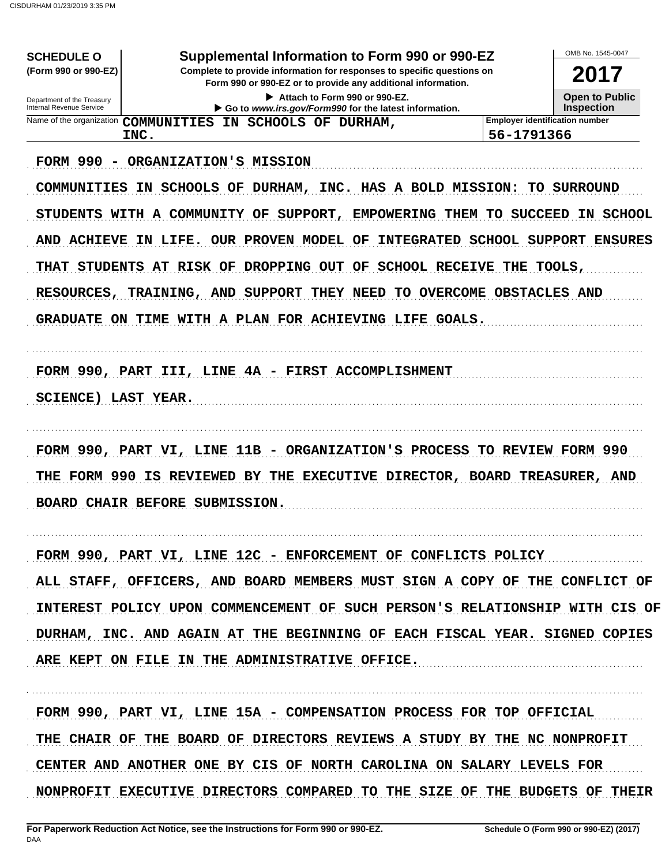| Supplemental Information to Form 990 or 990-EZ                          | OMB No. 1545-0047                                                                                                                                                                                                                                                                                                                                                                                                                                                                                                                                                                                                                                                                                                                                                                                                                                                                     |
|-------------------------------------------------------------------------|---------------------------------------------------------------------------------------------------------------------------------------------------------------------------------------------------------------------------------------------------------------------------------------------------------------------------------------------------------------------------------------------------------------------------------------------------------------------------------------------------------------------------------------------------------------------------------------------------------------------------------------------------------------------------------------------------------------------------------------------------------------------------------------------------------------------------------------------------------------------------------------|
|                                                                         | 2017                                                                                                                                                                                                                                                                                                                                                                                                                                                                                                                                                                                                                                                                                                                                                                                                                                                                                  |
|                                                                         | <b>Open to Public</b>                                                                                                                                                                                                                                                                                                                                                                                                                                                                                                                                                                                                                                                                                                                                                                                                                                                                 |
|                                                                         | <b>Inspection</b>                                                                                                                                                                                                                                                                                                                                                                                                                                                                                                                                                                                                                                                                                                                                                                                                                                                                     |
|                                                                         |                                                                                                                                                                                                                                                                                                                                                                                                                                                                                                                                                                                                                                                                                                                                                                                                                                                                                       |
|                                                                         |                                                                                                                                                                                                                                                                                                                                                                                                                                                                                                                                                                                                                                                                                                                                                                                                                                                                                       |
|                                                                         |                                                                                                                                                                                                                                                                                                                                                                                                                                                                                                                                                                                                                                                                                                                                                                                                                                                                                       |
|                                                                         | IN SCHOOL                                                                                                                                                                                                                                                                                                                                                                                                                                                                                                                                                                                                                                                                                                                                                                                                                                                                             |
|                                                                         |                                                                                                                                                                                                                                                                                                                                                                                                                                                                                                                                                                                                                                                                                                                                                                                                                                                                                       |
|                                                                         |                                                                                                                                                                                                                                                                                                                                                                                                                                                                                                                                                                                                                                                                                                                                                                                                                                                                                       |
|                                                                         |                                                                                                                                                                                                                                                                                                                                                                                                                                                                                                                                                                                                                                                                                                                                                                                                                                                                                       |
|                                                                         |                                                                                                                                                                                                                                                                                                                                                                                                                                                                                                                                                                                                                                                                                                                                                                                                                                                                                       |
|                                                                         |                                                                                                                                                                                                                                                                                                                                                                                                                                                                                                                                                                                                                                                                                                                                                                                                                                                                                       |
|                                                                         |                                                                                                                                                                                                                                                                                                                                                                                                                                                                                                                                                                                                                                                                                                                                                                                                                                                                                       |
|                                                                         |                                                                                                                                                                                                                                                                                                                                                                                                                                                                                                                                                                                                                                                                                                                                                                                                                                                                                       |
|                                                                         |                                                                                                                                                                                                                                                                                                                                                                                                                                                                                                                                                                                                                                                                                                                                                                                                                                                                                       |
|                                                                         |                                                                                                                                                                                                                                                                                                                                                                                                                                                                                                                                                                                                                                                                                                                                                                                                                                                                                       |
|                                                                         |                                                                                                                                                                                                                                                                                                                                                                                                                                                                                                                                                                                                                                                                                                                                                                                                                                                                                       |
|                                                                         |                                                                                                                                                                                                                                                                                                                                                                                                                                                                                                                                                                                                                                                                                                                                                                                                                                                                                       |
|                                                                         |                                                                                                                                                                                                                                                                                                                                                                                                                                                                                                                                                                                                                                                                                                                                                                                                                                                                                       |
|                                                                         |                                                                                                                                                                                                                                                                                                                                                                                                                                                                                                                                                                                                                                                                                                                                                                                                                                                                                       |
|                                                                         |                                                                                                                                                                                                                                                                                                                                                                                                                                                                                                                                                                                                                                                                                                                                                                                                                                                                                       |
|                                                                         |                                                                                                                                                                                                                                                                                                                                                                                                                                                                                                                                                                                                                                                                                                                                                                                                                                                                                       |
|                                                                         |                                                                                                                                                                                                                                                                                                                                                                                                                                                                                                                                                                                                                                                                                                                                                                                                                                                                                       |
|                                                                         | ALL STAFF, OFFICERS, AND BOARD MEMBERS MUST SIGN A COPY OF THE CONFLICT OF                                                                                                                                                                                                                                                                                                                                                                                                                                                                                                                                                                                                                                                                                                                                                                                                            |
|                                                                         | INTEREST POLICY UPON COMMENCEMENT OF SUCH PERSON'S RELATIONSHIP WITH CIS OF                                                                                                                                                                                                                                                                                                                                                                                                                                                                                                                                                                                                                                                                                                                                                                                                           |
|                                                                         | DURHAM, INC. AND AGAIN AT THE BEGINNING OF EACH FISCAL YEAR. SIGNED COPIES                                                                                                                                                                                                                                                                                                                                                                                                                                                                                                                                                                                                                                                                                                                                                                                                            |
|                                                                         |                                                                                                                                                                                                                                                                                                                                                                                                                                                                                                                                                                                                                                                                                                                                                                                                                                                                                       |
|                                                                         |                                                                                                                                                                                                                                                                                                                                                                                                                                                                                                                                                                                                                                                                                                                                                                                                                                                                                       |
|                                                                         |                                                                                                                                                                                                                                                                                                                                                                                                                                                                                                                                                                                                                                                                                                                                                                                                                                                                                       |
|                                                                         |                                                                                                                                                                                                                                                                                                                                                                                                                                                                                                                                                                                                                                                                                                                                                                                                                                                                                       |
| THE CHAIR OF THE BOARD OF DIRECTORS REVIEWS A STUDY BY THE NC NONPROFIT |                                                                                                                                                                                                                                                                                                                                                                                                                                                                                                                                                                                                                                                                                                                                                                                                                                                                                       |
|                                                                         |                                                                                                                                                                                                                                                                                                                                                                                                                                                                                                                                                                                                                                                                                                                                                                                                                                                                                       |
| CENTER AND ANOTHER ONE BY CIS OF NORTH CAROLINA ON SALARY LEVELS FOR    |                                                                                                                                                                                                                                                                                                                                                                                                                                                                                                                                                                                                                                                                                                                                                                                                                                                                                       |
|                                                                         | Complete to provide information for responses to specific questions on<br>Form 990 or 990-EZ or to provide any additional information.<br><b>Employer identification number</b><br>56-1791366<br>COMMUNITIES IN SCHOOLS OF DURHAM, INC. HAS A BOLD MISSION: TO SURROUND<br>STUDENTS WITH A COMMUNITY OF SUPPORT, EMPOWERING THEM TO SUCCEED<br>AND ACHIEVE IN LIFE. OUR PROVEN MODEL OF INTEGRATED SCHOOL SUPPORT ENSURES<br>THAT STUDENTS AT RISK OF DROPPING OUT OF SCHOOL RECEIVE THE TOOLS,<br>TO OVERCOME OBSTACLES AND<br>GRADUATE ON TIME WITH A PLAN FOR ACHIEVING LIFE GOALS.<br>FORM 990, PART VI, LINE 11B - ORGANIZATION'S PROCESS TO REVIEW FORM 990<br>THE FORM 990 IS REVIEWED BY THE EXECUTIVE DIRECTOR, BOARD TREASURER, AND<br>FORM 990, PART VI, LINE 12C - ENFORCEMENT OF CONFLICTS POLICY<br>FORM 990, PART VI, LINE 15A - COMPENSATION PROCESS FOR TOP OFFICIAL |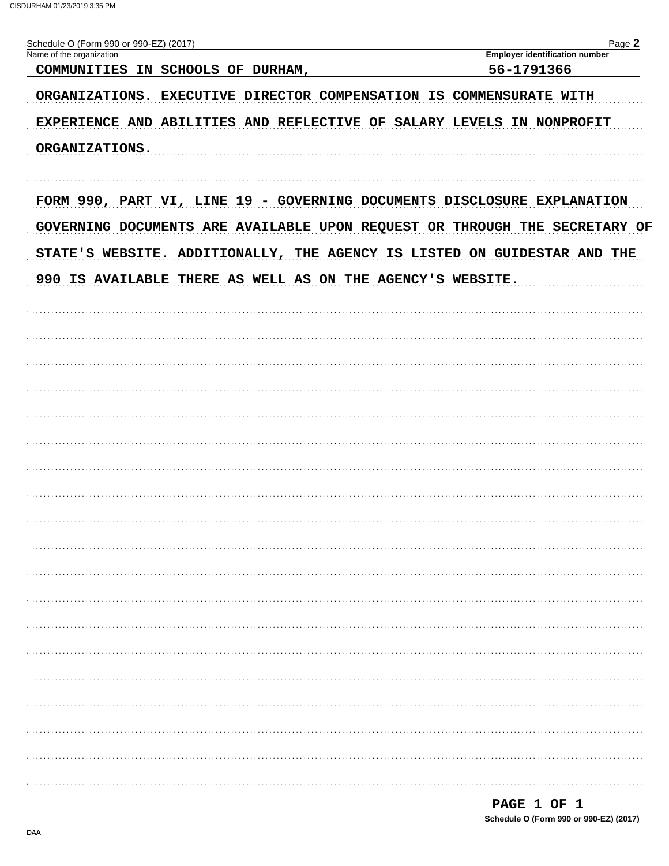| Name of the organization                                                   | <b>Employer identification number</b> |
|----------------------------------------------------------------------------|---------------------------------------|
| COMMUNITIES IN SCHOOLS OF DURHAM,                                          | 56-1791366                            |
| ORGANIZATIONS. EXECUTIVE DIRECTOR COMPENSATION IS COMMENSURATE WITH        |                                       |
| EXPERIENCE AND ABILITIES AND REFLECTIVE OF SALARY LEVELS IN NONPROFIT      |                                       |
| ORGANIZATIONS.                                                             |                                       |
|                                                                            |                                       |
| FORM 990, PART VI, LINE 19 - GOVERNING DOCUMENTS DISCLOSURE EXPLANATION    |                                       |
| GOVERNING DOCUMENTS ARE AVAILABLE UPON REQUEST OR THROUGH THE SECRETARY OF |                                       |
| STATE'S WEBSITE. ADDITIONALLY, THE AGENCY IS LISTED ON GUIDESTAR AND THE   |                                       |
| 990 IS AVAILABLE THERE AS WELL AS ON THE AGENCY'S WEBSITE.                 |                                       |
|                                                                            |                                       |
|                                                                            |                                       |
|                                                                            |                                       |
|                                                                            |                                       |
|                                                                            |                                       |
|                                                                            |                                       |
|                                                                            |                                       |
|                                                                            |                                       |
|                                                                            |                                       |
|                                                                            |                                       |
|                                                                            |                                       |
|                                                                            |                                       |
|                                                                            |                                       |
|                                                                            |                                       |
|                                                                            |                                       |
|                                                                            |                                       |
|                                                                            |                                       |
|                                                                            |                                       |
|                                                                            |                                       |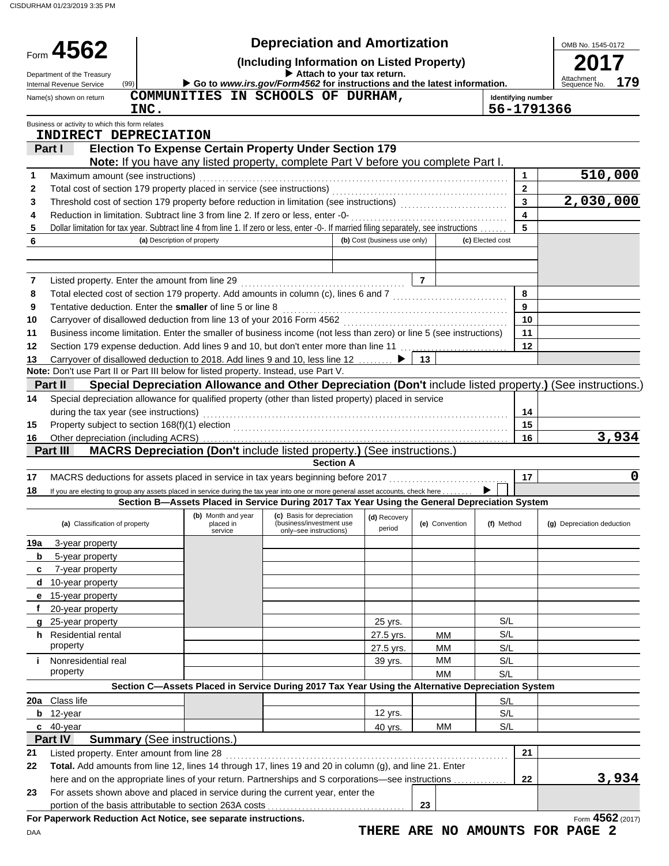|        | Form 4562                                                                                                                                                                                                     |                             |                                                                                                   | <b>Depreciation and Amortization</b>                                             |                              |                |                  |                         | OMB No. 1545-0172                                                                                         |
|--------|---------------------------------------------------------------------------------------------------------------------------------------------------------------------------------------------------------------|-----------------------------|---------------------------------------------------------------------------------------------------|----------------------------------------------------------------------------------|------------------------------|----------------|------------------|-------------------------|-----------------------------------------------------------------------------------------------------------|
|        | (Including Information on Listed Property)<br>Attach to your tax return.                                                                                                                                      |                             |                                                                                                   |                                                                                  |                              |                |                  |                         |                                                                                                           |
|        | Department of the Treasury<br>(99)<br>Internal Revenue Service                                                                                                                                                |                             | Go to www.irs.gov/Form4562 for instructions and the latest information.                           |                                                                                  |                              |                |                  |                         | Attachment<br>Sequence No.<br>179                                                                         |
|        | Name(s) shown on return                                                                                                                                                                                       |                             | COMMUNITIES IN SCHOOLS OF DURHAM,                                                                 |                                                                                  |                              |                |                  | Identifying number      |                                                                                                           |
|        |                                                                                                                                                                                                               | INC.                        |                                                                                                   |                                                                                  |                              |                |                  | 56-1791366              |                                                                                                           |
|        | Business or activity to which this form relates<br>INDIRECT DEPRECIATION                                                                                                                                      |                             |                                                                                                   |                                                                                  |                              |                |                  |                         |                                                                                                           |
|        | Part I                                                                                                                                                                                                        |                             | <b>Election To Expense Certain Property Under Section 179</b>                                     |                                                                                  |                              |                |                  |                         |                                                                                                           |
|        |                                                                                                                                                                                                               |                             | Note: If you have any listed property, complete Part V before you complete Part I.                |                                                                                  |                              |                |                  |                         |                                                                                                           |
| 1      | Maximum amount (see instructions)                                                                                                                                                                             |                             |                                                                                                   |                                                                                  |                              |                |                  | $\mathbf{1}$            | 510,000                                                                                                   |
| 2      | Total cost of section 179 property placed in service (see instructions)                                                                                                                                       |                             |                                                                                                   |                                                                                  |                              |                |                  | $\mathbf{2}$            |                                                                                                           |
| 3      | Threshold cost of section 179 property before reduction in limitation (see instructions)                                                                                                                      |                             |                                                                                                   |                                                                                  |                              |                |                  | 3                       | 2,030,000                                                                                                 |
| 4      | Reduction in limitation. Subtract line 3 from line 2. If zero or less, enter -0-                                                                                                                              |                             |                                                                                                   |                                                                                  |                              |                |                  | $\overline{\mathbf{4}}$ |                                                                                                           |
| 5<br>6 | Dollar limitation for tax year. Subtract line 4 from line 1. If zero or less, enter -0-. If married filing separately, see instructions                                                                       | (a) Description of property |                                                                                                   |                                                                                  | (b) Cost (business use only) |                | (c) Elected cost | 5                       |                                                                                                           |
|        |                                                                                                                                                                                                               |                             |                                                                                                   |                                                                                  |                              |                |                  |                         |                                                                                                           |
|        |                                                                                                                                                                                                               |                             |                                                                                                   |                                                                                  |                              |                |                  |                         |                                                                                                           |
| 7      | Listed property. Enter the amount from line 29                                                                                                                                                                |                             |                                                                                                   |                                                                                  |                              | $\overline{7}$ |                  |                         |                                                                                                           |
| 8      | Total elected cost of section 179 property. Add amounts in column (c), lines 6 and 7 [[[[[[[[[[[[[[[[[[[[[[[[                                                                                                 |                             |                                                                                                   |                                                                                  |                              |                |                  | 8                       |                                                                                                           |
| 9      | Tentative deduction. Enter the smaller of line 5 or line 8                                                                                                                                                    |                             |                                                                                                   |                                                                                  |                              |                |                  | 9                       |                                                                                                           |
| 10     | Carryover of disallowed deduction from line 13 of your 2016 Form 4562                                                                                                                                         |                             |                                                                                                   |                                                                                  |                              |                |                  | 10                      |                                                                                                           |
| 11     | Business income limitation. Enter the smaller of business income (not less than zero) or line 5 (see instructions)                                                                                            |                             |                                                                                                   |                                                                                  |                              |                |                  | 11                      |                                                                                                           |
| 12     | Section 179 expense deduction. Add lines 9 and 10, but don't enter more than line 11                                                                                                                          |                             |                                                                                                   |                                                                                  |                              |                |                  | 12                      |                                                                                                           |
| 13     | Carryover of disallowed deduction to 2018. Add lines 9 and 10, less line 12<br>Note: Don't use Part II or Part III below for listed property. Instead, use Part V.                                            |                             |                                                                                                   |                                                                                  |                              | 13             |                  |                         |                                                                                                           |
|        | Part II                                                                                                                                                                                                       |                             |                                                                                                   |                                                                                  |                              |                |                  |                         | Special Depreciation Allowance and Other Depreciation (Don't include listed property.) (See instructions. |
| 14     | Special depreciation allowance for qualified property (other than listed property) placed in service                                                                                                          |                             |                                                                                                   |                                                                                  |                              |                |                  |                         |                                                                                                           |
|        | during the tax year (see instructions)                                                                                                                                                                        |                             |                                                                                                   |                                                                                  |                              |                |                  | 14                      |                                                                                                           |
| 15     | Property subject to section 168(f)(1) election                                                                                                                                                                |                             |                                                                                                   |                                                                                  |                              |                |                  | 15                      |                                                                                                           |
| 16     | Other depreciation (including ACRS)                                                                                                                                                                           |                             |                                                                                                   |                                                                                  |                              |                |                  | 16                      | 3,934                                                                                                     |
|        | Part III                                                                                                                                                                                                      |                             | MACRS Depreciation (Don't include listed property.) (See instructions.)                           |                                                                                  |                              |                |                  |                         |                                                                                                           |
|        |                                                                                                                                                                                                               |                             |                                                                                                   | <b>Section A</b>                                                                 |                              |                |                  |                         |                                                                                                           |
| 17     | MACRS deductions for assets placed in service in tax years beginning before 2017                                                                                                                              |                             |                                                                                                   |                                                                                  |                              |                |                  | 17                      | 0                                                                                                         |
| 18     | If you are electing to group any assets placed in service during the tax year into one or more general asset accounts, check here                                                                             |                             |                                                                                                   |                                                                                  |                              |                |                  |                         |                                                                                                           |
|        |                                                                                                                                                                                                               |                             | Section B-Assets Placed in Service During 2017 Tax Year Using the General Depreciation System     |                                                                                  |                              |                |                  |                         |                                                                                                           |
|        | (a) Classification of property                                                                                                                                                                                |                             | (b) Month and year<br>placed in<br>service                                                        | (c) Basis for depreciation<br>(business/investment use<br>only-see instructions) | (d) Recovery<br>period       | (e) Convention | (f) Method       |                         | (g) Depreciation deduction                                                                                |
| 19a    | 3-year property                                                                                                                                                                                               |                             |                                                                                                   |                                                                                  |                              |                |                  |                         |                                                                                                           |
| b      | 5-year property                                                                                                                                                                                               |                             |                                                                                                   |                                                                                  |                              |                |                  |                         |                                                                                                           |
| c      | 7-year property                                                                                                                                                                                               |                             |                                                                                                   |                                                                                  |                              |                |                  |                         |                                                                                                           |
| d      | 10-year property                                                                                                                                                                                              |                             |                                                                                                   |                                                                                  |                              |                |                  |                         |                                                                                                           |
| е      | 15-year property<br>20-year property                                                                                                                                                                          |                             |                                                                                                   |                                                                                  |                              |                |                  |                         |                                                                                                           |
|        | 25-year property                                                                                                                                                                                              |                             |                                                                                                   |                                                                                  | 25 yrs.                      |                | S/L              |                         |                                                                                                           |
| h.     | Residential rental                                                                                                                                                                                            |                             |                                                                                                   |                                                                                  | 27.5 yrs.                    | <b>MM</b>      | S/L              |                         |                                                                                                           |
|        | property                                                                                                                                                                                                      |                             |                                                                                                   |                                                                                  | 27.5 yrs.                    | <b>MM</b>      | S/L              |                         |                                                                                                           |
| j.     | Nonresidential real                                                                                                                                                                                           |                             |                                                                                                   |                                                                                  | 39 yrs.                      | МM             | S/L              |                         |                                                                                                           |
|        | property                                                                                                                                                                                                      |                             |                                                                                                   |                                                                                  |                              | <b>MM</b>      | S/L              |                         |                                                                                                           |
|        |                                                                                                                                                                                                               |                             | Section C-Assets Placed in Service During 2017 Tax Year Using the Alternative Depreciation System |                                                                                  |                              |                |                  |                         |                                                                                                           |
|        | 20a Class life                                                                                                                                                                                                |                             |                                                                                                   |                                                                                  |                              |                | S/L              |                         |                                                                                                           |
| b      | 12-year                                                                                                                                                                                                       |                             |                                                                                                   |                                                                                  | 12 yrs.                      |                | S/L              |                         |                                                                                                           |
|        | c 40-year                                                                                                                                                                                                     |                             |                                                                                                   |                                                                                  | 40 yrs.                      | <b>MM</b>      | S/L              |                         |                                                                                                           |
|        | Part IV                                                                                                                                                                                                       |                             | <b>Summary (See instructions.)</b>                                                                |                                                                                  |                              |                |                  |                         |                                                                                                           |
| 21     | Listed property. Enter amount from line 28                                                                                                                                                                    |                             |                                                                                                   |                                                                                  |                              |                |                  | 21                      |                                                                                                           |
| 22     | Total. Add amounts from line 12, lines 14 through 17, lines 19 and 20 in column (g), and line 21. Enter<br>here and on the appropriate lines of your return. Partnerships and S corporations—see instructions |                             |                                                                                                   |                                                                                  |                              |                |                  | 22                      | 3,934                                                                                                     |
| 23     | For assets shown above and placed in service during the current year, enter the                                                                                                                               |                             |                                                                                                   |                                                                                  |                              |                |                  |                         |                                                                                                           |
|        | portion of the basis attributable to section 263A costs                                                                                                                                                       |                             |                                                                                                   |                                                                                  |                              | 23             |                  |                         |                                                                                                           |
|        | For Paperwork Reduction Act Notice, see separate instructions.                                                                                                                                                |                             |                                                                                                   |                                                                                  |                              |                |                  |                         | Form 4562 (2017)                                                                                          |
| DAA    |                                                                                                                                                                                                               |                             |                                                                                                   |                                                                                  |                              |                |                  |                         | THERE ARE NO AMOUNTS FOR PAGE 2                                                                           |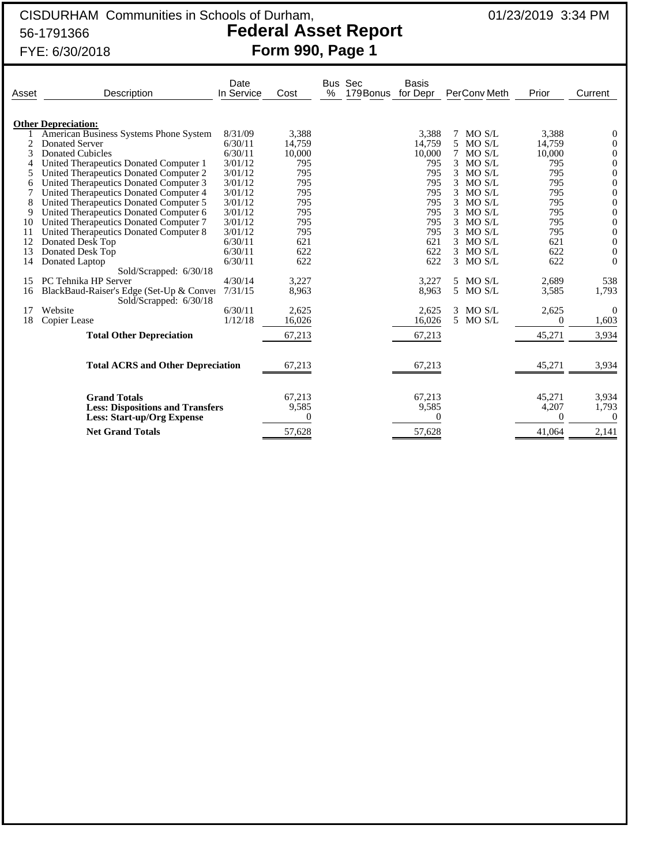## CISDURHAM Communities in Schools of Durham, 01/23/2019 3:34 PM 56-1791366 **Federal Asset Report** FYE: 6/30/2018 **Form 990, Page 1**

|       | FYE: 6/30/2018                                                     |                    |        | Form 990, Page 1         |                          |                         |        |         |
|-------|--------------------------------------------------------------------|--------------------|--------|--------------------------|--------------------------|-------------------------|--------|---------|
| Asset | Description                                                        | Date<br>In Service | Cost   | Bus Sec<br>%<br>179Bonus | <b>Basis</b><br>for Depr | PerCony Meth            | Prior  | Current |
|       | <b>Other Depreciation:</b>                                         |                    |        |                          |                          |                         |        |         |
|       | American Business Systems Phone System                             | 8/31/09            | 3,388  |                          | 3,388                    | MO S/L<br>7             | 3,388  |         |
|       | Donated Server                                                     | 6/30/11            | 14,759 |                          | 14,759                   | 5<br>MO S/L             | 14.759 |         |
| 3     | <b>Donated Cubicles</b>                                            | 6/30/11            | 10,000 |                          | 10,000                   | MO S/L<br>7             | 10,000 |         |
|       | United Therapeutics Donated Computer 1                             | 3/01/12            | 795    |                          | 795                      | MO S/L<br>3             | 795    |         |
| 5     | United Therapeutics Donated Computer 2                             | 3/01/12            | 795    |                          | 795                      | MO S/L<br>3             | 795    |         |
| 6     | United Therapeutics Donated Computer 3                             | 3/01/12            | 795    |                          | 795                      | 3<br>MO S/L             | 795    |         |
|       | United Therapeutics Donated Computer 4                             | 3/01/12            | 795    |                          | 795                      | MO S/L                  | 795    | 0       |
| 8     | United Therapeutics Donated Computer 5                             | 3/01/12            | 795    |                          | 795                      | MO S/L<br>3             | 795    |         |
| 9     | United Therapeutics Donated Computer 6                             | 3/01/12            | 795    |                          | 795                      | $MO$ $S/L$              | 795    |         |
| 10    | United Therapeutics Donated Computer 7                             | 3/01/12            | 795    |                          | 795                      | MO S/L<br>3             | 795    |         |
| 11    | United Therapeutics Donated Computer 8                             | 3/01/12            | 795    |                          | 795                      | 3<br>MO S/L             | 795    |         |
| 12    | Donated Desk Top                                                   | 6/30/11            | 621    |                          | 621                      | MO S/L                  | 621    | 0       |
| 13    | Donated Desk Top                                                   | 6/30/11            | 622    |                          | 622                      | MO S/L<br>3.            | 622    |         |
| 14    | Donated Laptop                                                     | 6/30/11            | 622    |                          | 622                      | $\mathcal{E}$<br>MO S/L | 622    |         |
|       | Sold/Scrapped: 6/30/18                                             |                    |        |                          |                          |                         |        |         |
| 15    | PC Tehnika HP Server                                               | 4/30/14            | 3,227  |                          | 3,227                    | 5 MO S/L                | 2,689  | 538     |
| 16    | BlackBaud-Raiser's Edge (Set-Up & Conver<br>Sold/Scrapped: 6/30/18 | 7/31/15            | 8,963  |                          | 8,963                    | 5 MO S/L                | 3,585  | 1,793   |
| 17    | Website                                                            | 6/30/11            | 2,625  |                          | 2,625                    | MO S/L<br>3             | 2,625  | 0       |
| 18    | Copier Lease                                                       | 1/12/18            | 16,026 |                          | 16,026                   | 5 MO S/L                | 0      | 1,603   |
|       | <b>Total Other Depreciation</b>                                    |                    | 67,213 |                          | 67,213                   |                         | 45,271 | 3,934   |

| 17 | Website<br>18 Copier Lease                                                                          | 6/30/11<br>1/12/18 | 2.625<br>16,026 | 2.625<br>16,026 | MO S/L<br>5 MO S/L | 2.625           | 1,603          |
|----|-----------------------------------------------------------------------------------------------------|--------------------|-----------------|-----------------|--------------------|-----------------|----------------|
|    | <b>Total Other Depreciation</b>                                                                     |                    | 67,213          | 67,213          |                    | 45,271          | 3.934          |
|    | <b>Total ACRS and Other Depreciation</b>                                                            |                    | 67,213          | 67,213          |                    | 45,271          | 3.934          |
|    | <b>Grand Totals</b><br><b>Less: Dispositions and Transfers</b><br><b>Less: Start-up/Org Expense</b> |                    | 67.213<br>9.585 | 67.213<br>9,585 |                    | 45.271<br>4.207 | 3,934<br>1,793 |
|    | <b>Net Grand Totals</b>                                                                             |                    | 57,628          | 57,628          |                    | 41,064          | 2,141          |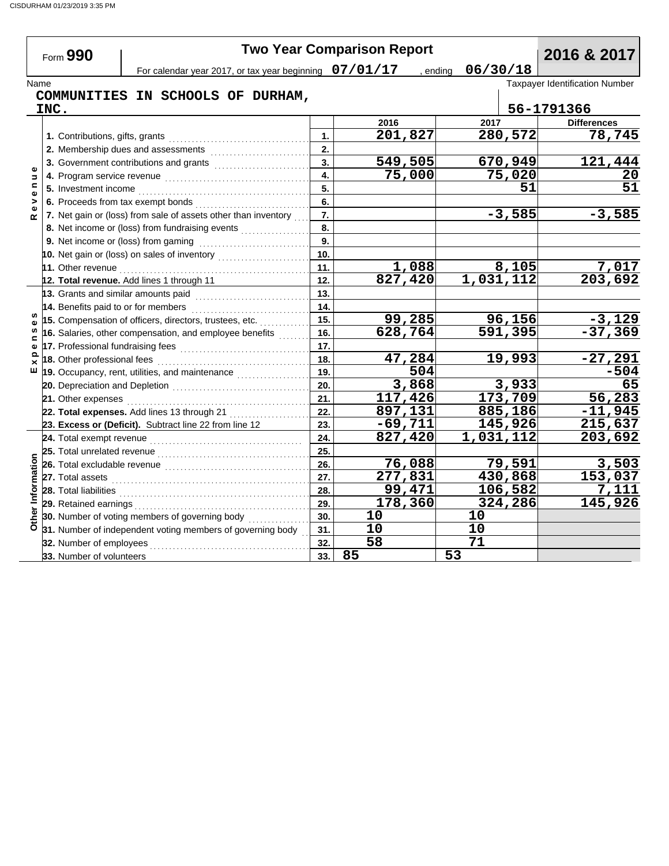Form **990**

# **Two Year Comparison Report**<br>Dr tax year beginning 07/01/17 , ending 06/30/18

 $\overline{\phantom{a}}$ 

For calendar year 2017, or tax year beginning  $\left. \,\,07/01/17 \,\right.$  , ending  $\left. \,\,06/30/18 \,\right.$ 

Name Taxpayer Identification Number **COMMUNITIES IN SCHOOLS OF DURHAM,**

|                    | INC.                                                                                                                                                         |     |                       |           |          | 56-1791366              |
|--------------------|--------------------------------------------------------------------------------------------------------------------------------------------------------------|-----|-----------------------|-----------|----------|-------------------------|
|                    |                                                                                                                                                              |     | 2016                  | 2017      |          | <b>Differences</b>      |
|                    | 1. Contributions, gifts, grants                                                                                                                              | 1.  | 201,827               |           | 280,572  | 78,745                  |
|                    | 2. Membership dues and assessments                                                                                                                           | 2.  |                       |           |          |                         |
|                    | 3. Government contributions and grants                                                                                                                       | 3.  | $\overline{549,505}$  |           | 670,949  | 121,444                 |
| Ф<br>$\Rightarrow$ | 4. Program service revenue                                                                                                                                   | 4.  | 75,000                |           | 75,020   | 20                      |
| c<br>$\mathbf{Q}$  | 5. Investment income                                                                                                                                         | 5.  |                       |           | 51       | $\overline{51}$         |
| >                  | 6. Proceeds from tax exempt bonds                                                                                                                            | 6.  |                       |           |          |                         |
| $\alpha$           | 7. Net gain or (loss) from sale of assets other than inventory                                                                                               | 7.  |                       |           | $-3,585$ | $-3,585$                |
|                    | 8. Net income or (loss) from fundraising events                                                                                                              | 8.  |                       |           |          |                         |
|                    |                                                                                                                                                              |     |                       |           |          |                         |
|                    | 10. Net gain or (loss) on sales of inventory                                                                                                                 | 10. |                       |           |          |                         |
|                    | 11. Other revenue                                                                                                                                            | 11. | 1,088                 |           | 8,105    | $\frac{7,017}{203,692}$ |
|                    | 12. Total revenue. Add lines 1 through 11                                                                                                                    | 12. | $\overline{827, 420}$ | 1,031,112 |          |                         |
|                    | 13. Grants and similar amounts paid                                                                                                                          | 13. |                       |           |          |                         |
|                    | 14. Benefits paid to or for members<br><u> 1999 - Johann Stoff, markatar film ar yn y ddiwysg y ganllan y ganllan y ganllan y ganllan y ganllan y ganlla</u> | 14. |                       |           |          |                         |
|                    | 15. Compensation of officers, directors, trustees, etc.                                                                                                      | 15. | 99,285                |           | 96,156   | $-3,129$                |
|                    | 16. Salaries, other compensation, and employee benefits                                                                                                      | 16. | 628,764               |           | 591,395  | $-37,369$               |
| Φ                  | 17. Professional fundraising fees                                                                                                                            | 17. |                       |           |          |                         |
| ௨<br>×             | 18. Other professional fees                                                                                                                                  | 18. | 47,284                |           | 19,993   | $-27,291$               |
| ш                  | 19. Occupancy, rent, utilities, and maintenance                                                                                                              | 19. | 504                   |           |          | $-504$                  |
|                    | 20. Depreciation and Depletion                                                                                                                               | 20. | 3,868                 |           | 3,933    | 65                      |
|                    | 21. Other expenses                                                                                                                                           | 21. | 117,426               |           | 173,709  | 56,283                  |
|                    | 22. Total expenses. Add lines 13 through 21                                                                                                                  | 22. | 897,131               |           | 885,186  | $-11,945$               |
|                    | 23. Excess or (Deficit). Subtract line 22 from line 12                                                                                                       | 23. | $-69,711$             |           | 145,926  | 215,637                 |
|                    |                                                                                                                                                              | 24. | 827,420               | 1,031,112 |          | 203,692                 |
|                    |                                                                                                                                                              | 25. |                       |           |          |                         |
|                    | 26. Total excludable revenue                                                                                                                                 | 26. | 76,088                |           | 79,591   | 3,503                   |
|                    | 27. Total assets                                                                                                                                             | 27. | 277,831               |           | 430,868  | 153,037                 |
|                    | 28. Total liabilities                                                                                                                                        | 28. | 99,471                |           | 106,582  | 7,111                   |
|                    | 29. Retained earnings                                                                                                                                        | 29. | 178,360               |           | 324,286  | 145,926                 |
| Other Information  | 30. Number of voting members of governing body                                                                                                               | 30. | 10                    | 10        |          |                         |
|                    | 31. Number of independent voting members of governing body                                                                                                   | 31. | 10                    | 10        |          |                         |
|                    | 32. Number of employees                                                                                                                                      | 32. | 58                    | 71        |          |                         |
|                    | 33. Number of volunteers                                                                                                                                     | 33. | 85                    | 53        |          |                         |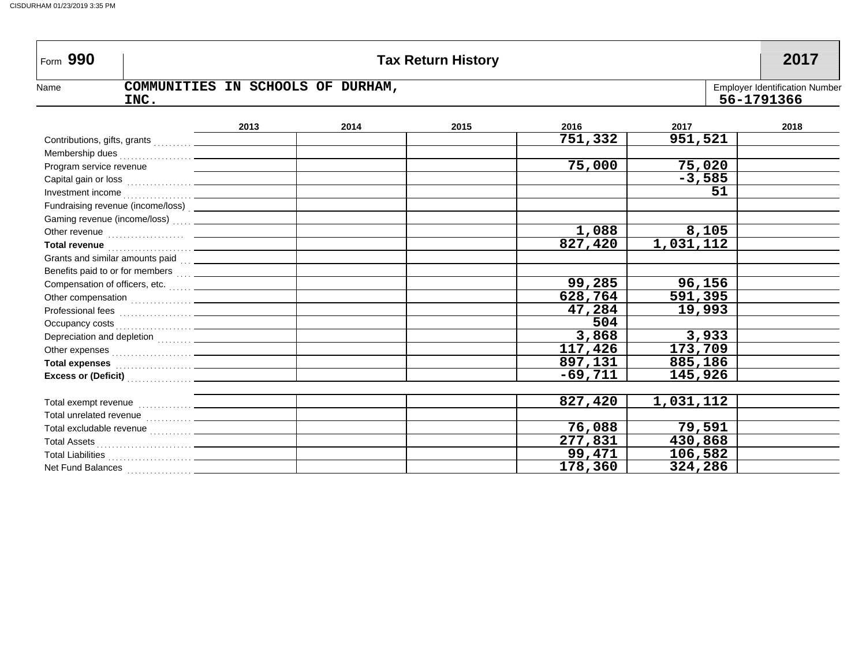| Form 990                |                                                                                                                                                                                                                                      |      |                                                     | <b>Tax Return History</b> |           |           | 2017 |
|-------------------------|--------------------------------------------------------------------------------------------------------------------------------------------------------------------------------------------------------------------------------------|------|-----------------------------------------------------|---------------------------|-----------|-----------|------|
| Name                    | COMMUNITIES IN SCHOOLS OF DURHAM,<br>INC.                                                                                                                                                                                            |      | <b>Employer Identification Number</b><br>56-1791366 |                           |           |           |      |
|                         |                                                                                                                                                                                                                                      | 2013 | 2014                                                | 2015                      | 2016      | 2017      | 2018 |
|                         |                                                                                                                                                                                                                                      |      |                                                     |                           | 751,332   | 951,521   |      |
|                         |                                                                                                                                                                                                                                      |      |                                                     |                           |           |           |      |
| Program service revenue |                                                                                                                                                                                                                                      |      |                                                     |                           | 75,000    | 75,020    |      |
|                         |                                                                                                                                                                                                                                      |      |                                                     |                           |           | $-3,585$  |      |
|                         |                                                                                                                                                                                                                                      |      |                                                     |                           |           | 51        |      |
|                         |                                                                                                                                                                                                                                      |      |                                                     |                           |           |           |      |
|                         |                                                                                                                                                                                                                                      |      |                                                     |                           |           |           |      |
|                         |                                                                                                                                                                                                                                      |      |                                                     |                           | 1,088     | 8,105     |      |
|                         | Total revenue <b>contract and the contract of the contract of the contract of the contract of the contract of the contract of the contract of the contract of the contract of the contract of the contract of the contract of th</b> |      |                                                     |                           | 827,420   | 1,031,112 |      |
|                         | Grants and similar amounts paid                                                                                                                                                                                                      |      |                                                     |                           |           |           |      |
|                         | Benefits paid to or for members  _____________                                                                                                                                                                                       |      |                                                     |                           |           |           |      |
|                         |                                                                                                                                                                                                                                      |      |                                                     |                           | 99,285    | 96,156    |      |
|                         |                                                                                                                                                                                                                                      |      |                                                     |                           | 628,764   | 591,395   |      |
|                         |                                                                                                                                                                                                                                      |      |                                                     |                           | 47,284    | 19,993    |      |
|                         |                                                                                                                                                                                                                                      |      |                                                     |                           | 504       |           |      |
|                         | Depreciation and depletion  _____________                                                                                                                                                                                            |      |                                                     |                           | 3,868     | 3,933     |      |
|                         | Other expenses <b>contained contained contained contained contained by the contained of the contained of the contained of the contained of the contained of the contained of the contained of the contained of the conta</b>         |      |                                                     |                           | 117,426   | 173,709   |      |
|                         | Total expenses <b>Manual According to the Contract of Total According to the Contract Order Total According to the Contract Order Total According to the Contract Order Total According to the Contract Order Total According to</b> |      |                                                     |                           | 897,131   | 885,186   |      |
|                         |                                                                                                                                                                                                                                      |      |                                                     |                           | $-69,711$ | 145,926   |      |
|                         |                                                                                                                                                                                                                                      |      |                                                     |                           | 827,420   | 1,031,112 |      |
|                         |                                                                                                                                                                                                                                      |      |                                                     |                           |           |           |      |
|                         |                                                                                                                                                                                                                                      |      |                                                     |                           | 76,088    | 79,591    |      |
|                         |                                                                                                                                                                                                                                      |      |                                                     |                           | 277,831   | 430,868   |      |
|                         |                                                                                                                                                                                                                                      |      |                                                     |                           | 99,471    | 106,582   |      |
|                         |                                                                                                                                                                                                                                      |      |                                                     |                           | 178,360   | 324,286   |      |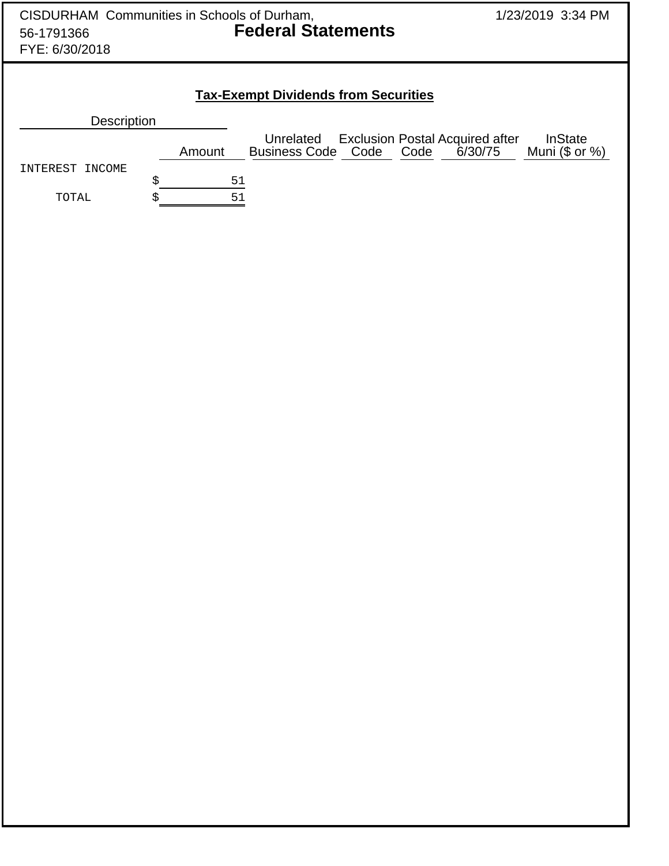| CISDURHAM Communities in Schools of Durham,<br>56-1791366<br>FYE: 6/30/2018 | 1/23/2019 3:34 PM                                                                                                            |                           |  |  |  |  |  |  |  |  |
|-----------------------------------------------------------------------------|------------------------------------------------------------------------------------------------------------------------------|---------------------------|--|--|--|--|--|--|--|--|
|                                                                             | <b>Tax-Exempt Dividends from Securities</b><br>Description<br><b>Exclusion Postal Acquired after</b><br>Unrelated<br>InState |                           |  |  |  |  |  |  |  |  |
| INTEREST INCOME<br>TOTAL                                                    | <b>Business Code Code</b><br>Code<br>Amount<br>\$<br>$51$<br>51<br>\$                                                        | 6/30/75<br>Muni (\$ or %) |  |  |  |  |  |  |  |  |
|                                                                             |                                                                                                                              |                           |  |  |  |  |  |  |  |  |
|                                                                             |                                                                                                                              |                           |  |  |  |  |  |  |  |  |
|                                                                             |                                                                                                                              |                           |  |  |  |  |  |  |  |  |
|                                                                             |                                                                                                                              |                           |  |  |  |  |  |  |  |  |
|                                                                             |                                                                                                                              |                           |  |  |  |  |  |  |  |  |
|                                                                             |                                                                                                                              |                           |  |  |  |  |  |  |  |  |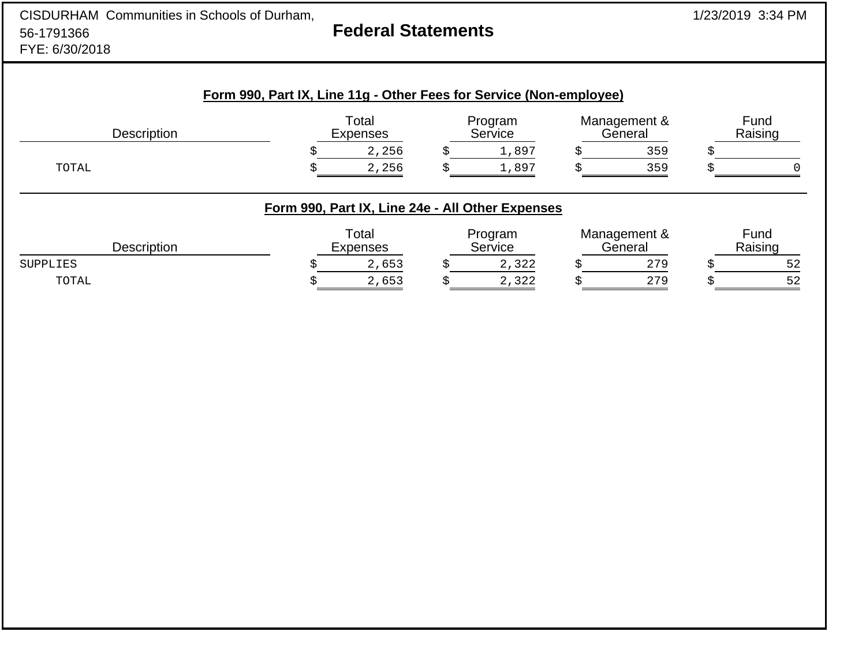| CISDURHAM Communities in Schools of Durham,<br>56-1791366<br>FYE: 6/30/2018 |                                                  | 1/23/2019 3:34 PM |                    |   |                         |    |                 |
|-----------------------------------------------------------------------------|--------------------------------------------------|-------------------|--------------------|---|-------------------------|----|-----------------|
| Form 990, Part IX, Line 11g - Other Fees for Service (Non-employee)         |                                                  |                   |                    |   |                         |    |                 |
| Description                                                                 | Total<br><b>Expenses</b>                         |                   | Program<br>Service |   | Management &<br>General |    | Fund<br>Raising |
|                                                                             | 2,256                                            | Ŝ.                | 1,897              | Ŝ | 359                     | \$ |                 |
| TOTAL                                                                       | 2,256                                            | Ś.                | 1,897              |   | 359                     |    |                 |
|                                                                             | Form 990, Part IX, Line 24e - All Other Expenses |                   |                    |   |                         |    |                 |
| Description                                                                 | Total<br><b>Expenses</b>                         |                   | Program<br>Service |   | Management &<br>General |    | Fund<br>Raising |
| <b>SUPPLIES</b>                                                             | 2,653                                            | S                 | 2,322              | Ś | 279                     | Ś  | 52              |
| TOTAL                                                                       | 2,653                                            | \$                | 2,322              | Ś | 279                     | Ś  | 52              |
|                                                                             |                                                  |                   |                    |   |                         |    |                 |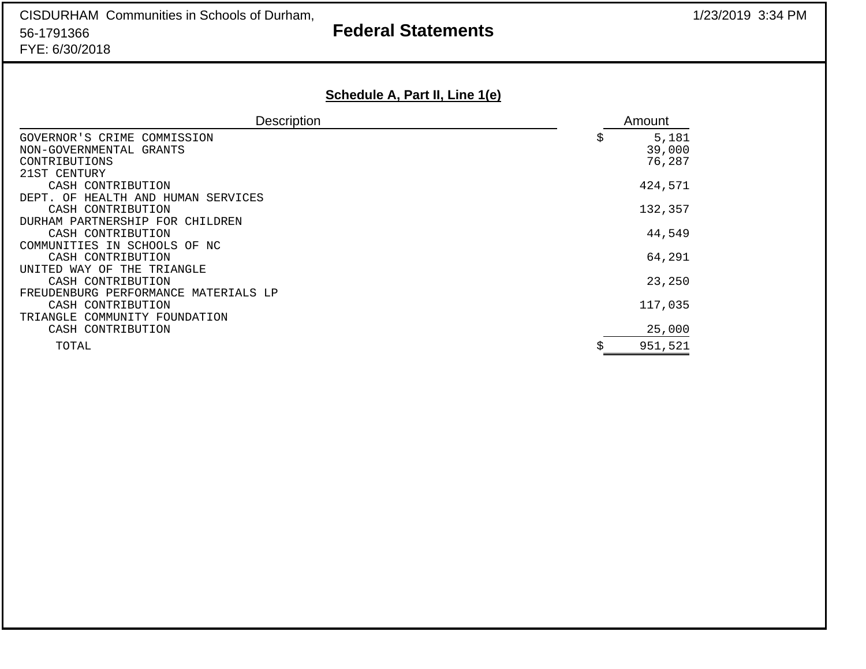# **Federal Statements**

## **Schedule A, Part II, Line 1(e)**

| <b>Description</b>                                                             |   | Amount                    |
|--------------------------------------------------------------------------------|---|---------------------------|
| GOVERNOR'S CRIME COMMISSION<br>NON-GOVERNMENTAL GRANTS<br>CONTRIBUTIONS        | Ş | 5,181<br>39,000<br>76,287 |
| 21ST CENTURY<br>CASH CONTRIBUTION<br>OF<br>HEALTH AND HUMAN SERVICES<br>רים הת |   | 424,571                   |
| CASH CONTRIBUTION<br>DURHAM PARTNERSHIP FOR CHILDREN                           |   | 132,357                   |
| CASH CONTRIBUTION<br>COMMUNITIES IN SCHOOLS OF NC                              |   | 44,549                    |
| CASH CONTRIBUTION<br>UNITED WAY OF THE TRIANGLE                                |   | 64,291                    |
| CASH CONTRIBUTION<br>FREUDENBURG PERFORMANCE MATERIALS LP                      |   | 23,250                    |
| CASH CONTRIBUTION<br>TRIANGLE COMMUNITY FOUNDATION                             |   | 117,035                   |
| CASH CONTRIBUTION                                                              |   | 25,000                    |
| TOTAL                                                                          |   | 951,521                   |